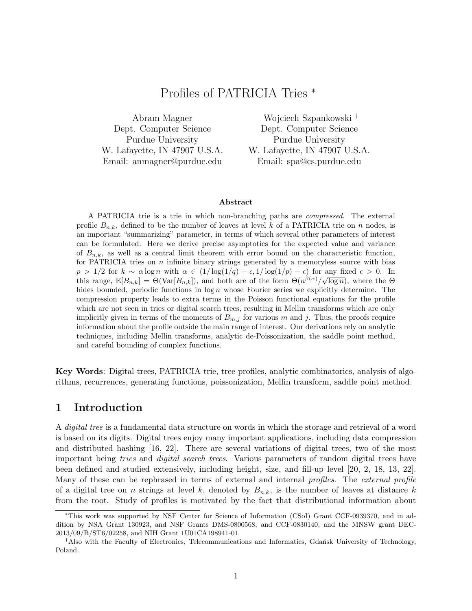# Profiles of PATRICIA Tries <sup>∗</sup>

Abram Magner Dept. Computer Science Purdue University W. Lafayette, IN 47907 U.S.A. Email: anmagner@purdue.edu

Wojciech Szpankowski † Dept. Computer Science Purdue University W. Lafayette, IN 47907 U.S.A. Email: spa@cs.purdue.edu

#### Abstract

A PATRICIA trie is a trie in which non-branching paths are compressed. The external profile  $B_{n,k}$ , defined to be the number of leaves at level k of a PATRICIA trie on n nodes, is an important "summarizing" parameter, in terms of which several other parameters of interest can be formulated. Here we derive precise asymptotics for the expected value and variance of  $B_{n,k}$ , as well as a central limit theorem with error bound on the characteristic function, for PATRICIA tries on  $n$  infinite binary strings generated by a memoryless source with bias  $p > 1/2$  for  $k \sim \alpha \log n$  with  $\alpha \in (1/\log(1/q) + \epsilon, 1/\log(1/p) - \epsilon)$  for any fixed  $\epsilon > 0$ . In this range,  $\mathbb{E}[B_{n,k}] = \Theta(\text{Var}[B_{n,k}])$ , and both are of the form  $\Theta(n^{\beta(\alpha)}/\sqrt{\log n})$ , where the  $\Theta$ hides bounded, periodic functions in  $\log n$  whose Fourier series we explicitly determine. The compression property leads to extra terms in the Poisson functional equations for the profile which are not seen in tries or digital search trees, resulting in Mellin transforms which are only implicitly given in terms of the moments of  $B_{m,j}$  for various m and j. Thus, the proofs require information about the profile outside the main range of interest. Our derivations rely on analytic techniques, including Mellin transforms, analytic de-Poissonization, the saddle point method, and careful bounding of complex functions.

Key Words: Digital trees, PATRICIA trie, tree profiles, analytic combinatorics, analysis of algorithms, recurrences, generating functions, poissonization, Mellin transform, saddle point method.

## 1 Introduction

A *digital tree* is a fundamental data structure on words in which the storage and retrieval of a word is based on its digits. Digital trees enjoy many important applications, including data compression and distributed hashing [16, 22]. There are several variations of digital trees, two of the most important being tries and digital search trees. Various parameters of random digital trees have been defined and studied extensively, including height, size, and fill-up level [20, 2, 18, 13, 22]. Many of these can be rephrased in terms of external and internal *profiles*. The external profile of a digital tree on n strings at level k, denoted by  $B_{n,k}$ , is the number of leaves at distance k from the root. Study of profiles is motivated by the fact that distributional information about

<sup>∗</sup>This work was supported by NSF Center for Science of Information (CSoI) Grant CCF-0939370, and in addition by NSA Grant 130923, and NSF Grants DMS-0800568, and CCF-0830140, and the MNSW grant DEC-2013/09/B/ST6/02258, and NIH Grant 1U01CA198941-01.

<sup>&</sup>lt;sup>†</sup>Also with the Faculty of Electronics, Telecommunications and Informatics, Gdansk University of Technology, Poland.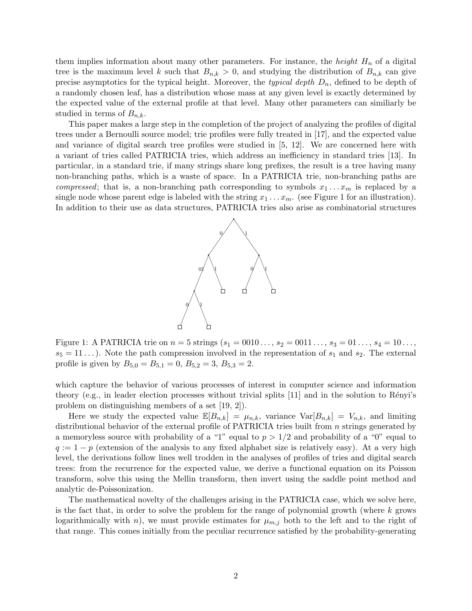them implies information about many other parameters. For instance, the *height*  $H_n$  of a digital tree is the maximum level k such that  $B_{n,k} > 0$ , and studying the distribution of  $B_{n,k}$  can give precise asymptotics for the typical height. Moreover, the typical depth  $D_n$ , defined to be depth of a randomly chosen leaf, has a distribution whose mass at any given level is exactly determined by the expected value of the external profile at that level. Many other parameters can similiarly be studied in terms of  $B_{n,k}$ .

This paper makes a large step in the completion of the project of analyzing the profiles of digital trees under a Bernoulli source model; trie profiles were fully treated in [17], and the expected value and variance of digital search tree profiles were studied in [5, 12]. We are concerned here with a variant of tries called PATRICIA tries, which address an inefficiency in standard tries [13]. In particular, in a standard trie, if many strings share long prefixes, the result is a tree having many non-branching paths, which is a waste of space. In a PATRICIA trie, non-branching paths are *compressed*; that is, a non-branching path corresponding to symbols  $x_1 \ldots x_m$  is replaced by a single node whose parent edge is labeled with the string  $x_1 \ldots x_m$ . (see Figure 1 for an illustration). In addition to their use as data structures, PATRICIA tries also arise as combinatorial structures



Figure 1: A PATRICIA trie on  $n = 5$  strings  $(s_1 = 0010..., s_2 = 0011..., s_3 = 01..., s_4 = 10...,$  $s_5 = 11...$ ). Note the path compression involved in the representation of  $s_1$  and  $s_2$ . The external profile is given by  $B_{5,0} = B_{5,1} = 0$ ,  $B_{5,2} = 3$ ,  $B_{5,3} = 2$ .

which capture the behavior of various processes of interest in computer science and information theory (e.g., in leader election processes without trivial splits  $[11]$  and in the solution to Rényi's problem on distinguishing members of a set [19, 2]).

Here we study the expected value  $\mathbb{E}[B_{n,k}] = \mu_{n,k}$ , variance  $\text{Var}[B_{n,k}] = V_{n,k}$ , and limiting distributional behavior of the external profile of PATRICIA tries built from *n* strings generated by a memoryless source with probability of a "1" equal to  $p > 1/2$  and probability of a "0" equal to  $q := 1 - p$  (extension of the analysis to any fixed alphabet size is relatively easy). At a very high level, the derivations follow lines well trodden in the analyses of profiles of tries and digital search trees: from the recurrence for the expected value, we derive a functional equation on its Poisson transform, solve this using the Mellin transform, then invert using the saddle point method and analytic de-Poissonization.

The mathematical novelty of the challenges arising in the PATRICIA case, which we solve here, is the fact that, in order to solve the problem for the range of polynomial growth (where  $k$  grows logarithmically with n), we must provide estimates for  $\mu_{m,j}$  both to the left and to the right of that range. This comes initially from the peculiar recurrence satisfied by the probability-generating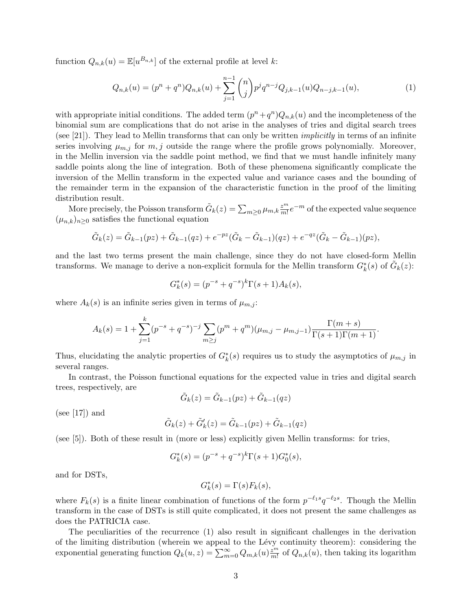function  $Q_{n,k}(u) = \mathbb{E}[u^{B_{n,k}}]$  of the external profile at level k:

$$
Q_{n,k}(u) = (p^n + q^n)Q_{n,k}(u) + \sum_{j=1}^{n-1} \binom{n}{j} p^j q^{n-j} Q_{j,k-1}(u)Q_{n-j,k-1}(u),\tag{1}
$$

with appropriate initial conditions. The added term  $(p^{n} + q^{n})Q_{n,k}(u)$  and the incompleteness of the binomial sum are complications that do not arise in the analyses of tries and digital search trees (see [21]). They lead to Mellin transforms that can only be written *implicitly* in terms of an infinite series involving  $\mu_{m,j}$  for  $m,j$  outside the range where the profile grows polynomially. Moreover, in the Mellin inversion via the saddle point method, we find that we must handle infinitely many saddle points along the line of integration. Both of these phenomena significantly complicate the inversion of the Mellin transform in the expected value and variance cases and the bounding of the remainder term in the expansion of the characteristic function in the proof of the limiting distribution result.

More precisely, the Poisson transform  $\tilde{G}_k(z) = \sum_{m\geq 0} \mu_{m,k} \frac{z^m}{m!}$  $\frac{z^m}{m!}e^{-m}$  of the expected value sequence  $(\mu_{n,k})_{n\geq 0}$  satisfies the functional equation

$$
\tilde{G}_k(z) = \tilde{G}_{k-1}(pz) + \tilde{G}_{k-1}(qz) + e^{-pz}(\tilde{G}_k - \tilde{G}_{k-1})(qz) + e^{-qz}(\tilde{G}_k - \tilde{G}_{k-1})(pz),
$$

and the last two terms present the main challenge, since they do not have closed-form Mellin transforms. We manage to derive a non-explicit formula for the Mellin transform  $G_k^*(s)$  of  $\tilde{G}_k(z)$ :

$$
G_k^*(s) = (p^{-s} + q^{-s})^k \Gamma(s+1) A_k(s),
$$

where  $A_k(s)$  is an infinite series given in terms of  $\mu_{m,j}$ :

$$
A_k(s) = 1 + \sum_{j=1}^k (p^{-s} + q^{-s})^{-j} \sum_{m \ge j} (p^m + q^m) (\mu_{m,j} - \mu_{m,j-1}) \frac{\Gamma(m+s)}{\Gamma(s+1)\Gamma(m+1)}.
$$

Thus, elucidating the analytic properties of  $G_k^*(s)$  requires us to study the asymptotics of  $\mu_{m,j}$  in several ranges.

In contrast, the Poisson functional equations for the expected value in tries and digital search trees, respectively, are

$$
\tilde{G}_k(z) = \tilde{G}_{k-1}(pz) + \tilde{G}_{k-1}(qz)
$$

(see [17]) and

$$
\tilde{G}_k(z) + \tilde{G}'_k(z) = \tilde{G}_{k-1}(pz) + \tilde{G}_{k-1}(qz)
$$

(see [5]). Both of these result in (more or less) explicitly given Mellin transforms: for tries,

$$
G_k^*(s) = (p^{-s} + q^{-s})^k \Gamma(s+1) G_0^*(s),
$$

and for DSTs,

$$
G_k^*(s) = \Gamma(s) F_k(s),
$$

where  $F_k(s)$  is a finite linear combination of functions of the form  $p^{-\ell_1 s}q^{-\ell_2 s}$ . Though the Mellin transform in the case of DSTs is still quite complicated, it does not present the same challenges as does the PATRICIA case.

The peculiarities of the recurrence (1) also result in significant challenges in the derivation of the limiting distribution (wherein we appeal to the Lévy continuity theorem): considering the exponential generating function  $Q_k(u, z) = \sum_{m=0}^{\infty} Q_{m,k}(u) \frac{z^m}{m!}$  $\frac{z^m}{m!}$  of  $Q_{n,k}(u)$ , then taking its logarithm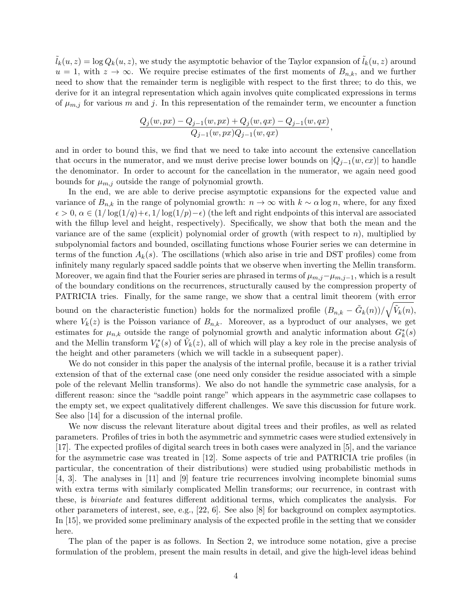$\tilde{l}_k(u, z) = \log Q_k(u, z)$ , we study the asymptotic behavior of the Taylor expansion of  $\tilde{l}_k(u, z)$  around  $u = 1$ , with  $z \to \infty$ . We require precise estimates of the first moments of  $B_{n,k}$ , and we further need to show that the remainder term is negligible with respect to the first three; to do this, we derive for it an integral representation which again involves quite complicated expressions in terms of  $\mu_{m,j}$  for various m and j. In this representation of the remainder term, we encounter a function

$$
\frac{Q_j(w, px) - Q_{j-1}(w, px) + Q_j(w, qx) - Q_{j-1}(w, qx)}{Q_{j-1}(w, px)Q_{j-1}(w, qx)},
$$

and in order to bound this, we find that we need to take into account the extensive cancellation that occurs in the numerator, and we must derive precise lower bounds on  $|Q_{j-1}(w, cx)|$  to handle the denominator. In order to account for the cancellation in the numerator, we again need good bounds for  $\mu_{m,j}$  outside the range of polynomial growth.

In the end, we are able to derive precise asymptotic expansions for the expected value and variance of  $B_{n,k}$  in the range of polynomial growth:  $n \to \infty$  with  $k \sim \alpha \log n$ , where, for any fixed  $\epsilon > 0$ ,  $\alpha \in (1/\log(1/q)+\epsilon, 1/\log(1/p)-\epsilon)$  (the left and right endpoints of this interval are associated with the fillup level and height, respectively). Specifically, we show that both the mean and the variance are of the same (explicit) polynomial order of growth (with respect to  $n$ ), multiplied by subpolynomial factors and bounded, oscillating functions whose Fourier series we can determine in terms of the function  $A_k(s)$ . The oscillations (which also arise in trie and DST profiles) come from infinitely many regularly spaced saddle points that we observe when inverting the Mellin transform. Moreover, we again find that the Fourier series are phrased in terms of  $\mu_{m,j}-\mu_{m,j-1}$ , which is a result of the boundary conditions on the recurrences, structurally caused by the compression property of PATRICIA tries. Finally, for the same range, we show that a central limit theorem (with error bound on the characteristic function) holds for the normalized profile  $(B_{n,k} - \tilde{G}_k(n))/\sqrt{\tilde{V}_k(n)}$ ,

where  $V_k(z)$  is the Poisson variance of  $B_{n,k}$ . Moreover, as a byproduct of our analyses, we get estimates for  $\mu_{n,k}$  outside the range of polynomial growth and analytic information about  $G_k^*(s)$ and the Mellin transform  $V_k^*(s)$  of  $\tilde{V}_k(z)$ , all of which will play a key role in the precise analysis of the height and other parameters (which we will tackle in a subsequent paper).

We do not consider in this paper the analysis of the internal profile, because it is a rather trivial extension of that of the external case (one need only consider the residue associated with a simple pole of the relevant Mellin transforms). We also do not handle the symmetric case analysis, for a different reason: since the "saddle point range" which appears in the asymmetric case collapses to the empty set, we expect qualitatively different challenges. We save this discussion for future work. See also [14] for a discussion of the internal profile.

We now discuss the relevant literature about digital trees and their profiles, as well as related parameters. Profiles of tries in both the asymmetric and symmetric cases were studied extensively in [17]. The expected profiles of digital search trees in both cases were analyzed in [5], and the variance for the asymmetric case was treated in [12]. Some aspects of trie and PATRICIA trie profiles (in particular, the concentration of their distributions) were studied using probabilistic methods in [4, 3]. The analyses in [11] and [9] feature trie recurrences involving incomplete binomial sums with extra terms with similarly complicated Mellin transforms; our recurrence, in contrast with these, is bivariate and features different additional terms, which complicates the analysis. For other parameters of interest, see, e.g., [22, 6]. See also [8] for background on complex asymptotics. In [15], we provided some preliminary analysis of the expected profile in the setting that we consider here.

The plan of the paper is as follows. In Section 2, we introduce some notation, give a precise formulation of the problem, present the main results in detail, and give the high-level ideas behind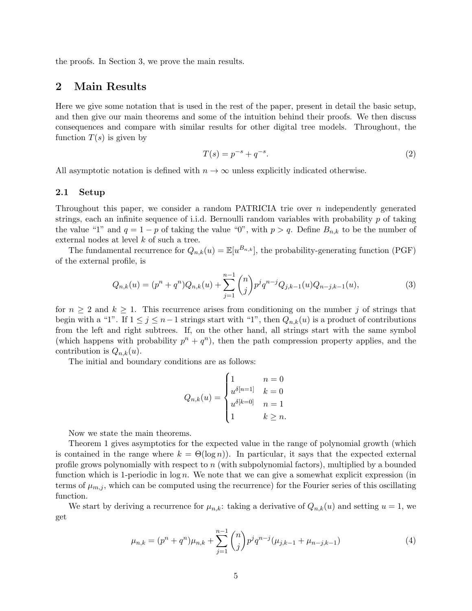the proofs. In Section 3, we prove the main results.

## 2 Main Results

Here we give some notation that is used in the rest of the paper, present in detail the basic setup, and then give our main theorems and some of the intuition behind their proofs. We then discuss consequences and compare with similar results for other digital tree models. Throughout, the function  $T(s)$  is given by

$$
T(s) = p^{-s} + q^{-s}.
$$
 (2)

All asymptotic notation is defined with  $n \to \infty$  unless explicitly indicated otherwise.

## 2.1 Setup

Throughout this paper, we consider a random PATRICIA trie over  $n$  independently generated strings, each an infinite sequence of i.i.d. Bernoulli random variables with probability  $p$  of taking the value "1" and  $q = 1 - p$  of taking the value "0", with  $p > q$ . Define  $B_{n,k}$  to be the number of external nodes at level k of such a tree.

The fundamental recurrence for  $Q_{n,k}(u) = \mathbb{E}[u^{B_{n,k}}]$ , the probability-generating function (PGF) of the external profile, is

$$
Q_{n,k}(u) = (p^n + q^n)Q_{n,k}(u) + \sum_{j=1}^{n-1} \binom{n}{j} p^j q^{n-j} Q_{j,k-1}(u)Q_{n-j,k-1}(u),\tag{3}
$$

for  $n \geq 2$  and  $k \geq 1$ . This recurrence arises from conditioning on the number j of strings that begin with a "1". If  $1 \leq j \leq n-1$  strings start with "1", then  $Q_{n,k}(u)$  is a product of contributions from the left and right subtrees. If, on the other hand, all strings start with the same symbol (which happens with probability  $p^{n} + q^{n}$ ), then the path compression property applies, and the contribution is  $Q_{n,k}(u)$ .

The initial and boundary conditions are as follows:

$$
Q_{n,k}(u) = \begin{cases} 1 & n = 0\\ u^{\delta[n=1]} & k = 0\\ u^{\delta[k=0]} & n = 1\\ 1 & k \ge n. \end{cases}
$$

Now we state the main theorems.

Theorem 1 gives asymptotics for the expected value in the range of polynomial growth (which is contained in the range where  $k = \Theta(\log n)$ . In particular, it says that the expected external profile grows polynomially with respect to n (with subpolynomial factors), multiplied by a bounded function which is 1-periodic in  $log n$ . We note that we can give a somewhat explicit expression (in terms of  $\mu_{m,j}$ , which can be computed using the recurrence) for the Fourier series of this oscillating function.

We start by deriving a recurrence for  $\mu_{n,k}$ : taking a derivative of  $Q_{n,k}(u)$  and setting  $u = 1$ , we get

$$
\mu_{n,k} = (p^n + q^n)\mu_{n,k} + \sum_{j=1}^{n-1} \binom{n}{j} p^j q^{n-j} (\mu_{j,k-1} + \mu_{n-j,k-1}) \tag{4}
$$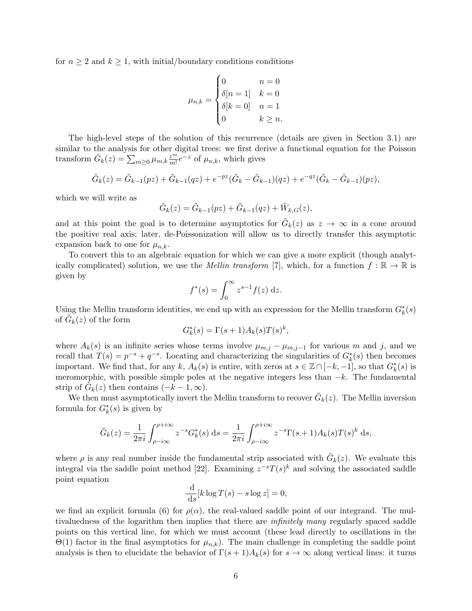for  $n \geq 2$  and  $k \geq 1$ , with initial/boundary conditions conditions

$$
\mu_{n,k} = \begin{cases} 0 & n = 0 \\ \delta[n = 1] & k = 0 \\ \delta[k = 0] & n = 1 \\ 0 & k \ge n. \end{cases}
$$

The high-level steps of the solution of this recurrence (details are given in Section 3.1) are similar to the analysis for other digital trees: we first derive a functional equation for the Poisson transform  $\tilde{G}_k(z) = \sum_{m \geq 0} \mu_{m,k} \frac{z^m}{m!}$  $\frac{z^m}{m!}e^{-z}$  of  $\mu_{n,k}$ , which gives

$$
\tilde{G}_k(z) = \tilde{G}_{k-1}(pz) + \tilde{G}_{k-1}(qz) + e^{-pz}(\tilde{G}_k - \tilde{G}_{k-1})(qz) + e^{-qz}(\tilde{G}_k - \tilde{G}_{k-1})(pz),
$$

which we will write as

$$
\tilde{G}_k(z) = \tilde{G}_{k-1}(pz) + \tilde{G}_{k-1}(qz) + \tilde{W}_{k,G}(z),
$$

and at this point the goal is to determine asymptotics for  $\tilde{G}_k(z)$  as  $z \to \infty$  in a cone around the positive real axis; later, de-Poissonization will allow us to directly transfer this asymptotic expansion back to one for  $\mu_{n,k}$ .

To convert this to an algebraic equation for which we can give a more explicit (though analytically complicated) solution, we use the *Mellin transform* [7], which, for a function  $f : \mathbb{R} \to \mathbb{R}$  is given by

$$
f^*(s) = \int_0^\infty z^{s-1} f(z) \, \mathrm{d}z.
$$

Using the Mellin transform identities, we end up with an expression for the Mellin transform  $G_k^*(s)$ of  $\tilde{G}_k(z)$  of the form

$$
G_k^*(s) = \Gamma(s+1)A_k(s)T(s)^k,
$$

where  $A_k(s)$  is an infinite series whose terms involve  $\mu_{m,j} - \mu_{m,j-1}$  for various m and j, and we recall that  $T(s) = p^{-s} + q^{-s}$ . Locating and characterizing the singularities of  $G_k^*(s)$  then becomes important. We find that, for any k,  $A_k(s)$  is entire, with zeros at  $s \in \mathbb{Z} \cap [-k, -1]$ , so that  $G_k^*(s)$  is meromorphic, with possible simple poles at the negative integers less than  $-k$ . The fundamental strip of  $\tilde{G}_k(z)$  then contains  $(-k-1,\infty)$ .

We then must asymptotically invert the Mellin transform to recover  $\tilde{G}_k(z)$ . The Mellin inversion formula for  $G_k^*(s)$  is given by

$$
\tilde{G}_k(z) = \frac{1}{2\pi i} \int_{\rho - i\infty}^{\rho + i\infty} z^{-s} G_k^*(s) \, \mathrm{d}s = \frac{1}{2\pi i} \int_{\rho - i\infty}^{\rho + i\infty} z^{-s} \Gamma(s+1) A_k(s) T(s)^k \, \mathrm{d}s,
$$

where  $\rho$  is any real number inside the fundamental strip associated with  $\tilde{G}_k(z)$ . We evaluate this integral via the saddle point method [22]. Examining  $z^{-s}T(s)^k$  and solving the associated saddle point equation

$$
\frac{\mathrm{d}}{\mathrm{d}s}[k\log T(s) - s\log z] = 0,
$$

we find an explicit formula (6) for  $\rho(\alpha)$ , the real-valued saddle point of our integrand. The multivaluedness of the logarithm then implies that there are infinitely many regularly spaced saddle points on this vertical line, for which we must account (these lead directly to oscillations in the  $Θ(1)$  factor in the final asymptotics for  $\mu_{n,k}$ ). The main challenge in completing the saddle point analysis is then to elucidate the behavior of  $\Gamma(s+1)A_k(s)$  for  $s \to \infty$  along vertical lines: it turns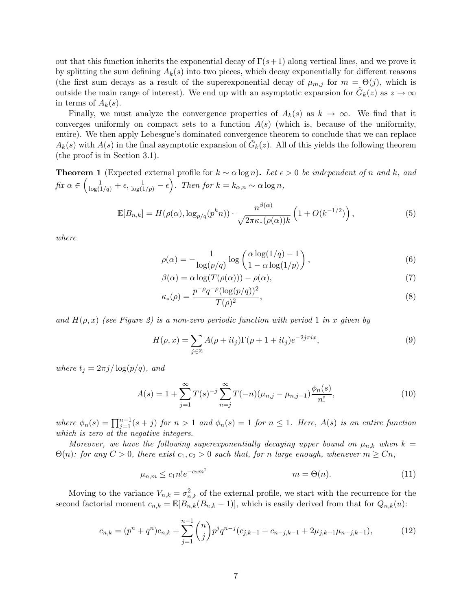out that this function inherits the exponential decay of  $\Gamma(s+1)$  along vertical lines, and we prove it by splitting the sum defining  $A_k(s)$  into two pieces, which decay exponentially for different reasons (the first sum decays as a result of the superexponential decay of  $\mu_{m,j}$  for  $m = \Theta(j)$ , which is outside the main range of interest). We end up with an asymptotic expansion for  $\tilde{G}_k(z)$  as  $z \to \infty$ in terms of  $A_k(s)$ .

Finally, we must analyze the convergence properties of  $A_k(s)$  as  $k \to \infty$ . We find that it converges uniformly on compact sets to a function  $A(s)$  (which is, because of the uniformity, entire). We then apply Lebesgue's dominated convergence theorem to conclude that we can replace  $A_k(s)$  with  $A(s)$  in the final asymptotic expansion of  $\tilde{G}_k(z)$ . All of this yields the following theorem (the proof is in Section 3.1).

**Theorem 1** (Expected external profile for  $k \sim \alpha \log n$ ). Let  $\epsilon > 0$  be independent of n and k, and  $fix \alpha \in \left(\frac{1}{\log(1/q)} + \epsilon, \frac{1}{\log(1/p)} - \epsilon\right)$ . Then for  $k = k_{\alpha,n} \sim \alpha \log n$ ,

$$
\mathbb{E}[B_{n,k}] = H(\rho(\alpha), \log_{p/q}(p^k n)) \cdot \frac{n^{\beta(\alpha)}}{\sqrt{2\pi\kappa_*(\rho(\alpha))k}} \left(1 + O(k^{-1/2})\right),\tag{5}
$$

where

$$
\rho(\alpha) = -\frac{1}{\log(p/q)} \log\left(\frac{\alpha \log(1/q) - 1}{1 - \alpha \log(1/p)}\right),\tag{6}
$$

$$
\beta(\alpha) = \alpha \log(T(\rho(\alpha))) - \rho(\alpha),\tag{7}
$$

$$
p^{-\rho}q^{-\rho}(\log(p/q))^2
$$

$$
\kappa_*(\rho) = \frac{p^{-\rho} q^{-\rho} (\log(p/q))^2}{T(\rho)^2},\tag{8}
$$

and  $H(\rho, x)$  (see Figure 2) is a non-zero periodic function with period 1 in x given by

$$
H(\rho, x) = \sum_{j \in \mathbb{Z}} A(\rho + it_j) \Gamma(\rho + 1 + it_j) e^{-2j\pi ix}, \tag{9}
$$

where  $t_i = 2\pi j/\log(p/q)$ , and

$$
A(s) = 1 + \sum_{j=1}^{\infty} T(s)^{-j} \sum_{n=j}^{\infty} T(-n) (\mu_{n,j} - \mu_{n,j-1}) \frac{\phi_n(s)}{n!},
$$
\n(10)

where  $\phi_n(s) = \prod_{j=1}^{n-1} (s+j)$  for  $n > 1$  and  $\phi_n(s) = 1$  for  $n \leq 1$ . Here,  $A(s)$  is an entire function which is zero at the negative integers.

Moreover, we have the following superexponentially decaying upper bound on  $\mu_{n,k}$  when  $k =$  $\Theta(n)$ : for any  $C > 0$ , there exist  $c_1, c_2 > 0$  such that, for n large enough, whenever  $m \geq Cn$ ,

$$
\mu_{n,m} \le c_1 n! e^{-c_2 m^2} \qquad m = \Theta(n). \tag{11}
$$

Moving to the variance  $V_{n,k} = \sigma_{n,k}^2$  of the external profile, we start with the recurrence for the second factorial moment  $c_{n,k} = \mathbb{E}[B_{n,k}(B_{n,k}-1)]$ , which is easily derived from that for  $Q_{n,k}(u)$ :

$$
c_{n,k} = (p^n + q^n)c_{n,k} + \sum_{j=1}^{n-1} \binom{n}{j} p^j q^{n-j} (c_{j,k-1} + c_{n-j,k-1} + 2\mu_{j,k-1}\mu_{n-j,k-1}),\tag{12}
$$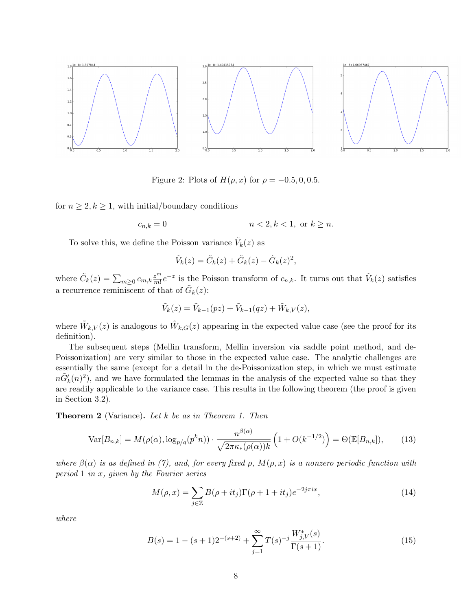

Figure 2: Plots of  $H(\rho, x)$  for  $\rho = -0.5, 0, 0.5$ .

for  $n \geq 2, k \geq 1$ , with initial/boundary conditions

$$
c_{n,k} = 0 \qquad \qquad n < 2, k < 1, \text{ or } k \ge n.
$$

To solve this, we define the Poisson variance  $\tilde{V}_k(z)$  as

$$
\tilde{V}_k(z) = \tilde{C}_k(z) + \tilde{G}_k(z) - \tilde{G}_k(z)^2,
$$

where  $\tilde{C}_k(z) = \sum_{m \geq 0} c_{m,k} \frac{z^m}{m!}$  $\frac{z^m}{m!}e^{-z}$  is the Poisson transform of  $c_{n,k}$ . It turns out that  $\tilde{V}_k(z)$  satisfies a recurrence reminiscent of that of  $\tilde{G}_k(z)$ :

$$
\tilde{V}_k(z) = \tilde{V}_{k-1}(pz) + \tilde{V}_{k-1}(qz) + \tilde{W}_{k,V}(z),
$$

where  $\tilde{W}_{k,V}(z)$  is analogous to  $\tilde{W}_{k,G}(z)$  appearing in the expected value case (see the proof for its definition).

The subsequent steps (Mellin transform, Mellin inversion via saddle point method, and de-Poissonization) are very similar to those in the expected value case. The analytic challenges are essentially the same (except for a detail in the de-Poissonization step, in which we must estimate  $n\tilde{G}'_k(n)^2$ , and we have formulated the lemmas in the analysis of the expected value so that they are readily applicable to the variance case. This results in the following theorem (the proof is given in Section 3.2).

Theorem 2 (Variance). Let k be as in Theorem 1. Then

$$
\text{Var}[B_{n,k}] = M(\rho(\alpha), \log_{p/q}(p^k n)) \cdot \frac{n^{\beta(\alpha)}}{\sqrt{2\pi\kappa_*(\rho(\alpha))k}} \left(1 + O(k^{-1/2})\right) = \Theta(\mathbb{E}[B_{n,k}]),\tag{13}
$$

where  $\beta(\alpha)$  is as defined in (7), and, for every fixed ρ,  $M(\rho, x)$  is a nonzero periodic function with period 1 in  $x$ , given by the Fourier series

$$
M(\rho, x) = \sum_{j \in \mathbb{Z}} B(\rho + it_j) \Gamma(\rho + 1 + it_j) e^{-2j\pi ix}, \qquad (14)
$$

where

$$
B(s) = 1 - (s+1)2^{-(s+2)} + \sum_{j=1}^{\infty} T(s)^{-j} \frac{W_{j,V}^*(s)}{\Gamma(s+1)}.
$$
 (15)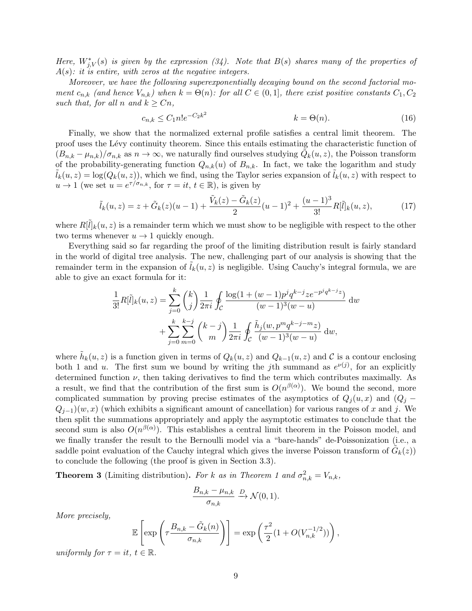Here,  $W_{j,V}^*(s)$  is given by the expression (34). Note that  $B(s)$  shares many of the properties of  $A(s)$ : it is entire, with zeros at the negative integers.

Moreover, we have the following superexponentially decaying bound on the second factorial moment  $c_{n,k}$  (and hence  $V_{n,k}$ ) when  $k = \Theta(n)$ : for all  $C \in (0,1]$ , there exist positive constants  $C_1, C_2$ such that, for all n and  $k \geq Cn$ ,

$$
c_{n,k} \le C_1 n! e^{-C_2 k^2} \qquad k = \Theta(n). \tag{16}
$$

Finally, we show that the normalized external profile satisfies a central limit theorem. The proof uses the Lévy continuity theorem. Since this entails estimating the characteristic function of  $(B_{n,k} - \mu_{n,k})/\sigma_{n,k}$  as  $n \to \infty$ , we naturally find ourselves studying  $\tilde{Q}_k(u, z)$ , the Poisson transform of the probability-generating function  $Q_{n,k}(u)$  of  $B_{n,k}$ . In fact, we take the logarithm and study  $l_k(u, z) = \log(Q_k(u, z))$ , which we find, using the Taylor series expansion of  $\tilde{l}_k(u, z)$  with respect to  $u \to 1$  (we set  $u = e^{\tau/\sigma_{n,k}}$ , for  $\tau = it$ ,  $t \in \mathbb{R}$ ), is given by

$$
\tilde{l}_k(u,z) = z + \tilde{G}_k(z)(u-1) + \frac{\tilde{V}_k(z) - \tilde{G}_k(z)}{2}(u-1)^2 + \frac{(u-1)^3}{3!}R[\tilde{l}]_k(u,z),\tag{17}
$$

where  $R[\tilde{l}]_k(u,z)$  is a remainder term which we must show to be negligible with respect to the other two terms whenever  $u \to 1$  quickly enough.

Everything said so far regarding the proof of the limiting distribution result is fairly standard in the world of digital tree analysis. The new, challenging part of our analysis is showing that the remainder term in the expansion of  $\tilde{l}_k(u, z)$  is negligible. Using Cauchy's integral formula, we are able to give an exact formula for it:

$$
\frac{1}{3!}R[\tilde{l}]_k(u,z) = \sum_{j=0}^k {k \choose j} \frac{1}{2\pi i} \oint_C \frac{\log(1 + (w-1)p^j q^{k-j} z e^{-p^j q^{k-j} z})}{(w-1)^3 (w-u)} dw
$$

$$
+ \sum_{j=0}^k \sum_{m=0}^{k-j} {k-j \choose m} \frac{1}{2\pi i} \oint_C \frac{\tilde{h}_j(w, p^m q^{k-j-m} z)}{(w-1)^3 (w-u)} dw,
$$

where  $\tilde{h}_k(u, z)$  is a function given in terms of  $Q_k(u, z)$  and  $Q_{k-1}(u, z)$  and  $\mathcal C$  is a contour enclosing both 1 and u. The first sum we bound by writing the jth summand as  $e^{\nu(j)}$ , for an explicitly determined function  $\nu$ , then taking derivatives to find the term which contributes maximally. As a result, we find that the contribution of the first sum is  $O(n^{\beta(\alpha)})$ . We bound the second, more complicated summation by proving precise estimates of the asymptotics of  $Q_i(u, x)$  and  $(Q_i Q_{j-1}(w, x)$  (which exhibits a significant amount of cancellation) for various ranges of x and j. We then split the summations appropriately and apply the asymptotic estimates to conclude that the second sum is also  $O(n^{\beta(\alpha)})$ . This establishes a central limit theorem in the Poisson model, and we finally transfer the result to the Bernoulli model via a "bare-hands" de-Poissonization (i.e., a saddle point evaluation of the Cauchy integral which gives the inverse Poisson transform of  $\tilde{G}_k(z)$ to conclude the following (the proof is given in Section 3.3).

**Theorem 3** (Limiting distribution). For k as in Theorem 1 and  $\sigma_{n,k}^2 = V_{n,k}$ ,

$$
\frac{B_{n,k} - \mu_{n,k}}{\sigma_{n,k}} \xrightarrow{D} \mathcal{N}(0,1).
$$

More precisely,

$$
\mathbb{E}\left[\exp\left(\tau \frac{B_{n,k} - \tilde{G}_k(n)}{\sigma_{n,k}}\right)\right] = \exp\left(\frac{\tau^2}{2}(1 + O(V_{n,k}^{-1/2}))\right),\,
$$

uniformly for  $\tau = it$ ,  $t \in \mathbb{R}$ .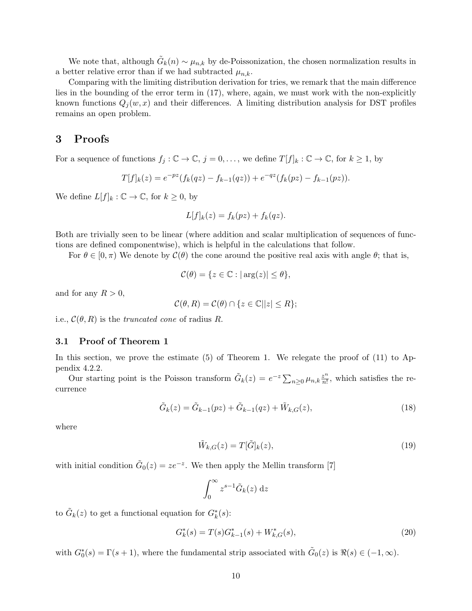We note that, although  $\tilde{G}_k(n) \sim \mu_{n,k}$  by de-Poissonization, the chosen normalization results in a better relative error than if we had subtracted  $\mu_{n,k}$ .

Comparing with the limiting distribution derivation for tries, we remark that the main difference lies in the bounding of the error term in (17), where, again, we must work with the non-explicitly known functions  $Q_i(w, x)$  and their differences. A limiting distribution analysis for DST profiles remains an open problem.

## 3 Proofs

For a sequence of functions  $f_j : \mathbb{C} \to \mathbb{C}$ ,  $j = 0, \ldots$ , we define  $T[f]_k : \mathbb{C} \to \mathbb{C}$ , for  $k \ge 1$ , by

$$
T[f]_k(z) = e^{-pz}(f_k(qz) - f_{k-1}(qz)) + e^{-qz}(f_k(pz) - f_{k-1}(pz)).
$$

We define  $L[f]_k : \mathbb{C} \to \mathbb{C}$ , for  $k \geq 0$ , by

$$
L[f]_k(z) = f_k(pz) + f_k(qz).
$$

Both are trivially seen to be linear (where addition and scalar multiplication of sequences of functions are defined componentwise), which is helpful in the calculations that follow.

For  $\theta \in [0, \pi)$  We denote by  $\mathcal{C}(\theta)$  the cone around the positive real axis with angle  $\theta$ ; that is,

$$
\mathcal{C}(\theta) = \{ z \in \mathbb{C} : |\arg(z)| \le \theta \},
$$

and for any  $R > 0$ ,

$$
\mathcal{C}(\theta, R) = \mathcal{C}(\theta) \cap \{z \in \mathbb{C} \mid |z| \le R\};
$$

i.e.,  $\mathcal{C}(\theta, R)$  is the truncated cone of radius R.

## 3.1 Proof of Theorem 1

In this section, we prove the estimate  $(5)$  of Theorem 1. We relegate the proof of  $(11)$  to Appendix 4.2.2.

Our starting point is the Poisson transform  $\tilde{G}_k(z) = e^{-z} \sum_{n \geq 0} \mu_{n,k} \frac{z^n}{n!}$  $\frac{z^n}{n!}$ , which satisfies the recurrence

$$
\tilde{G}_k(z) = \tilde{G}_{k-1}(pz) + \tilde{G}_{k-1}(qz) + \tilde{W}_{k,G}(z),
$$
\n(18)

where

$$
\tilde{W}_{k,G}(z) = T[\tilde{G}]_k(z),\tag{19}
$$

with initial condition  $\tilde{G}_0(z) = ze^{-z}$ . We then apply the Mellin transform [7]

$$
\int_0^\infty z^{s-1} \tilde{G}_k(z) \, \mathrm{d}z
$$

to  $\tilde{G}_k(z)$  to get a functional equation for  $G_k^*(s)$ :

$$
G_k^*(s) = T(s)G_{k-1}^*(s) + W_{k,G}^*(s),\tag{20}
$$

with  $G_0^*(s) = \Gamma(s+1)$ , where the fundamental strip associated with  $\tilde{G}_0(z)$  is  $\Re(s) \in (-1, \infty)$ .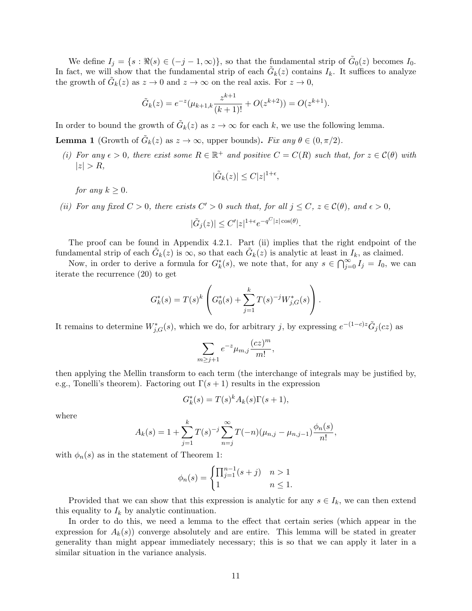We define  $I_j = \{s : \Re(s) \in (-j-1,\infty)\}\$ , so that the fundamental strip of  $\tilde{G}_0(z)$  becomes  $I_0$ . In fact, we will show that the fundamental strip of each  $\tilde{G}_k(z)$  contains  $I_k$ . It suffices to analyze the growth of  $\tilde{G}_k(z)$  as  $z \to 0$  and  $z \to \infty$  on the real axis. For  $z \to 0$ ,

$$
\tilde{G}_k(z) = e^{-z} (\mu_{k+1,k} \frac{z^{k+1}}{(k+1)!} + O(z^{k+2})) = O(z^{k+1}).
$$

In order to bound the growth of  $\tilde{G}_k(z)$  as  $z \to \infty$  for each k, we use the following lemma.

**Lemma 1** (Growth of  $\tilde{G}_k(z)$  as  $z \to \infty$ , upper bounds). Fix any  $\theta \in (0, \pi/2)$ .

(i) For any  $\epsilon > 0$ , there exist some  $R \in \mathbb{R}^+$  and positive  $C = C(R)$  such that, for  $z \in C(\theta)$  with  $|z| > R$ ,

$$
|\tilde{G}_k(z)| \leq C|z|^{1+\epsilon},
$$

for any  $k \geq 0$ .

(ii) For any fixed  $C > 0$ , there exists  $C' > 0$  such that, for all  $j \leq C$ ,  $z \in \mathcal{C}(\theta)$ , and  $\epsilon > 0$ ,

$$
|\tilde{G}_j(z)| \le C' |z|^{1+\epsilon} e^{-q^C |z| \cos(\theta)}.
$$

The proof can be found in Appendix 4.2.1. Part (ii) implies that the right endpoint of the fundamental strip of each  $\tilde{G}_k(z)$  is  $\infty$ , so that each  $\tilde{G}_k(z)$  is analytic at least in  $I_k$ , as claimed.

Now, in order to derive a formula for  $G_k^*(s)$ , we note that, for any  $s \in \bigcap_{j=0}^{\infty} I_j = I_0$ , we can iterate the recurrence (20) to get

$$
G_k^*(s) = T(s)^k \left( G_0^*(s) + \sum_{j=1}^k T(s)^{-j} W_{j,G}^*(s) \right).
$$

It remains to determine  $W_{j,G}^*(s)$ , which we do, for arbitrary j, by expressing  $e^{-(1-c)z}\tilde{G}_j(cz)$  as

$$
\sum_{m\geq j+1}e^{-z}\mu_{m,j}\frac{(cz)^m}{m!},
$$

then applying the Mellin transform to each term (the interchange of integrals may be justified by, e.g., Tonelli's theorem). Factoring out  $\Gamma(s+1)$  results in the expression

$$
G_k^*(s) = T(s)^k A_k(s) \Gamma(s+1),
$$

where

$$
A_k(s) = 1 + \sum_{j=1}^k T(s)^{-j} \sum_{n=j}^{\infty} T(-n) (\mu_{n,j} - \mu_{n,j-1}) \frac{\phi_n(s)}{n!},
$$

with  $\phi_n(s)$  as in the statement of Theorem 1:

$$
\phi_n(s) = \begin{cases} \prod_{j=1}^{n-1} (s+j) & n > 1 \\ 1 & n \le 1. \end{cases}
$$

Provided that we can show that this expression is analytic for any  $s \in I_k$ , we can then extend this equality to  $I_k$  by analytic continuation.

In order to do this, we need a lemma to the effect that certain series (which appear in the expression for  $A_k(s)$  converge absolutely and are entire. This lemma will be stated in greater generality than might appear immediately necessary; this is so that we can apply it later in a similar situation in the variance analysis.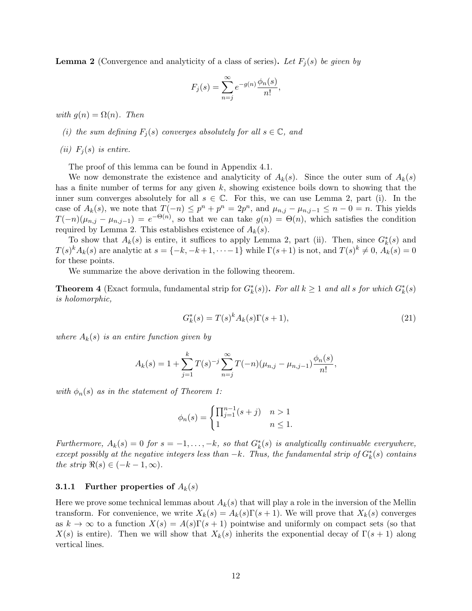**Lemma 2** (Convergence and analyticity of a class of series). Let  $F_j(s)$  be given by

$$
F_j(s) = \sum_{n=j}^{\infty} e^{-g(n)} \frac{\phi_n(s)}{n!},
$$

with  $g(n) = \Omega(n)$ . Then

- (i) the sum defining  $F_j(s)$  converges absolutely for all  $s \in \mathbb{C}$ , and
- (ii)  $F_i(s)$  is entire.

The proof of this lemma can be found in Appendix 4.1.

We now demonstrate the existence and analyticity of  $A_k(s)$ . Since the outer sum of  $A_k(s)$ has a finite number of terms for any given  $k$ , showing existence boils down to showing that the inner sum converges absolutely for all  $s \in \mathbb{C}$ . For this, we can use Lemma 2, part (i). In the case of  $A_k(s)$ , we note that  $T(-n) \leq p^n + p^n = 2p^n$ , and  $\mu_{n,j} - \mu_{n,j-1} \leq n-0 = n$ . This yields  $T(-n)(\mu_{n,j} - \mu_{n,j-1}) = e^{-\Theta(n)},$  so that we can take  $g(n) = \Theta(n)$ , which satisfies the condition required by Lemma 2. This establishes existence of  $A_k(s)$ .

To show that  $A_k(s)$  is entire, it suffices to apply Lemma 2, part (ii). Then, since  $G_k^*(s)$  and  $T(s)^k A_k(s)$  are analytic at  $s = \{-k, -k+1, \dots -1\}$  while  $\Gamma(s+1)$  is not, and  $T(s)^k \neq 0$ ,  $A_k(s) = 0$ for these points.

We summarize the above derivation in the following theorem.

**Theorem 4** (Exact formula, fundamental strip for  $G_k^*(s)$ ). For all  $k \geq 1$  and all s for which  $G_k^*(s)$ is holomorphic,

$$
G_k^*(s) = T(s)^k A_k(s) \Gamma(s+1),
$$
\n(21)

where  $A_k(s)$  is an entire function given by

$$
A_k(s) = 1 + \sum_{j=1}^k T(s)^{-j} \sum_{n=j}^\infty T(-n) (\mu_{n,j} - \mu_{n,j-1}) \frac{\phi_n(s)}{n!},
$$

with  $\phi_n(s)$  as in the statement of Theorem 1:

$$
\phi_n(s) = \begin{cases} \prod_{j=1}^{n-1} (s+j) & n > 1 \\ 1 & n \le 1. \end{cases}
$$

Furthermore,  $A_k(s) = 0$  for  $s = -1, \ldots, -k$ , so that  $G_k^*(s)$  is analytically continuable everywhere, except possibly at the negative integers less than  $-k$ . Thus, the fundamental strip of  $G_k^*(s)$  contains the strip  $\Re(s) \in (-k-1, \infty)$ .

#### **3.1.1** Further properties of  $A_k(s)$

Here we prove some technical lemmas about  $A_k(s)$  that will play a role in the inversion of the Mellin transform. For convenience, we write  $X_k(s) = A_k(s)\Gamma(s+1)$ . We will prove that  $X_k(s)$  converges as  $k \to \infty$  to a function  $X(s) = A(s)\Gamma(s+1)$  pointwise and uniformly on compact sets (so that  $X(s)$  is entire). Then we will show that  $X_k(s)$  inherits the exponential decay of  $\Gamma(s+1)$  along vertical lines.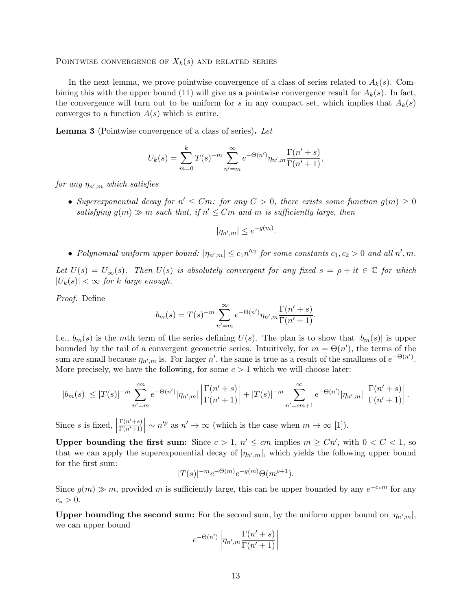POINTWISE CONVERGENCE OF  $X_k(s)$  and related series

In the next lemma, we prove pointwise convergence of a class of series related to  $A_k(s)$ . Combining this with the upper bound (11) will give us a pointwise convergence result for  $A_k(s)$ . In fact, the convergence will turn out to be uniform for s in any compact set, which implies that  $A_k(s)$ converges to a function  $A(s)$  which is entire.

Lemma 3 (Pointwise convergence of a class of series). Let

$$
U_k(s) = \sum_{m=0}^k T(s)^{-m} \sum_{n'=m}^{\infty} e^{-\Theta(n')} \eta_{n',m} \frac{\Gamma(n'+s)}{\Gamma(n'+1)},
$$

for any  $\eta_{n',m}$  which satisfies

• Superexponential decay for  $n' \leq Cm$ : for any  $C > 0$ , there exists some function  $g(m) \geq 0$ satisfying  $g(m) \gg m$  such that, if  $n' \leq Cm$  and m is sufficiently large, then

$$
|\eta_{n',m}| \le e^{-g(m)}.
$$

• Polynomial uniform upper bound:  $|\eta_{n',m}| \leq c_1 n'^{c_2}$  for some constants  $c_1, c_2 > 0$  and all  $n', m$ .

Let  $U(s) = U_{\infty}(s)$ . Then  $U(s)$  is absolutely convergent for any fixed  $s = \rho + it \in \mathbb{C}$  for which  $|U_k(s)| < \infty$  for k large enough.

Proof. Define

$$
b_m(s) = T(s)^{-m} \sum_{n'=m}^{\infty} e^{-\Theta(n')} \eta_{n',m} \frac{\Gamma(n'+s)}{\Gamma(n'+1)}.
$$

I.e.,  $b_m(s)$  is the mth term of the series defining  $U(s)$ . The plan is to show that  $|b_m(s)|$  is upper bounded by the tail of a convergent geometric series. Intuitively, for  $m = \Theta(n')$ , the terms of the sum are small because  $\eta_{n',m}$  is. For larger n', the same is true as a result of the smallness of  $e^{-\Theta(n')}$ . More precisely, we have the following, for some  $c > 1$  which we will choose later:

$$
|b_m(s)| \le |T(s)|^{-m} \sum_{n'=m}^{cm} e^{-\Theta(n')} |\eta_{n',m}| \left| \frac{\Gamma(n'+s)}{\Gamma(n'+1)} \right| + |T(s)|^{-m} \sum_{n'=cm+1}^{\infty} e^{-\Theta(n')} |\eta_{n',m}| \left| \frac{\Gamma(n'+s)}{\Gamma(n'+1)} \right|.
$$

Since  $s$  is fixed,  $\Big|$  $\Gamma(n'+s)$  $\frac{\Gamma(n'+s)}{\Gamma(n'+1)} \sim n'^{\rho}$  as  $n' \to \infty$  (which is the case when  $m \to \infty$  [1]).

Upper bounding the first sum: Since  $c > 1$ ,  $n' \le cm$  implies  $m \ge Cn'$ , with  $0 < C < 1$ , so that we can apply the superexponential decay of  $|\eta_{n',m}|$ , which yields the following upper bound for the first sum:

$$
|T(s)|^{-m}e^{-\Theta(m)}e^{-g(m)}\Theta(m^{\rho+1}).
$$

Since  $g(m) \gg m$ , provided m is sufficiently large, this can be upper bounded by any  $e^{-c_*m}$  for any  $c_* > 0.$ 

Upper bounding the second sum: For the second sum, by the uniform upper bound on  $|\eta_{n',m}|$ , we can upper bound

$$
e^{-\Theta(n')}\left|\eta_{n',m}\frac{\Gamma(n'+s)}{\Gamma(n'+1)}\right|
$$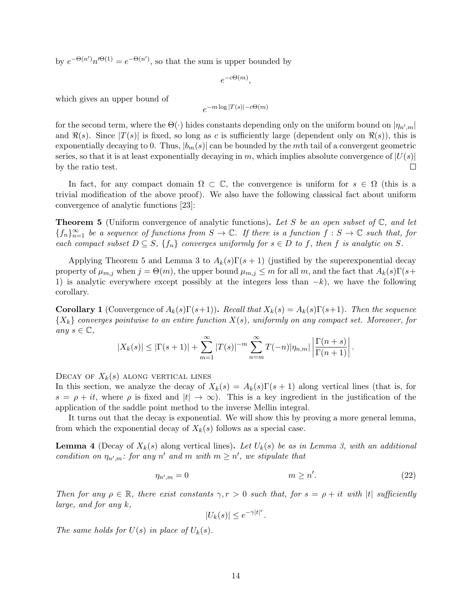by  $e^{-\Theta(n')n'^{\Theta(1)}} = e^{-\Theta(n')}$ , so that the sum is upper bounded by

$$
e^{-c\Theta(m)},
$$

which gives an upper bound of

$$
e^{-m\log|T(s)| - c\Theta(m)}
$$

for the second term, where the  $\Theta(\cdot)$  hides constants depending only on the uniform bound on  $|\eta_{n',m}|$ and  $\Re(s)$ . Since  $|T(s)|$  is fixed, so long as c is sufficiently large (dependent only on  $\Re(s)$ ), this is exponentially decaying to 0. Thus,  $|b_m(s)|$  can be bounded by the mth tail of a convergent geometric series, so that it is at least exponentially decaying in m, which implies absolute convergence of  $|U(s)|$ by the ratio test.  $\Box$ 

In fact, for any compact domain  $\Omega \subset \mathbb{C}$ , the convergence is uniform for  $s \in \Omega$  (this is a trivial modification of the above proof). We also have the following classical fact about uniform convergence of analytic functions [23]:

**Theorem 5** (Uniform convergence of analytic functions). Let S be an open subset of  $\mathbb{C}$ , and let  ${f_n}_{n=1}^{\infty}$  be a sequence of functions from  $S \to \mathbb{C}$ . If there is a function  $f : S \to \mathbb{C}$  such that, for each compact subset  $D \subseteq S$ ,  $\{f_n\}$  converges uniformly for  $s \in D$  to f, then f is analytic on S.

Applying Theorem 5 and Lemma 3 to  $A_k(s)\Gamma(s+1)$  (justified by the superexponential decay property of  $\mu_{m,j}$  when  $j = \Theta(m)$ , the upper bound  $\mu_{m,j} \leq m$  for all m, and the fact that  $A_k(s)\Gamma(s+$ 1) is analytic everywhere except possibly at the integers less than  $-k$ , we have the following corollary.

**Corollary 1** (Convergence of  $A_k(s)\Gamma(s+1)$ ). Recall that  $X_k(s) = A_k(s)\Gamma(s+1)$ . Then the sequence  $\{X_k\}$  converges pointwise to an entire function  $X(s)$ , uniformly on any compact set. Moreover, for any  $s \in \mathbb{C}$ ,

$$
|X_k(s)| \leq |\Gamma(s+1)| + \sum_{m=1}^{\infty} |T(s)|^{-m} \sum_{n=m}^{\infty} T(-n)|\eta_{n,m}| \left| \frac{\Gamma(n+s)}{\Gamma(n+1)} \right|.
$$

DECAY OF  $X_k(s)$  along vertical lines

In this section, we analyze the decay of  $X_k(s) = A_k(s)\Gamma(s+1)$  along vertical lines (that is, for  $s = \rho + it$ , where  $\rho$  is fixed and  $|t| \to \infty$ ). This is a key ingredient in the justification of the application of the saddle point method to the inverse Mellin integral.

It turns out that the decay is exponential. We will show this by proving a more general lemma, from which the exponential decay of  $X_k(s)$  follows as a special case.

**Lemma 4** (Decay of  $X_k(s)$  along vertical lines). Let  $U_k(s)$  be as in Lemma 3, with an additional condition on  $\eta_{n',m}$ : for any n' and m with  $m \geq n'$ , we stipulate that

$$
\eta_{n',m} = 0 \qquad \qquad m \ge n'.
$$
\n<sup>(22)</sup>

Then for any  $\rho \in \mathbb{R}$ , there exist constants  $\gamma, r > 0$  such that, for  $s = \rho + it$  with |t| sufficiently large, and for any k,

 $|U_k(s)| \leq e^{-\gamma|t|^r}.$ 

The same holds for  $U(s)$  in place of  $U_k(s)$ .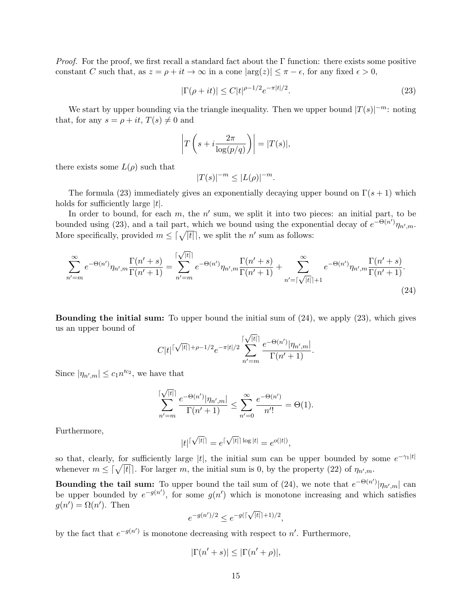*Proof.* For the proof, we first recall a standard fact about the  $\Gamma$  function: there exists some positive constant C such that, as  $z = \rho + it \to \infty$  in a cone  $|\arg(z)| \leq \pi - \epsilon$ , for any fixed  $\epsilon > 0$ ,

$$
|\Gamma(\rho + it)| \le C|t|^{\rho - 1/2} e^{-\pi|t|/2}.
$$
\n(23)

We start by upper bounding via the triangle inequality. Then we upper bound  $|T(s)|^{-m}$ : noting that, for any  $s = \rho + it$ ,  $T(s) \neq 0$  and

$$
\left| T\left(s + i\frac{2\pi}{\log(p/q)}\right) \right| = |T(s)|,
$$

there exists some  $L(\rho)$  such that

$$
|T(s)|^{-m} \le |L(\rho)|^{-m}.
$$

The formula (23) immediately gives an exponentially decaying upper bound on  $\Gamma(s+1)$  which holds for sufficiently large  $|t|$ .

In order to bound, for each  $m$ , the  $n'$  sum, we split it into two pieces: an initial part, to be bounded using (23), and a tail part, which we bound using the exponential decay of  $e^{-\Theta(n^i)}\eta_{n^i,m}$ . More specifically, provided  $m \leq \lceil \sqrt{|t|} \rceil$ , we split the n' sum as follows:

$$
\sum_{n'=m}^{\infty} e^{-\Theta(n')} \eta_{n',m} \frac{\Gamma(n'+s)}{\Gamma(n'+1)} = \sum_{n'=m}^{\lceil \sqrt{|t|} \rceil} e^{-\Theta(n')} \eta_{n',m} \frac{\Gamma(n'+s)}{\Gamma(n'+1)} + \sum_{n'=\lceil \sqrt{|t|} \rceil+1}^{\infty} e^{-\Theta(n')} \eta_{n',m} \frac{\Gamma(n'+s)}{\Gamma(n'+1)}.
$$
\n(24)

Bounding the initial sum: To upper bound the initial sum of (24), we apply (23), which gives us an upper bound of √

$$
C|t|^{[\sqrt{|t|}]+_{\rho-1/2}}e^{-\pi|t|/2}\sum_{n'=m}^{[\sqrt{|t|}]} \frac{e^{-\Theta(n')}|\eta_{n',m}|}{\Gamma(n'+1)}.
$$

Since  $|\eta_{n',m}| \leq c_1 n'^{c_2}$ , we have that

$$
\sum_{n'=m}^{\lceil\sqrt{|t|}\rceil} \frac{e^{-\Theta(n')}|\eta_{n',m}|}{\Gamma(n'+1)} \le \sum_{n'=0}^{\infty} \frac{e^{-\Theta(n')}}{n'!} = \Theta(1).
$$

Furthermore,

$$
|t|^{\lceil \sqrt{|t|} \rceil} = e^{\lceil \sqrt{|t|} \rceil \log |t|} = e^{o(|t|)},
$$

so that, clearly, for sufficiently large |t|, the initial sum can be upper bounded by some  $e^{-\gamma_1|t|}$ whenever  $m \leq \lceil \sqrt{|t|} \rceil$ . For larger m, the initial sum is 0, by the property (22) of  $\eta_{n',m}$ .

**Bounding the tail sum:** To upper bound the tail sum of (24), we note that  $e^{-\Theta(n')}|\eta_{n',m}|$  can be upper bounded by  $e^{-g(n')}$ , for some  $g(n')$  which is monotone increasing and which satisfies  $g(n') = \Omega(n')$ . Then √

$$
e^{-g(n')/2} \le e^{-g(\lceil \sqrt{|t|} \rceil + 1)/2},
$$

by the fact that  $e^{-g(n')}$  is monotone decreasing with respect to n'. Furthermore,

$$
|\Gamma(n'+s)| \le |\Gamma(n'+\rho)|,
$$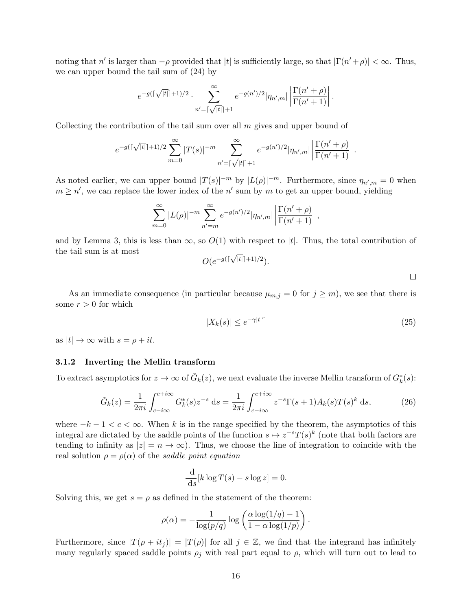noting that n' is larger than  $-\rho$  provided that |t| is sufficiently large, so that  $|\Gamma(n'+\rho)| < \infty$ . Thus, we can upper bound the tail sum of (24) by

$$
e^{-g(\lceil \sqrt{|t|} \rceil+1)/2} \cdot \sum_{n'=\lceil \sqrt{|t|} \rceil+1}^{\infty} e^{-g(n')/2} |\eta_{n',m}| \left| \frac{\Gamma(n'+\rho)}{\Gamma(n'+1)} \right|.
$$

Collecting the contribution of the tail sum over all  $m$  gives and upper bound of

$$
e^{-g(\lceil \sqrt{|t|} \rceil+1)/2} \sum_{m=0}^{\infty} |T(s)|^{-m} \sum_{n'= \lceil \sqrt{|t|} \rceil+1}^{\infty} e^{-g(n')/2} |\eta_{n',m}| \left| \frac{\Gamma(n'+\rho)}{\Gamma(n'+1)} \right|.
$$

As noted earlier, we can upper bound  $|T(s)|^{-m}$  by  $|L(\rho)|^{-m}$ . Furthermore, since  $\eta_{n',m}=0$  when  $m \geq n'$ , we can replace the lower index of the n' sum by m to get an upper bound, yielding

$$
\sum_{m=0}^{\infty} |L(\rho)|^{-m} \sum_{n'=m}^{\infty} e^{-g(n')/2} |\eta_{n',m}| \left| \frac{\Gamma(n'+\rho)}{\Gamma(n'+1)} \right|,
$$

and by Lemma 3, this is less than  $\infty$ , so  $O(1)$  with respect to |t|. Thus, the total contribution of the tail sum is at most √

$$
O(e^{-g(\lceil \sqrt{|t|} \rceil+1)/2}).
$$

 $\Box$ 

As an immediate consequence (in particular because  $\mu_{m,j} = 0$  for  $j \geq m$ ), we see that there is some  $r > 0$  for which

$$
|X_k(s)| \le e^{-\gamma |t|^r} \tag{25}
$$

as  $|t| \to \infty$  with  $s = \rho + it$ .

#### 3.1.2 Inverting the Mellin transform

To extract asymptotics for  $z \to \infty$  of  $\tilde{G}_k(z)$ , we next evaluate the inverse Mellin transform of  $G_k^*(s)$ :

$$
\tilde{G}_k(z) = \frac{1}{2\pi i} \int_{c-i\infty}^{c+i\infty} G_k^*(s) z^{-s} \, \mathrm{d} s = \frac{1}{2\pi i} \int_{c-i\infty}^{c+i\infty} z^{-s} \Gamma(s+1) A_k(s) T(s)^k \, \mathrm{d} s,\tag{26}
$$

where  $-k-1 < c < \infty$ . When k is in the range specified by the theorem, the asymptotics of this integral are dictated by the saddle points of the function  $s \mapsto z^{-s}T(s)^k$  (note that both factors are tending to infinity as  $|z| = n \to \infty$ ). Thus, we choose the line of integration to coincide with the real solution  $\rho = \rho(\alpha)$  of the *saddle point equation* 

$$
\frac{\mathrm{d}}{\mathrm{d}s}[k\log T(s) - s\log z] = 0.
$$

Solving this, we get  $s = \rho$  as defined in the statement of the theorem:

$$
\rho(\alpha) = -\frac{1}{\log(p/q)} \log\left(\frac{\alpha \log(1/q) - 1}{1 - \alpha \log(1/p)}\right).
$$

Furthermore, since  $|T(\rho + it_j)| = |T(\rho)|$  for all  $j \in \mathbb{Z}$ , we find that the integrand has infinitely many regularly spaced saddle points  $\rho_j$  with real part equal to  $\rho$ , which will turn out to lead to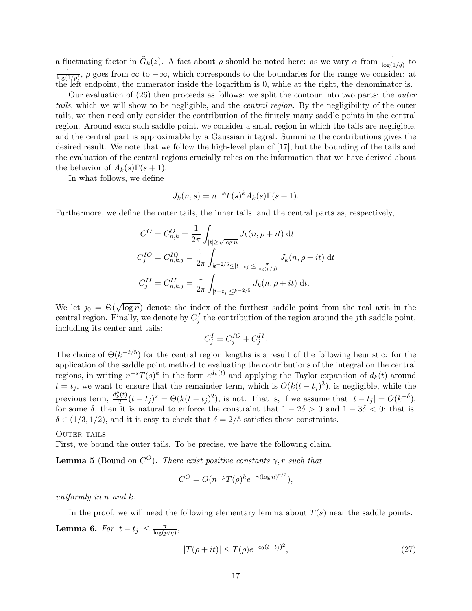a fluctuating factor in  $\tilde{G}_k(z)$ . A fact about  $\rho$  should be noted here: as we vary  $\alpha$  from  $\frac{1}{\log(1/q)}$  to 1  $\frac{1}{\log(1/p)}$ ,  $\rho$  goes from  $\infty$  to  $-\infty$ , which corresponds to the boundaries for the range we consider: at the left endpoint, the numerator inside the logarithm is  $0$ , while at the right, the denominator is.

Our evaluation of (26) then proceeds as follows: we split the contour into two parts: the outer tails, which we will show to be negligible, and the *central region*. By the negligibility of the outer tails, we then need only consider the contribution of the finitely many saddle points in the central region. Around each such saddle point, we consider a small region in which the tails are negligible, and the central part is approximable by a Gaussian integral. Summing the contributions gives the desired result. We note that we follow the high-level plan of [17], but the bounding of the tails and the evaluation of the central regions crucially relies on the information that we have derived about the behavior of  $A_k(s)\Gamma(s+1)$ .

In what follows, we define

$$
J_k(n,s) = n^{-s} T(s)^k A_k(s) \Gamma(s+1).
$$

Furthermore, we define the outer tails, the inner tails, and the central parts as, respectively,

$$
C^{O} = C_{n,k}^{O} = \frac{1}{2\pi} \int_{|t| \ge \sqrt{\log n}} J_k(n, \rho + it) dt
$$
  
\n
$$
C_j^{IO} = C_{n,k,j}^{IO} = \frac{1}{2\pi} \int_{k^{-2/5} \le |t-t_j| \le \frac{\pi}{\log(p/q)}} J_k(n, \rho + it) dt
$$
  
\n
$$
C_j^{II} = C_{n,k,j}^{II} = \frac{1}{2\pi} \int_{|t-t_j| \le k^{-2/5}} J_k(n, \rho + it) dt.
$$

We let  $j_0 = \Theta(\sqrt{\log n})$  denote the index of the furthest saddle point from the real axis in the central region. Finally, we denote by  $C_j^I$  the contribution of the region around the jth saddle point, including its center and tails:

$$
C_j^I = C_j^{IO} + C_j^{II}.
$$

The choice of  $\Theta(k^{-2/5})$  for the central region lengths is a result of the following heuristic: for the application of the saddle point method to evaluating the contributions of the integral on the central regions, in writing  $n^{-s}T(s)^k$  in the form  $e^{d_k(t)}$  and applying the Taylor expansion of  $d_k(t)$  around  $t = t_j$ , we want to ensure that the remainder term, which is  $O(k(t - t_j)^3)$ , is negligible, while the previous term,  $\frac{d''_k(t)}{2}$  $\frac{d}{dt}(t-t_j)^2 = \Theta(k(t-t_j)^2)$ , is not. That is, if we assume that  $|t-t_j| = O(k^{-\delta}),$ for some  $\delta$ , then it is natural to enforce the constraint that  $1 - 2\delta > 0$  and  $1 - 3\delta < 0$ ; that is,  $\delta \in (1/3, 1/2)$ , and it is easy to check that  $\delta = 2/5$  satisfies these constraints.

#### OUTER TAILS

First, we bound the outer tails. To be precise, we have the following claim.

**Lemma 5** (Bound on  $C^O$ ). There exist positive constants  $\gamma$ , r such that

$$
C^{O} = O(n^{-\rho}T(\rho)^{k}e^{-\gamma(\log n)^{r/2}}),
$$

uniformly in n and k.

In the proof, we will need the following elementary lemma about  $T(s)$  near the saddle points. **Lemma 6.** For  $|t-t_j| \leq \frac{\pi}{\log(p/q)},$ 

$$
|T(\rho + it)| \le T(\rho)e^{-c_0(t - t_j)^2},\tag{27}
$$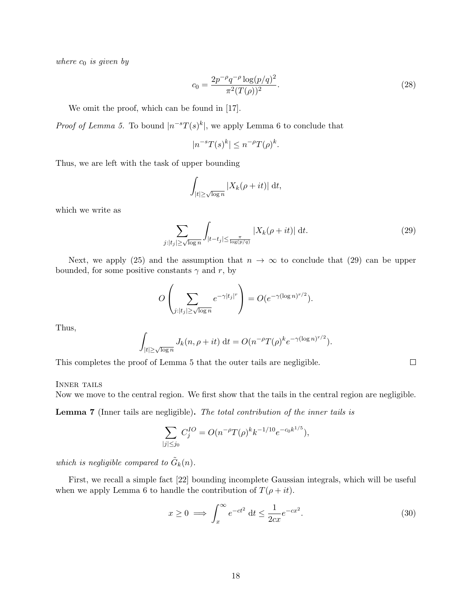where  $c_0$  is given by

$$
c_0 = \frac{2p^{-\rho}q^{-\rho}\log(p/q)^2}{\pi^2(T(\rho))^2}.
$$
\n(28)

We omit the proof, which can be found in [17].

*Proof of Lemma 5.* To bound  $|n^{-s}T(s)^k|$ , we apply Lemma 6 to conclude that

$$
|n^{-s}T(s)^k| \le n^{-\rho}T(\rho)^k.
$$

Thus, we are left with the task of upper bounding

$$
\int_{|t| \ge \sqrt{\log n}} |X_k(\rho + it)| \, \mathrm{d}t,
$$

which we write as

$$
\sum_{j:|t_j| \ge \sqrt{\log n}} \int_{|t-t_j| \le \frac{\pi}{\log(p/q)}} |X_k(\rho+it)| \, \mathrm{d}t. \tag{29}
$$

 $\Box$ 

Next, we apply (25) and the assumption that  $n \to \infty$  to conclude that (29) can be upper bounded, for some positive constants  $\gamma$  and r, by

$$
O\left(\sum_{j:|t_j|\geq \sqrt{\log n}} e^{-\gamma |t_j|^r}\right) = O(e^{-\gamma (\log n)^{r/2}}).
$$

Thus,

$$
\int_{|t| \ge \sqrt{\log n}} J_k(n, \rho + it) dt = O(n^{-\rho} T(\rho)^k e^{-\gamma (\log n)^{r/2}}).
$$

This completes the proof of Lemma 5 that the outer tails are negligible.

#### INNER TAILS

Now we move to the central region. We first show that the tails in the central region are negligible.

Lemma 7 (Inner tails are negligible). The total contribution of the inner tails is

$$
\sum_{|j| \le j_0} C_j^{IO} = O(n^{-\rho} T(\rho)^k k^{-1/10} e^{-c_0 k^{1/5}}),
$$

which is negligible compared to  $\tilde{G}_k(n)$ .

First, we recall a simple fact [22] bounding incomplete Gaussian integrals, which will be useful when we apply Lemma 6 to handle the contribution of  $T(\rho + it)$ .

$$
x \ge 0 \implies \int_{x}^{\infty} e^{-ct^2} dt \le \frac{1}{2cx} e^{-cx^2}.
$$
 (30)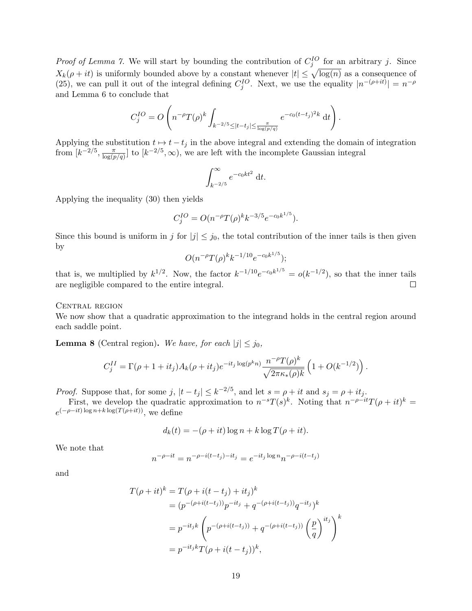*Proof of Lemma 7.* We will start by bounding the contribution of  $C_j^{IO}$  for an arbitrary j. Since  $X_k(\rho + it)$  is uniformly bounded above by a constant whenever  $|t| \leq \sqrt{\log(n)}$  as a consequence of (25), we can pull it out of the integral defining  $C_j^{IO}$ . Next, we use the equality  $|n^{-(\rho+it)}| = n^{-\rho}$ and Lemma 6 to conclude that

$$
C_j^{IO} = O\left(n^{-\rho}T(\rho)^k \int_{k^{-2/5} \leq |t-t_j| \leq \frac{\pi}{\log(p/q)}} e^{-c_0(t-t_j)^2 k} dt\right).
$$

Applying the substitution  $t \mapsto t - t_j$  in the above integral and extending the domain of integration from  $[k^{-2/5}, \frac{\pi}{\log(r)}]$  $\frac{\pi}{\log(p/q)}$  to  $[k^{-2/5}, \infty)$ , we are left with the incomplete Gaussian integral

$$
\int_{k^{-2/5}}^{\infty} e^{-c_0kt^2} dt.
$$

Applying the inequality (30) then yields

$$
C_j^{IO} = O(n^{-\rho}T(\rho)^kk^{-3/5}e^{-c_0k^{1/5}}).
$$

Since this bound is uniform in j for  $|j| \leq j_0$ , the total contribution of the inner tails is then given by

$$
O(n^{-\rho}T(\rho)^k k^{-1/10}e^{-c_0k^{1/5}});
$$

that is, we multiplied by  $k^{1/2}$ . Now, the factor  $k^{-1/10}e^{-c_0k^{1/5}} = o(k^{-1/2})$ , so that the inner tails are negligible compared to the entire integral.  $\Box$ 

CENTRAL REGION

We now show that a quadratic approximation to the integrand holds in the central region around each saddle point.

**Lemma 8** (Central region). We have, for each  $|j| \leq j_0$ ,

$$
C_j^{II} = \Gamma(\rho + 1 + it_j) A_k(\rho + it_j) e^{-it_j \log(p^k n)} \frac{n^{-\rho} T(\rho)^k}{\sqrt{2\pi\kappa_*(\rho)k}} \left(1 + O(k^{-1/2})\right).
$$

*Proof.* Suppose that, for some j,  $|t-t_j| \leq k^{-2/5}$ , and let  $s = \rho + it$  and  $s_j = \rho + it_j$ .

First, we develop the quadratic approximation to  $n^{-s}T(s)^k$ . Noting that  $n^{-\rho-it}T(\rho+it)^k =$  $e^{(-\rho - it) \log n + k \log(T(\rho + it))}$ , we define

$$
d_k(t) = -(\rho + it) \log n + k \log T(\rho + it).
$$

We note that

$$
n^{-\rho - it} = n^{-\rho - i(t - t_j) - it_j} = e^{-it_j \log n} n^{-\rho - i(t - t_j)}
$$

and

$$
T(\rho + it)^k = T(\rho + i(t - t_j) + it_j)^k
$$
  
=  $(p^{-(\rho + i(t - t_j))}p^{-it_j} + q^{-(\rho + i(t - t_j))}q^{-it_j})^k$   
=  $p^{-it_jk} \left( p^{-(\rho + i(t - t_j))} + q^{-(\rho + i(t - t_j))} \left( \frac{p}{q} \right)^{it_j} \right)^k$   
=  $p^{-it_jk}T(\rho + i(t - t_j))^k$ ,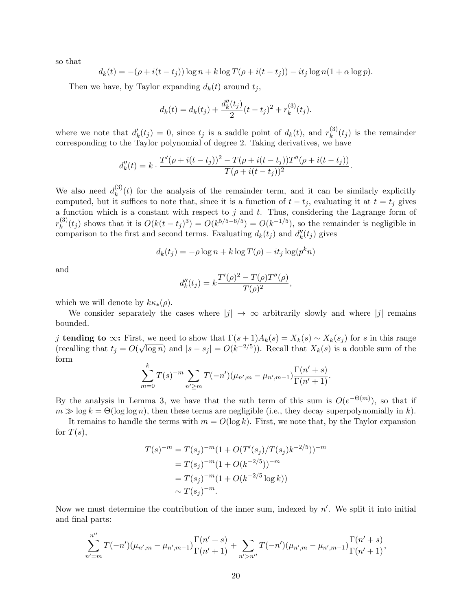so that

$$
d_k(t) = -(\rho + i(t - t_j)) \log n + k \log T(\rho + i(t - t_j)) - it_j \log n(1 + \alpha \log p).
$$

Then we have, by Taylor expanding  $d_k(t)$  around  $t_j$ ,

$$
d_k(t) = d_k(t_j) + \frac{d_k''(t_j)}{2}(t - t_j)^2 + r_k^{(3)}(t_j).
$$

where we note that  $d'_k(t_j) = 0$ , since  $t_j$  is a saddle point of  $d_k(t)$ , and  $r_k^{(3)}$  $k^{(0)}(t_j)$  is the remainder corresponding to the Taylor polynomial of degree 2. Taking derivatives, we have

$$
d''_k(t) = k \cdot \frac{T'(\rho + i(t - t_j))^2 - T(\rho + i(t - t_j))T''(\rho + i(t - t_j))}{T(\rho + i(t - t_j))^2}.
$$

We also need  $d_k^{(3)}$  $\kappa_k^{(5)}(t)$  for the analysis of the remainder term, and it can be similarly explicitly computed, but it suffices to note that, since it is a function of  $t - t_j$ , evaluating it at  $t = t_j$  gives a function which is a constant with respect to  $j$  and  $t$ . Thus, considering the Lagrange form of  $r_k^{(3)}$  $(k_k^{(3)}(t_j)$  shows that it is  $O(k(t-t_j)^3) = O(k^{5/5-6/5}) = O(k^{-1/5})$ , so the remainder is negligible in comparison to the first and second terms. Evaluating  $d_k(t_j)$  and  $d''_k(t_j)$  gives

$$
d_k(t_j) = -\rho \log n + k \log T(\rho) - it_j \log(p^k n)
$$

and

$$
d''_k(t_j) = k \frac{T'(\rho)^2 - T(\rho)T''(\rho)}{T(\rho)^2},
$$

which we will denote by  $k \kappa_*(\rho)$ .

We consider separately the cases where  $|j| \to \infty$  arbitrarily slowly and where  $|j|$  remains bounded.

j tending to  $\infty$ : First, we need to show that  $\Gamma(s+1)A_k(s) = X_k(s) \sim X_k(s_j)$  for s in this range (recalling that  $t_j = O(\sqrt{\log n})$  and  $|s - s_j| = O(k^{-2/5})$ ). Recall that  $X_k(s)$  is a double sum of the form

$$
\sum_{m=0}^{k} T(s)^{-m} \sum_{n' \ge m} T(-n') (\mu_{n',m} - \mu_{n',m-1}) \frac{\Gamma(n'+s)}{\Gamma(n'+1)}.
$$

By the analysis in Lemma 3, we have that the mth term of this sum is  $O(e^{-\Theta(m)})$ , so that if  $m \gg \log k = \Theta(\log \log n)$ , then these terms are negligible (i.e., they decay superpolynomially in k).

It remains to handle the terms with  $m = O(\log k)$ . First, we note that, by the Taylor expansion for  $T(s)$ ,

$$
T(s)^{-m} = T(s_j)^{-m} (1 + O(T'(s_j)/T(s_j)k^{-2/5}))^{-m}
$$
  
=  $T(s_j)^{-m} (1 + O(k^{-2/5}))^{-m}$   
=  $T(s_j)^{-m} (1 + O(k^{-2/5} \log k))$   
 $\sim T(s_j)^{-m}.$ 

Now we must determine the contribution of the inner sum, indexed by  $n'$ . We split it into initial and final parts:

$$
\sum_{n'=m}^{n''} T(-n')(\mu_{n',m}-\mu_{n',m-1}) \frac{\Gamma(n'+s)}{\Gamma(n'+1)} + \sum_{n'>n''} T(-n')(\mu_{n',m}-\mu_{n',m-1}) \frac{\Gamma(n'+s)}{\Gamma(n'+1)},
$$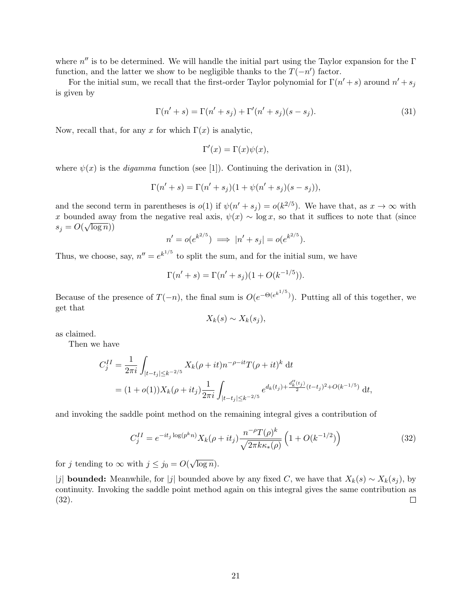where  $n''$  is to be determined. We will handle the initial part using the Taylor expansion for the  $\Gamma$ function, and the latter we show to be negligible thanks to the  $T(-n')$  factor.

For the initial sum, we recall that the first-order Taylor polynomial for  $\Gamma(n'+s)$  around  $n'+s_j$ is given by

$$
\Gamma(n'+s) = \Gamma(n'+s_j) + \Gamma'(n'+s_j)(s-s_j). \tag{31}
$$

Now, recall that, for any x for which  $\Gamma(x)$  is analytic,

$$
\Gamma'(x) = \Gamma(x)\psi(x),
$$

where  $\psi(x)$  is the *digamma* function (see [1]). Continuing the derivation in (31),

$$
\Gamma(n' + s) = \Gamma(n' + s_j)(1 + \psi(n' + s_j)(s - s_j)),
$$

and the second term in parentheses is  $o(1)$  if  $\psi(n'+s_j) = o(k^{2/5})$ . We have that, as  $x \to \infty$  with x bounded away from the negative real axis,  $\psi(x) \sim \log x$ , so that it suffices to note that (since  $s_j = O(\sqrt{\log n}))$ 

$$
n' = o(e^{k^{2/5}}) \implies |n' + s_j| = o(e^{k^{2/5}}).
$$

Thus, we choose, say,  $n'' = e^{k^{1/5}}$  to split the sum, and for the initial sum, we have

$$
\Gamma(n' + s) = \Gamma(n' + s_j)(1 + O(k^{-1/5})).
$$

Because of the presence of  $T(-n)$ , the final sum is  $O(e^{-\Theta(e^{k^{1/5}})})$ . Putting all of this together, we get that

$$
X_k(s) \sim X_k(s_j),
$$

as claimed.

Then we have

$$
C_j^{II} = \frac{1}{2\pi i} \int_{|t-t_j| \le k^{-2/5}} X_k(\rho + it)n^{-\rho - it} T(\rho + it)^k dt
$$
  
=  $(1 + o(1))X_k(\rho + it_j) \frac{1}{2\pi i} \int_{|t-t_j| \le k^{-2/5}} e^{d_k(t_j) + \frac{d''_k(t_j)}{2}(t-t_j)^2 + O(k^{-1/5})} dt,$ 

and invoking the saddle point method on the remaining integral gives a contribution of

$$
C_j^{II} = e^{-it_j \log(p^k n)} X_k(\rho + it_j) \frac{n^{-\rho} T(\rho)^k}{\sqrt{2\pi k \kappa_*(\rho)}} \left(1 + O(k^{-1/2})\right)
$$
(32)

for j tending to  $\infty$  with  $j \leq j_0 = O(n)$ √  $\overline{\log n}$ ).

|j| **bounded:** Meanwhile, for |j| bounded above by any fixed C, we have that  $X_k(s) \sim X_k(s_j)$ , by continuity. Invoking the saddle point method again on this integral gives the same contribution as (32).  $\Box$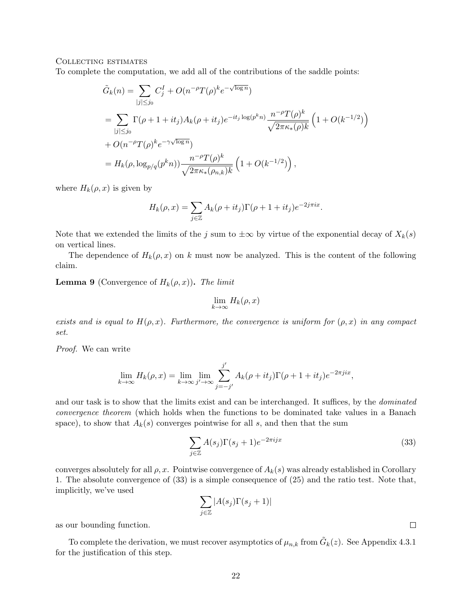#### Collecting estimates

To complete the computation, we add all of the contributions of the saddle points:

$$
\tilde{G}_k(n) = \sum_{|j| \le j_0} C_j^I + O(n^{-\rho} T(\rho)^k e^{-\sqrt{\log n}})
$$
  
\n
$$
= \sum_{|j| \le j_0} \Gamma(\rho + 1 + it_j) A_k(\rho + it_j) e^{-it_j \log(p^k n)} \frac{n^{-\rho} T(\rho)^k}{\sqrt{2\pi \kappa_*(\rho) k}} \left(1 + O(k^{-1/2})\right)
$$
  
\n
$$
+ O(n^{-\rho} T(\rho)^k e^{-\gamma \sqrt{\log n}})
$$
  
\n
$$
= H_k(\rho, \log_{p/q}(p^k n)) \frac{n^{-\rho} T(\rho)^k}{\sqrt{2\pi \kappa_*(\rho_{n,k})k}} \left(1 + O(k^{-1/2})\right),
$$

where  $H_k(\rho, x)$  is given by

$$
H_k(\rho, x) = \sum_{j \in \mathbb{Z}} A_k(\rho + it_j) \Gamma(\rho + 1 + it_j) e^{-2j\pi ix}.
$$

Note that we extended the limits of the j sum to  $\pm \infty$  by virtue of the exponential decay of  $X_k(s)$ on vertical lines.

The dependence of  $H_k(\rho, x)$  on k must now be analyzed. This is the content of the following claim.

**Lemma 9** (Convergence of  $H_k(\rho, x)$ ). The limit

$$
\lim_{k \to \infty} H_k(\rho, x)
$$

exists and is equal to  $H(\rho, x)$ . Furthermore, the convergence is uniform for  $(\rho, x)$  in any compact set.

Proof. We can write

$$
\lim_{k \to \infty} H_k(\rho, x) = \lim_{k \to \infty} \lim_{j' \to \infty} \sum_{j=-j'}^{j'} A_k(\rho + it_j) \Gamma(\rho + 1 + it_j) e^{-2\pi jix},
$$

and our task is to show that the limits exist and can be interchanged. It suffices, by the *dominated* convergence theorem (which holds when the functions to be dominated take values in a Banach space), to show that  $A_k(s)$  converges pointwise for all s, and then that the sum

$$
\sum_{j\in\mathbb{Z}} A(s_j)\Gamma(s_j+1)e^{-2\pi i jx}
$$
\n(33)

converges absolutely for all  $\rho$ , x. Pointwise convergence of  $A_k(s)$  was already established in Corollary 1. The absolute convergence of (33) is a simple consequence of (25) and the ratio test. Note that, implicitly, we've used

$$
\sum_{j\in\mathbb{Z}}|A(s_j)\Gamma(s_j+1)|
$$

as our bounding function.

To complete the derivation, we must recover asymptotics of  $\mu_{n,k}$  from  $\tilde{G}_k(z)$ . See Appendix 4.3.1 for the justification of this step.

 $\Box$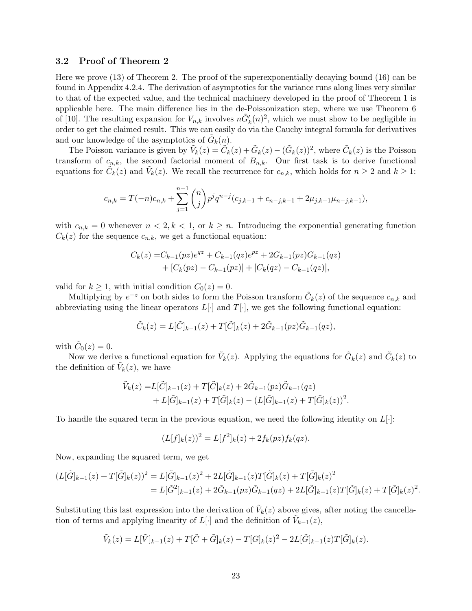### 3.2 Proof of Theorem 2

Here we prove (13) of Theorem 2. The proof of the superexponentially decaying bound (16) can be found in Appendix 4.2.4. The derivation of asymptotics for the variance runs along lines very similar to that of the expected value, and the technical machinery developed in the proof of Theorem 1 is applicable here. The main difference lies in the de-Poissonization step, where we use Theorem 6 of [10]. The resulting expansion for  $V_{n,k}$  involves  $n\tilde{G}'_k(n)^2$ , which we must show to be negligible in order to get the claimed result. This we can easily do via the Cauchy integral formula for derivatives and our knowledge of the asymptotics of  $\tilde{G}_k(n)$ .

The Poisson variance is given by  $\tilde{V}_k(z) = \tilde{C}_k(z) + \tilde{G}_k(z) - (\tilde{G}_k(z))^2$ , where  $\tilde{C}_k(z)$  is the Poisson transform of  $c_{n,k}$ , the second factorial moment of  $B_{n,k}$ . Our first task is to derive functional equations for  $\tilde{C}_k(z)$  and  $\tilde{V}_k(z)$ . We recall the recurrence for  $c_{n,k}$ , which holds for  $n \geq 2$  and  $k \geq 1$ :

$$
c_{n,k}=T(-n)c_{n,k}+\sum_{j=1}^{n-1}\binom{n}{j}p^jq^{n-j}(c_{j,k-1}+c_{n-j,k-1}+2\mu_{j,k-1}\mu_{n-j,k-1}),
$$

with  $c_{n,k} = 0$  whenever  $n < 2, k < 1$ , or  $k \geq n$ . Introducing the exponential generating function  $C_k(z)$  for the sequence  $c_{n,k}$ , we get a functional equation:

$$
C_k(z) = C_{k-1}(pz)e^{qz} + C_{k-1}(qz)e^{pz} + 2G_{k-1}(pz)G_{k-1}(qz) + [C_k(pz) - C_{k-1}(pz)] + [C_k(qz) - C_{k-1}(qz)],
$$

valid for  $k \geq 1$ , with initial condition  $C_0(z) = 0$ .

Multiplying by  $e^{-z}$  on both sides to form the Poisson transform  $\tilde{C}_k(z)$  of the sequence  $c_{n,k}$  and abbreviating using the linear operators  $L[\cdot]$  and  $T[\cdot]$ , we get the following functional equation:

$$
\tilde{C}_k(z) = L[\tilde{C}]_{k-1}(z) + T[\tilde{C}]_k(z) + 2\tilde{G}_{k-1}(pz)\tilde{G}_{k-1}(qz),
$$

with  $\tilde{C}_0(z) = 0$ .

Now we derive a functional equation for  $\tilde{V}_k(z)$ . Applying the equations for  $\tilde{G}_k(z)$  and  $\tilde{C}_k(z)$  to the definition of  $\tilde{V}_k(z)$ , we have

$$
\tilde{V}_k(z) = L[\tilde{C}]_{k-1}(z) + T[\tilde{C}]_k(z) + 2\tilde{G}_{k-1}(pz)\tilde{G}_{k-1}(qz) \n+ L[\tilde{G}]_{k-1}(z) + T[\tilde{G}]_k(z) - (L[\tilde{G}]_{k-1}(z) + T[\tilde{G}]_k(z))^2.
$$

To handle the squared term in the previous equation, we need the following identity on  $L[\cdot]$ :

$$
(L[f]_k(z))^2 = L[f^2]_k(z) + 2f_k(pz)f_k(qz).
$$

Now, expanding the squared term, we get

$$
(L[\tilde{G}]_{k-1}(z) + T[\tilde{G}]_k(z))^2 = L[\tilde{G}]_{k-1}(z)^2 + 2L[\tilde{G}]_{k-1}(z)T[\tilde{G}]_k(z) + T[\tilde{G}]_k(z)^2
$$
  
=  $L[\tilde{G}^2]_{k-1}(z) + 2\tilde{G}_{k-1}(pz)\tilde{G}_{k-1}(qz) + 2L[\tilde{G}]_{k-1}(z)T[\tilde{G}]_k(z) + T[\tilde{G}]_k(z)^2.$ 

Substituting this last expression into the derivation of  $\tilde{V}_k(z)$  above gives, after noting the cancellation of terms and applying linearity of  $L[\cdot]$  and the definition of  $\tilde{V}_{k-1}(z)$ ,

$$
\tilde{V}_k(z) = L[\tilde{V}]_{k-1}(z) + T[\tilde{C} + \tilde{G}]_k(z) - T[G]_k(z)^2 - 2L[\tilde{G}]_{k-1}(z)T[\tilde{G}]_k(z).
$$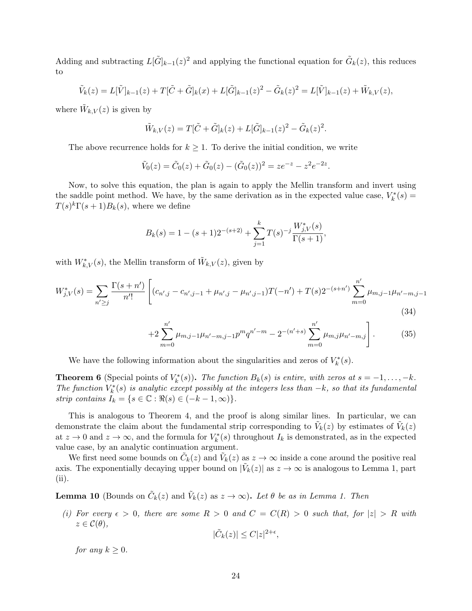Adding and subtracting  $L[\tilde{G}]_{k-1}(z)^2$  and applying the functional equation for  $\tilde{G}_k(z)$ , this reduces to

$$
\tilde{V}_k(z) = L[\tilde{V}]_{k-1}(z) + T[\tilde{C} + \tilde{G}]_k(x) + L[\tilde{G}]_{k-1}(z)^2 - \tilde{G}_k(z)^2 = L[\tilde{V}]_{k-1}(z) + \tilde{W}_{k,V}(z),
$$

where  $\tilde{W}_{k,V}(z)$  is given by

$$
\tilde{W}_{k,V}(z) = T[\tilde{C} + \tilde{G}]_k(z) + L[\tilde{G}]_{k-1}(z)^2 - \tilde{G}_k(z)^2.
$$

The above recurrence holds for  $k \geq 1$ . To derive the initial condition, we write

$$
\tilde{V}_0(z) = \tilde{C}_0(z) + \tilde{G}_0(z) - (\tilde{G}_0(z))^2 = ze^{-z} - z^2e^{-2z}.
$$

Now, to solve this equation, the plan is again to apply the Mellin transform and invert using the saddle point method. We have, by the same derivation as in the expected value case,  $V_k^*(s) =$  $T(s)^k \Gamma(s+1) B_k(s)$ , where we define

$$
B_k(s) = 1 - (s+1)2^{-(s+2)} + \sum_{j=1}^k T(s)^{-j} \frac{W_{j,V}^*(s)}{\Gamma(s+1)},
$$

with  $W_{k,V}^*(s)$ , the Mellin transform of  $\tilde{W}_{k,V}(z)$ , given by

$$
W_{j,V}^*(s) = \sum_{n' \ge j} \frac{\Gamma(s+n')}{n'!} \left[ (c_{n',j} - c_{n',j-1} + \mu_{n',j} - \mu_{n',j-1}) T(-n') + T(s) 2^{-(s+n')} \sum_{m=0}^{n'} \mu_{m,j-1} \mu_{n'-m,j-1} \right]
$$
\n(34)

$$
+2\sum_{m=0}^{n'}\mu_{m,j-1}\mu_{n'-m,j-1}p^mq^{n'-m}-2^{-(n'+s)}\sum_{m=0}^{n'}\mu_{m,j}\mu_{n'-m,j}\Bigg].\qquad (35)
$$

We have the following information about the singularities and zeros of  $V_k^*(s)$ .

**Theorem 6** (Special points of  $V_k^*(s)$ ). The function  $B_k(s)$  is entire, with zeros at  $s = -1, \ldots, -k$ . The function  $V_k^*(s)$  is analytic except possibly at the integers less than  $-k$ , so that its fundamental strip contains  $I_k = \{s \in \mathbb{C} : \Re(s) \in (-k-1, \infty)\}.$ 

This is analogous to Theorem 4, and the proof is along similar lines. In particular, we can demonstrate the claim about the fundamental strip corresponding to  $\tilde{V}_k(z)$  by estimates of  $\tilde{V}_k(z)$ at  $z \to 0$  and  $z \to \infty$ , and the formula for  $V_k^*(s)$  throughout  $I_k$  is demonstrated, as in the expected value case, by an analytic continuation argument.

We first need some bounds on  $\tilde{C}_k(z)$  and  $\tilde{V}_k(z)$  as  $z \to \infty$  inside a cone around the positive real axis. The exponentially decaying upper bound on  $|\tilde{V}_k(z)|$  as  $z \to \infty$  is analogous to Lemma 1, part (ii).

**Lemma 10** (Bounds on  $\tilde{C}_k(z)$  and  $\tilde{V}_k(z)$  as  $z \to \infty$ ). Let  $\theta$  be as in Lemma 1. Then

(i) For every  $\epsilon > 0$ , there are some  $R > 0$  and  $C = C(R) > 0$  such that, for  $|z| > R$  with  $z \in \mathcal{C}(\theta),$ 

$$
|\tilde{C}_k(z)| \leq C|z|^{2+\epsilon},
$$

for any  $k > 0$ .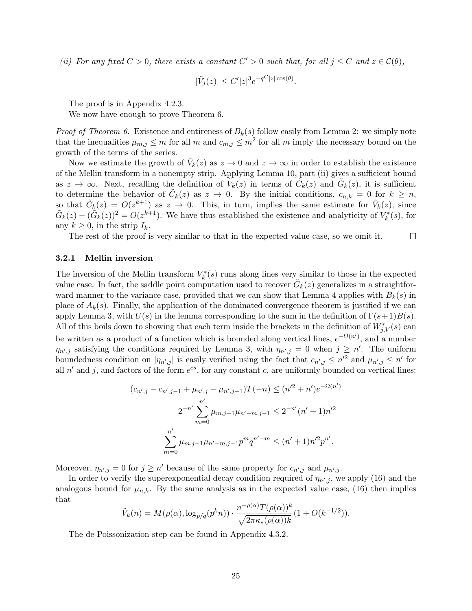(ii) For any fixed  $C > 0$ , there exists a constant  $C' > 0$  such that, for all  $j \leq C$  and  $z \in \mathcal{C}(\theta)$ ,

$$
|\tilde{V}_j(z)| \le C' |z|^3 e^{-q^C |z| \cos(\theta)}.
$$

The proof is in Appendix 4.2.3.

We now have enough to prove Theorem 6.

*Proof of Theorem 6.* Existence and entireness of  $B_k(s)$  follow easily from Lemma 2: we simply note that the inequalities  $\mu_{m,j} \leq m$  for all m and  $c_{m,j} \leq m^2$  for all m imply the necessary bound on the growth of the terms of the series.

Now we estimate the growth of  $\tilde{V}_k(z)$  as  $z \to 0$  and  $z \to \infty$  in order to establish the existence of the Mellin transform in a nonempty strip. Applying Lemma 10, part (ii) gives a sufficient bound as  $z \to \infty$ . Next, recalling the definition of  $\tilde{V}_k(z)$  in terms of  $\tilde{C}_k(z)$  and  $\tilde{G}_k(z)$ , it is sufficient to determine the behavior of  $\tilde{C}_k(z)$  as  $z \to 0$ . By the initial conditions,  $c_{n,k} = 0$  for  $k \geq n$ , so that  $\tilde{C}_k(z) = O(z^{k+1})$  as  $z \to 0$ . This, in turn, implies the same estimate for  $\tilde{V}_k(z)$ , since  $\tilde{G}_k(z) - (\tilde{G}_k(z))^2 = O(z^{k+1})$ . We have thus established the existence and analyticity of  $V_k^*(s)$ , for any  $k \geq 0$ , in the strip  $I_k$ .

The rest of the proof is very similar to that in the expected value case, so we omit it.  $\Box$ 

#### 3.2.1 Mellin inversion

The inversion of the Mellin transform  $V_k^*(s)$  runs along lines very similar to those in the expected value case. In fact, the saddle point computation used to recover  $\tilde{G}_k(z)$  generalizes in a straightforward manner to the variance case, provided that we can show that Lemma 4 applies with  $B_k(s)$  in place of  $A_k(s)$ . Finally, the application of the dominated convergence theorem is justified if we can apply Lemma 3, with  $U(s)$  in the lemma corresponding to the sum in the definition of  $\Gamma(s+1)B(s)$ . All of this boils down to showing that each term inside the brackets in the definition of  $W^*_{j,V}(s)$  can be written as a product of a function which is bounded along vertical lines,  $e^{-\Omega(n')}$ , and a number  $\eta_{n',j}$  satisfying the conditions required by Lemma 3, with  $\eta_{n',j} = 0$  when  $j \geq n'$ . The uniform boundedness condition on  $|\eta_{n',j}|$  is easily verified using the fact that  $c_{n',j} \leq n'^2$  and  $\mu_{n',j} \leq n'$  for all  $n'$  and j, and factors of the form  $e^{cs}$ , for any constant c, are uniformly bounded on vertical lines:

$$
(c_{n',j} - c_{n',j-1} + \mu_{n',j} - \mu_{n',j-1})T(-n) \le (n'^2 + n')e^{-\Omega(n')}
$$
  

$$
2^{-n'} \sum_{m=0}^{n'} \mu_{m,j-1}\mu_{n'-m,j-1} \le 2^{-n'}(n'+1)n'^2
$$
  

$$
\sum_{m=0}^{n'} \mu_{m,j-1}\mu_{n'-m,j-1}p^m q^{n'-m} \le (n'+1)n'^2 p^{n'}.
$$

Moreover,  $\eta_{n',j} = 0$  for  $j \geq n'$  because of the same property for  $c_{n',j}$  and  $\mu_{n',j}$ .

In order to verify the superexponential decay condition required of  $\eta_{n',j}$ , we apply (16) and the analogous bound for  $\mu_{n,k}$ . By the same analysis as in the expected value case, (16) then implies that

$$
\tilde{V}_k(n) = M(\rho(\alpha), \log_{p/q}(p^k n)) \cdot \frac{n^{-\rho(\alpha)}T(\rho(\alpha))^k}{\sqrt{2\pi\kappa_*(\rho(\alpha))^k}}(1 + O(k^{-1/2})).
$$

The de-Poissonization step can be found in Appendix 4.3.2.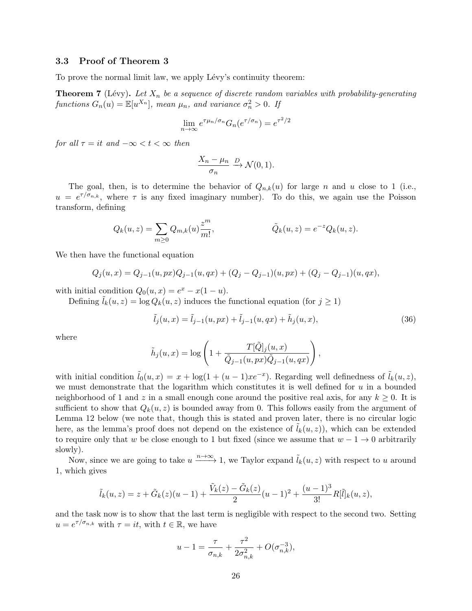### 3.3 Proof of Theorem 3

To prove the normal limit law, we apply Lévy's continuity theorem:

**Theorem 7** (Lévy). Let  $X_n$  be a sequence of discrete random variables with probability-generating functions  $G_n(u) = \mathbb{E}[u^{X_n}]$ , mean  $\mu_n$ , and variance  $\sigma_n^2 > 0$ . If

$$
\lim_{n \to \infty} e^{\tau \mu_n / \sigma_n} G_n(e^{\tau / \sigma_n}) = e^{\tau^2 / 2}
$$

for all  $\tau = it$  and  $-\infty < t < \infty$  then

$$
\frac{X_n - \mu_n}{\sigma_n} \xrightarrow{D} \mathcal{N}(0, 1).
$$

The goal, then, is to determine the behavior of  $Q_{n,k}(u)$  for large n and u close to 1 (i.e.,  $u = e^{\tau/\sigma_{n,k}}$ , where  $\tau$  is any fixed imaginary number). To do this, we again use the Poisson transform, defining

$$
Q_k(u, z) = \sum_{m \ge 0} Q_{m,k}(u) \frac{z^m}{m!}, \qquad \tilde{Q}_k(u, z) = e^{-z} Q_k(u, z).
$$

We then have the functional equation

$$
Q_j(u,x) = Q_{j-1}(u, px)Q_{j-1}(u,qx) + (Q_j - Q_{j-1})(u, px) + (Q_j - Q_{j-1})(u,qx),
$$

with initial condition  $Q_0(u, x) = e^x - x(1 - u)$ .

Defining  $l_k(u, z) = \log Q_k(u, z)$  induces the functional equation (for  $j \ge 1$ )

$$
\tilde{l}_j(u,x) = \tilde{l}_{j-1}(u, px) + \tilde{l}_{j-1}(u, qx) + \tilde{h}_j(u, x),
$$
\n(36)

where

$$
\tilde{h}_j(u,x) = \log\left(1 + \frac{T[\tilde{Q}]_j(u,x)}{\tilde{Q}_{j-1}(u,px)\tilde{Q}_{j-1}(u,qx)}\right),\,
$$

with initial condition  $\tilde{l}_0(u, x) = x + \log(1 + (u - 1)xe^{-x})$ . Regarding well definedness of  $\tilde{l}_k(u, z)$ , we must demonstrate that the logarithm which constitutes it is well defined for  $u$  in a bounded neighborhood of 1 and z in a small enough cone around the positive real axis, for any  $k \geq 0$ . It is sufficient to show that  $Q_k(u, z)$  is bounded away from 0. This follows easily from the argument of Lemma 12 below (we note that, though this is stated and proven later, there is no circular logic here, as the lemma's proof does not depend on the existence of  $l_k(u, z)$ , which can be extended to require only that w be close enough to 1 but fixed (since we assume that  $w - 1 \rightarrow 0$  arbitrarily slowly).

Now, since we are going to take  $u \xrightarrow{n \to \infty} 1$ , we Taylor expand  $\tilde{l}_k(u, z)$  with respect to u around 1, which gives

$$
\tilde{l}_k(u,z) = z + \tilde{G}_k(z)(u-1) + \frac{\tilde{V}_k(z) - \tilde{G}_k(z)}{2}(u-1)^2 + \frac{(u-1)^3}{3!}R[\tilde{l}]_k(u,z),
$$

and the task now is to show that the last term is negligible with respect to the second two. Setting  $u = e^{\tau/\sigma_{n,k}}$  with  $\tau = it$ , with  $t \in \mathbb{R}$ , we have

$$
u-1=\frac{\tau}{\sigma_{n,k}}+\frac{\tau^2}{2\sigma_{n,k}^2}+O(\sigma_{n,k}^{-3}),
$$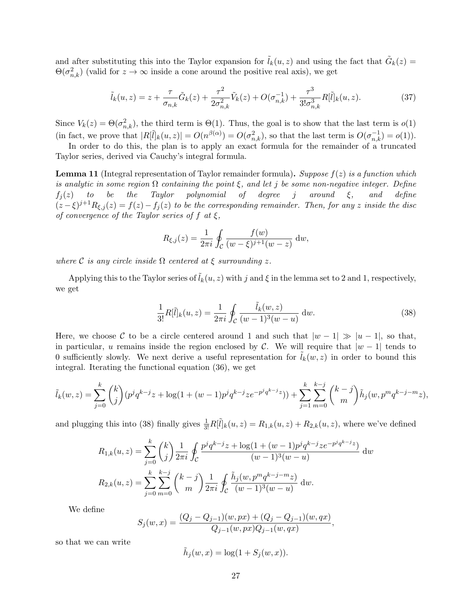and after substituting this into the Taylor expansion for  $\tilde{l}_k(u, z)$  and using the fact that  $\tilde{G}_k(z)$  $\Theta(\sigma_{n,k}^2)$  (valid for  $z \to \infty$  inside a cone around the positive real axis), we get

$$
\tilde{l}_k(u,z) = z + \frac{\tau}{\sigma_{n,k}} \tilde{G}_k(z) + \frac{\tau^2}{2\sigma_{n,k}^2} \tilde{V}_k(z) + O(\sigma_{n,k}^{-1}) + \frac{\tau^3}{3!\sigma_{n,k}^3} R[\tilde{l}]_k(u,z).
$$
\n(37)

Since  $V_k(z) = \Theta(\sigma_{n,k}^2)$ , the third term is  $\Theta(1)$ . Thus, the goal is to show that the last term is  $o(1)$ (in fact, we prove that  $|R[\tilde{l}]_k(u,z)| = O(n^{\beta(\alpha)}) = O(\sigma_{n,k}^2)$ , so that the last term is  $O(\sigma_{n,k}^{-1}) = o(1)$ ).

In order to do this, the plan is to apply an exact formula for the remainder of a truncated Taylor series, derived via Cauchy's integral formula.

**Lemma 11** (Integral representation of Taylor remainder formula). Suppose  $f(z)$  is a function which is analytic in some region  $\Omega$  containing the point  $\xi$ , and let j be some non-negative integer. Define  $f_j(z)$  to be the Taylor polynomial of degree j around  $\xi$ , and define  $(z-\xi)^{j+1}R_{\xi,j}(z) = f(z) - f_j(z)$  to be the corresponding remainder. Then, for any z inside the disc of convergence of the Taylor series of f at  $\xi$ ,

$$
R_{\xi,j}(z) = \frac{1}{2\pi i} \oint_C \frac{f(w)}{(w-\xi)^{j+1}(w-z)} dw,
$$

where  $\mathcal C$  is any circle inside  $\Omega$  centered at  $\xi$  surrounding  $z$ .

Applying this to the Taylor series of  $l_k(u, z)$  with j and  $\xi$  in the lemma set to 2 and 1, respectively, we get

$$
\frac{1}{3!}R[\tilde{l}]_k(u,z) = \frac{1}{2\pi i} \oint_C \frac{\tilde{l}_k(w,z)}{(w-1)^3(w-u)} dw.
$$
 (38)

,

Here, we choose C to be a circle centered around 1 and such that  $|w - 1| \gg |u - 1|$ , so that, in particular, u remains inside the region enclosed by C. We will require that  $|w - 1|$  tends to 0 sufficiently slowly. We next derive a useful representation for  $l_k(w, z)$  in order to bound this integral. Iterating the functional equation (36), we get

$$
\tilde{l}_k(w,z) = \sum_{j=0}^k \binom{k}{j} (p^j q^{k-j} z + \log(1 + (w-1)p^j q^{k-j} z e^{-p^j q^{k-j} z})) + \sum_{j=1}^k \sum_{m=0}^{k-j} \binom{k-j}{m} \tilde{h}_j(w, p^m q^{k-j-m} z),
$$

and plugging this into (38) finally gives  $\frac{1}{3!}R[\tilde{l}]_k(u,z) = R_{1,k}(u,z) + R_{2,k}(u,z)$ , where we've defined

$$
R_{1,k}(u, z) = \sum_{j=0}^{k} {k \choose j} \frac{1}{2\pi i} \oint_C \frac{p^j q^{k-j} z + \log(1 + (w-1)p^j q^{k-j} z e^{-p^j q^{k-j} z})}{(w-1)^3 (w-u)} dw
$$
  

$$
R_{2,k}(u, z) = \sum_{j=0}^{k} \sum_{m=0}^{k-j} {k-j \choose m} \frac{1}{2\pi i} \oint_C \frac{\tilde{h}_j(w, p^m q^{k-j-m} z)}{(w-1)^3 (w-u)} dw.
$$

We define

$$
S_j(w, x) = \frac{(Q_j - Q_{j-1})(w, px) + (Q_j - Q_{j-1})(w, qx)}{Q_{j-1}(w, px)Q_{j-1}(w, qx)}
$$

so that we can write

$$
\tilde{h}_j(w, x) = \log(1 + S_j(w, x)).
$$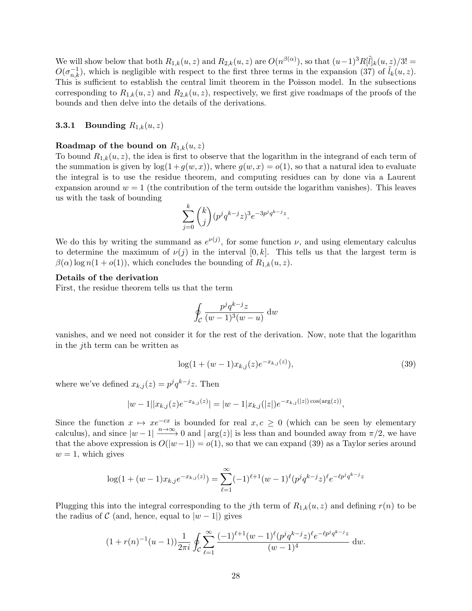We will show below that both  $R_{1,k}(u, z)$  and  $R_{2,k}(u, z)$  are  $O(n^{\beta(\alpha)})$ , so that  $(u-1)^3 R[\tilde{l}]_k(u, z)/3! =$  $O(\sigma_{n,k}^{-1})$ , which is negligible with respect to the first three terms in the expansion (37) of  $\tilde{l}_k(u,z)$ . This is sufficient to establish the central limit theorem in the Poisson model. In the subsections corresponding to  $R_{1,k}(u, z)$  and  $R_{2,k}(u, z)$ , respectively, we first give roadmaps of the proofs of the bounds and then delve into the details of the derivations.

### **3.3.1** Bounding  $R_{1,k}(u, z)$

#### Roadmap of the bound on  $R_{1,k}(u, z)$

To bound  $R_{1,k}(u, z)$ , the idea is first to observe that the logarithm in the integrand of each term of the summation is given by  $log(1 + g(w, x))$ , where  $g(w, x) = o(1)$ , so that a natural idea to evaluate the integral is to use the residue theorem, and computing residues can by done via a Laurent expansion around  $w = 1$  (the contribution of the term outside the logarithm vanishes). This leaves us with the task of bounding

$$
\sum_{j=0}^{k} {k \choose j} (p^j q^{k-j} z)^3 e^{-3p^j q^{k-j} z}.
$$

We do this by writing the summand as  $e^{\nu(j)}$ , for some function  $\nu$ , and using elementary calculus to determine the maximum of  $\nu(j)$  in the interval  $[0, k]$ . This tells us that the largest term is  $\beta(\alpha)$  log  $n(1+o(1))$ , which concludes the bounding of  $R_{1,k}(u, z)$ .

#### Details of the derivation

First, the residue theorem tells us that the term

$$
\oint_C \frac{p^j q^{k-j} z}{(w-1)^3 (w-u)} \, \mathrm{d} w
$$

vanishes, and we need not consider it for the rest of the derivation. Now, note that the logarithm in the jth term can be written as

$$
\log(1 + (w - 1)x_{k,j}(z)e^{-x_{k,j}(z)}),\tag{39}
$$

where we've defined  $x_{k,j}(z) = p^j q^{k-j} z$ . Then

$$
|w-1||x_{k,j}(z)e^{-x_{k,j}(z)}| = |w-1|x_{k,j}(|z|)e^{-x_{k,j}(|z|)\cos(\arg(z))},
$$

Since the function  $x \mapsto xe^{-cx}$  is bounded for real  $x, c \ge 0$  (which can be seen by elementary calculus), and since  $|w-1| \xrightarrow{n \to \infty} 0$  and  $|\arg(z)|$  is less than and bounded away from  $\pi/2$ , we have that the above expression is  $O(|w-1|) = o(1)$ , so that we can expand (39) as a Taylor series around  $w = 1$ , which gives

$$
\log(1 + (w-1)x_{k,j}e^{-x_{k,j}(z)}) = \sum_{\ell=1}^{\infty} (-1)^{\ell+1} (w-1)^{\ell} (p^j q^{k-j} z)^{\ell} e^{-\ell p^j q^{k-j} z}
$$

Plugging this into the integral corresponding to the jth term of  $R_{1,k}(u, z)$  and defining  $r(n)$  to be the radius of  $\mathcal C$  (and, hence, equal to  $|w-1|$ ) gives

$$
(1 + r(n)^{-1}(u - 1))\frac{1}{2\pi i} \oint_C \sum_{\ell=1}^{\infty} \frac{(-1)^{\ell+1}(w - 1)^{\ell}(p^j q^{k-j} z)^{\ell} e^{-\ell p^j q^{k-j} z}}{(w - 1)^4} dw.
$$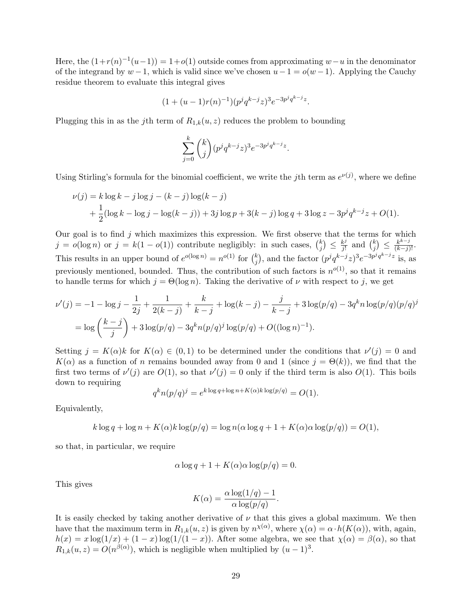Here, the  $(1+r(n)^{-1}(u-1)) = 1+o(1)$  outside comes from approximating  $w-u$  in the denominator of the integrand by  $w-1$ , which is valid since we've chosen  $u-1 = o(w-1)$ . Applying the Cauchy residue theorem to evaluate this integral gives

$$
(1 + (u - 1)r(n)^{-1})(p^{j}q^{k-j}z)^{3}e^{-3p^{j}q^{k-j}z}.
$$

Plugging this in as the j<sup>th</sup> term of  $R_{1,k}(u, z)$  reduces the problem to bounding

$$
\sum_{j=0}^{k} {k \choose j} (p^j q^{k-j} z)^3 e^{-3p^j q^{k-j} z}.
$$

Using Stirling's formula for the binomial coefficient, we write the jth term as  $e^{\nu(j)}$ , where we define

$$
\nu(j) = k \log k - j \log j - (k - j) \log(k - j)
$$
  
+  $\frac{1}{2} (\log k - \log j - \log(k - j)) + 3j \log p + 3(k - j) \log q + 3 \log z - 3p^{j} q^{k-j} z + O(1).$ 

Our goal is to find  $j$  which maximizes this expression. We first observe that the terms for which  $j = o(\log n)$  or  $j = k(1 - o(1))$  contribute negligibly: in such cases,  $\binom{k}{i}$  $\binom{k}{j} \leq \frac{k^j}{j!}$  $\frac{k^j}{j!}$  and  $\binom{k}{j}$  $\binom{k}{j} \leq \frac{k^{k-j}}{(k-j)!}$ . This results in an upper bound of  $e^{o(\log n)} = n^{o(1)}$  for  $\binom{k}{i}$  $j$ , and the factor  $(p^j q^{k-j} z)^3 e^{-3p^j q^{k-j} z}$  is, as previously mentioned, bounded. Thus, the contribution of such factors is  $n^{o(1)}$ , so that it remains to handle terms for which  $j = \Theta(\log n)$ . Taking the derivative of  $\nu$  with respect to j, we get

$$
\nu'(j) = -1 - \log j - \frac{1}{2j} + \frac{1}{2(k-j)} + \frac{k}{k-j} + \log(k-j) - \frac{j}{k-j} + 3\log(p/q) - 3q^k n \log(p/q)(p/q)^j
$$
  
=  $\log\left(\frac{k-j}{j}\right) + 3\log(p/q) - 3q^k n(p/q)^j \log(p/q) + O((\log n)^{-1}).$ 

Setting  $j = K(\alpha)k$  for  $K(\alpha) \in (0,1)$  to be determined under the conditions that  $\nu'(j) = 0$  and  $K(\alpha)$  as a function of n remains bounded away from 0 and 1 (since  $j = \Theta(k)$ ), we find that the first two terms of  $\nu'(j)$  are  $O(1)$ , so that  $\nu'(j) = 0$  only if the third term is also  $O(1)$ . This boils down to requiring

$$
q^k n(p/q)^j = e^{k \log q + \log n + K(\alpha)k \log(p/q)} = O(1).
$$

Equivalently,

$$
k \log q + \log n + K(\alpha)k \log(p/q) = \log n(\alpha \log q + 1 + K(\alpha)\alpha \log(p/q)) = O(1),
$$

so that, in particular, we require

$$
\alpha \log q + 1 + K(\alpha)\alpha \log(p/q) = 0.
$$

This gives

$$
K(\alpha) = \frac{\alpha \log(1/q) - 1}{\alpha \log(p/q)}.
$$

It is easily checked by taking another derivative of  $\nu$  that this gives a global maximum. We then have that the maximum term in  $R_{1,k}(u, z)$  is given by  $n^{\chi(\alpha)}$ , where  $\chi(\alpha) = \alpha \cdot h(K(\alpha))$ , with, again,  $h(x) = x \log(1/x) + (1-x) \log(1/(1-x))$ . After some algebra, we see that  $\chi(\alpha) = \beta(\alpha)$ , so that  $R_{1,k}(u, z) = O(n^{\beta(\alpha)})$ , which is negligible when multiplied by  $(u - 1)^3$ .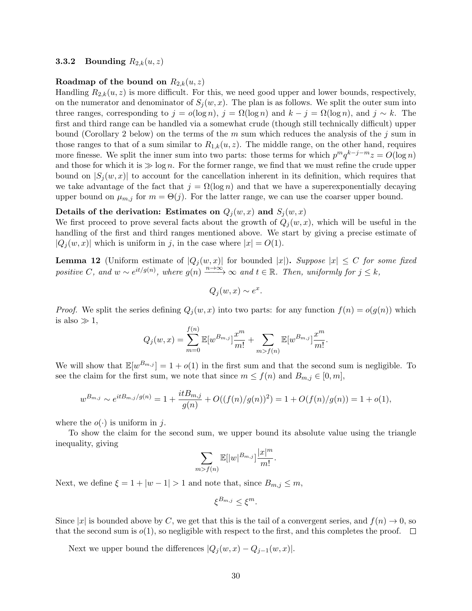## **3.3.2** Bounding  $R_{2,k}(u, z)$

### Roadmap of the bound on  $R_{2,k}(u, z)$

Handling  $R_{2,k}(u, z)$  is more difficult. For this, we need good upper and lower bounds, respectively, on the numerator and denominator of  $S_i(w, x)$ . The plan is as follows. We split the outer sum into three ranges, corresponding to  $j = o(\log n)$ ,  $j = \Omega(\log n)$  and  $k - j = \Omega(\log n)$ , and  $j \sim k$ . The first and third range can be handled via a somewhat crude (though still technically difficult) upper bound (Corollary 2 below) on the terms of the m sum which reduces the analysis of the j sum in those ranges to that of a sum similar to  $R_{1,k}(u, z)$ . The middle range, on the other hand, requires more finesse. We split the inner sum into two parts: those terms for which  $p^m q^{k-j-m} z = O(\log n)$ and those for which it is  $\gg \log n$ . For the former range, we find that we must refine the crude upper bound on  $|S_i(w, x)|$  to account for the cancellation inherent in its definition, which requires that we take advantage of the fact that  $j = \Omega(\log n)$  and that we have a superexponentially decaying upper bound on  $\mu_{m,j}$  for  $m = \Theta(j)$ . For the latter range, we can use the coarser upper bound.

### Details of the derivation: Estimates on  $Q_i(w, x)$  and  $S_i(w, x)$

We first proceed to prove several facts about the growth of  $Q_i(w, x)$ , which will be useful in the handling of the first and third ranges mentioned above. We start by giving a precise estimate of  $|Q_i(w, x)|$  which is uniform in j, in the case where  $|x| = O(1)$ .

**Lemma 12** (Uniform estimate of  $|Q_i(w, x)|$  for bounded |x|). Suppose  $|x| \leq C$  for some fixed positive C, and  $w \sim e^{it/g(n)}$ , where  $g(n) \xrightarrow{n \to \infty} \infty$  and  $t \in \mathbb{R}$ . Then, uniformly for  $j \leq k$ ,

$$
Q_j(w, x) \sim e^x.
$$

*Proof.* We split the series defining  $Q_i(w, x)$  into two parts: for any function  $f(n) = o(g(n))$  which is also  $\gg 1$ ,

$$
Q_j(w, x) = \sum_{m=0}^{f(n)} \mathbb{E}[w^{B_{m,j}}] \frac{x^m}{m!} + \sum_{m > f(n)} \mathbb{E}[w^{B_{m,j}}] \frac{x^m}{m!}.
$$

We will show that  $\mathbb{E}[w^{B_{m,j}}] = 1 + o(1)$  in the first sum and that the second sum is negligible. To see the claim for the first sum, we note that since  $m \le f(n)$  and  $B_{m,j} \in [0, m]$ ,

$$
w^{B_{m,j}} \sim e^{itB_{m,j}/g(n)} = 1 + \frac{itB_{m,j}}{g(n)} + O((f(n)/g(n))^2) = 1 + O(f(n)/g(n)) = 1 + o(1),
$$

where the  $o(\cdot)$  is uniform in j.

To show the claim for the second sum, we upper bound its absolute value using the triangle inequality, giving

$$
\sum_{m>f(n)} \mathbb{E}[|w|^{B_{m,j}}] \frac{|x|^m}{m!}.
$$

Next, we define  $\xi = 1 + |w - 1| > 1$  and note that, since  $B_{m,j} \leq m$ ,

$$
\xi^{B_{m,j}} \leq \xi^m.
$$

Since  $|x|$  is bounded above by C, we get that this is the tail of a convergent series, and  $f(n) \to 0$ , so that the second sum is  $o(1)$ , so negligible with respect to the first, and this completes the proof.  $\Box$ 

Next we upper bound the differences  $|Q_j(w, x) - Q_{j-1}(w, x)|$ .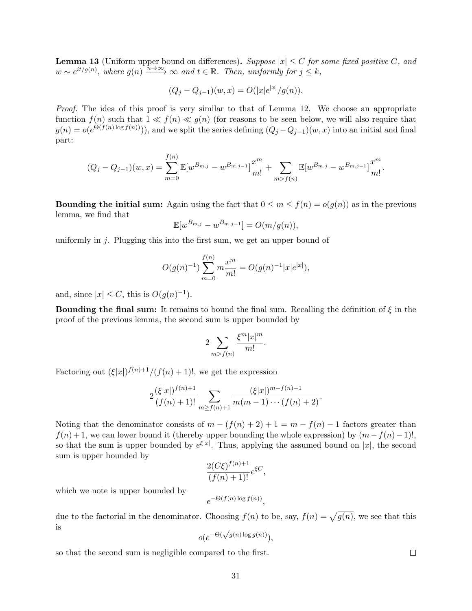**Lemma 13** (Uniform upper bound on differences). Suppose  $|x| \leq C$  for some fixed positive C, and  $w \sim e^{it/g(n)}$ , where  $g(n) \xrightarrow{\hat{n} \to \infty} \infty$  and  $t \in \mathbb{R}$ . Then, uniformly for  $j \leq k$ ,

$$
(Q_j - Q_{j-1})(w, x) = O(|x|e^{|x|}/g(n)).
$$

Proof. The idea of this proof is very similar to that of Lemma 12. We choose an appropriate function  $f(n)$  such that  $1 \ll f(n) \ll g(n)$  (for reasons to be seen below, we will also require that  $g(n) = o(e^{\Theta(f(n)\log f(n))}))$ , and we split the series defining  $(Q_j - Q_{j-1})(w, x)$  into an initial and final part:

$$
(Q_j - Q_{j-1})(w, x) = \sum_{m=0}^{f(n)} \mathbb{E}[w^{B_{m,j}} - w^{B_{m,j-1}}] \frac{x^m}{m!} + \sum_{m>f(n)} \mathbb{E}[w^{B_{m,j}} - w^{B_{m,j-1}}] \frac{x^m}{m!}.
$$

**Bounding the initial sum:** Again using the fact that  $0 \le m \le f(n) = o(g(n))$  as in the previous lemma, we find that

$$
\mathbb{E}[w^{B_{m,j}} - w^{B_{m,j-1}}] = O(m/g(n)),
$$

uniformly in  $j$ . Plugging this into the first sum, we get an upper bound of

$$
O(g(n)^{-1})\sum_{m=0}^{f(n)} m \frac{x^m}{m!} = O(g(n)^{-1}|x|e^{|x|}),
$$

and, since  $|x| \leq C$ , this is  $O(g(n)^{-1})$ .

**Bounding the final sum:** It remains to bound the final sum. Recalling the definition of  $\xi$  in the proof of the previous lemma, the second sum is upper bounded by

$$
2\sum_{m>f(n)}\frac{\xi^m|x|^m}{m!}.
$$

Factoring out  $(\xi|x|)^{f(n)+1}/(f(n)+1)!$ , we get the expression

$$
2\frac{(\xi|x|)^{f(n)+1}}{(f(n)+1)!}\sum_{m\geq f(n)+1}\frac{(\xi|x|)^{m-f(n)-1}}{m(m-1)\cdots(f(n)+2)}.
$$

Noting that the denominator consists of  $m - (f(n) + 2) + 1 = m - f(n) - 1$  factors greater than  $f(n) + 1$ , we can lower bound it (thereby upper bounding the whole expression) by  $(m - f(n) - 1)$ ! so that the sum is upper bounded by  $e^{\xi|x|}$ . Thus, applying the assumed bound on |x|, the second sum is upper bounded by

$$
\frac{2(C\xi)^{f(n)+1}}{(f(n)+1)!}e^{\xi C},
$$

which we note is upper bounded by

$$
e^{-\Theta(f(n)\log f(n))},
$$

due to the factorial in the denominator. Choosing  $f(n)$  to be, say,  $f(n) = \sqrt{g(n)}$ , we see that this is −Θ(<sup>√</sup>

$$
o(e^{-\Theta(\sqrt{g(n)\log g(n)})}),
$$

so that the second sum is negligible compared to the first.

 $\Box$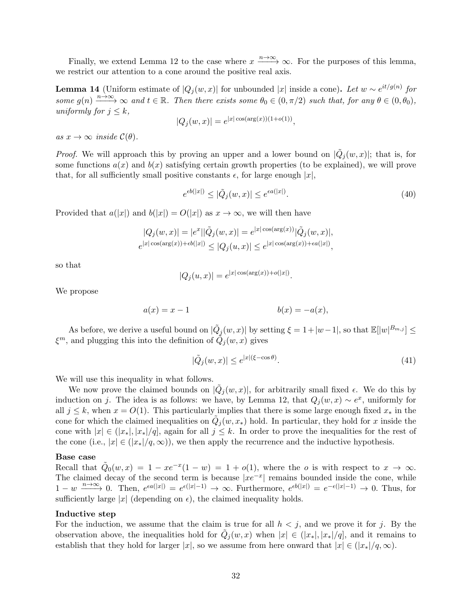Finally, we extend Lemma 12 to the case where  $x \xrightarrow{n \to \infty} \infty$ . For the purposes of this lemma, we restrict our attention to a cone around the positive real axis.

**Lemma 14** (Uniform estimate of  $|Q_j(w, x)|$  for unbounded |x| inside a cone). Let  $w \sim e^{it/g(n)}$  for some  $g(n) \xrightarrow{n \to \infty} \infty$  and  $t \in \mathbb{R}$ . Then there exists some  $\theta_0 \in (0, \pi/2)$  such that, for any  $\theta \in (0, \theta_0)$ , uniformly for  $j \leq k$ ,

$$
|Q_j(w, x)| = e^{|x| \cos(\arg(x))(1 + o(1))}
$$

as  $x \to \infty$  inside  $\mathcal{C}(\theta)$ .

*Proof.* We will approach this by proving an upper and a lower bound on  $|\tilde{Q}_j(w,x)|$ ; that is, for some functions  $a(x)$  and  $b(x)$  satisfying certain growth properties (to be explained), we will prove that, for all sufficiently small positive constants  $\epsilon$ , for large enough |x|,

$$
e^{\epsilon b(|x|)} \le |\tilde{Q}_j(w, x)| \le e^{\epsilon a(|x|)}.
$$
\n
$$
(40)
$$

.

,

Provided that  $a(|x|)$  and  $b(|x|) = O(|x|)$  as  $x \to \infty$ , we will then have

$$
|Q_j(w, x)| = |e^x||\tilde{Q}_j(w, x)| = e^{|x| \cos(\arg(x))} |\tilde{Q}_j(w, x)|,
$$
  

$$
e^{|x| \cos(\arg(x)) + \epsilon b(|x|)} \le |Q_j(u, x)| \le e^{|x| \cos(\arg(x)) + \epsilon a(|x|)},
$$

so that

$$
|Q_j(u, x)| = e^{|x| \cos(\arg(x)) + o(|x|)}
$$

We propose

$$
a(x) = x - 1
$$
\n
$$
b(x) = -a(x),
$$

As before, we derive a useful bound on  $|\tilde{Q}_j(w, x)|$  by setting  $\xi = 1 + |w - 1|$ , so that  $\mathbb{E}[|w|^{B_{m,j}}] \le$  $\xi^m$ , and plugging this into the definition of  $\tilde{Q}_j(w, x)$  gives

$$
|\tilde{Q}_j(w,x)| \le e^{|x|(\xi - \cos \theta)}.\tag{41}
$$

We will use this inequality in what follows.

We now prove the claimed bounds on  $|\tilde{Q}_j(w, x)|$ , for arbitrarily small fixed  $\epsilon$ . We do this by induction on j. The idea is as follows: we have, by Lemma 12, that  $Q_j(w, x) \sim e^x$ , uniformly for all  $j \leq k$ , when  $x = O(1)$ . This particularly implies that there is some large enough fixed  $x_*$  in the cone for which the claimed inequalities on  $\tilde{Q}_j(w, x_*)$  hold. In particular, they hold for x inside the cone with  $|x| \in (|x_*|, |x_*|/q]$ , again for all  $j \leq k$ . In order to prove the inequalities for the rest of the cone (i.e.,  $|x| \in (x_*|/q,\infty)$ ), we then apply the recurrence and the inductive hypothesis.

#### Base case

Recall that  $\tilde{Q}_0(w,x) = 1 - xe^{-x}(1-w) = 1 + o(1)$ , where the *o* is with respect to  $x \to \infty$ . The claimed decay of the second term is because  $|x e^{-x}|$  remains bounded inside the cone, while  $1-w \xrightarrow{n \to \infty} 0$ . Then,  $e^{\epsilon a(|x|)} = e^{\epsilon(|x|-1)} \to \infty$ . Furthermore,  $e^{\epsilon b(|x|)} = e^{-\epsilon(|x|-1)} \to 0$ . Thus, for sufficiently large |x| (depending on  $\epsilon$ ), the claimed inequality holds.

## Inductive step

For the induction, we assume that the claim is true for all  $h < j$ , and we prove it for j. By the observation above, the inequalities hold for  $\tilde{Q}_j(w, x)$  when  $|x| \in (|x_*|, |x_*|/q]$ , and it remains to establish that they hold for larger |x|, so we assume from here onward that  $|x| \in (x_*|/q, \infty)$ .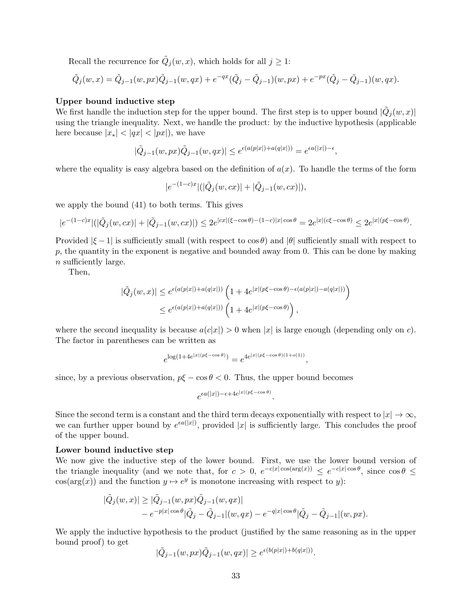Recall the recurrence for  $\tilde{Q}_j(w, x)$ , which holds for all  $j \geq 1$ :

$$
\tilde{Q}_j(w,x) = \tilde{Q}_{j-1}(w, px)\tilde{Q}_{j-1}(w, qx) + e^{-qx}(\tilde{Q}_j - \tilde{Q}_{j-1})(w, px) + e^{-px}(\tilde{Q}_j - \tilde{Q}_{j-1})(w, qx).
$$

#### Upper bound inductive step

We first handle the induction step for the upper bound. The first step is to upper bound  $|\tilde{Q}_j(w, x)|$ using the triangle inequality. Next, we handle the product: by the inductive hypothesis (applicable here because  $|x_*| < |qx| < |px|$ ), we have

$$
|\tilde{Q}_{j-1}(w,px)\tilde{Q}_{j-1}(w,qx)| \leq e^{\epsilon(a(p|x|)+a(q|x|))} = e^{\epsilon a(|x|)-\epsilon},
$$

where the equality is easy algebra based on the definition of  $a(x)$ . To handle the terms of the form

$$
|e^{-(1-c)x}|(|\tilde{Q}_j(w,cx)|+|\tilde{Q}_{j-1}(w,cx)|),
$$

we apply the bound (41) to both terms. This gives

$$
|e^{-(1-c)x}|(|\tilde{Q}_j(w,cx)|+|\tilde{Q}_{j-1}(w,cx)|) \leq 2e^{|cx|(\xi-\cos\theta)-(1-c)|x|\cos\theta} = 2e^{|x|(\alpha\xi-\cos\theta)} \leq 2e^{|x|(\rho\xi-\cos\theta)}.
$$

Provided  $|\xi - 1|$  is sufficiently small (with respect to  $\cos \theta$ ) and  $|\theta|$  sufficiently small with respect to  $p$ , the quantity in the exponent is negative and bounded away from 0. This can be done by making n sufficiently large.

Then,

$$
\begin{split} |\tilde{Q}_j(w,x)| &\leq e^{\epsilon(a(p|x|)+a(q|x|))}\left(1+4e^{|x|(p\xi-\cos\theta)-\epsilon(a(p|x|)-a(q|x|))}\right)\\ &\leq e^{\epsilon(a(p|x|)+a(q|x|))}\left(1+4e^{|x|(p\xi-\cos\theta)}\right), \end{split}
$$

where the second inequality is because  $a(c|x|) > 0$  when |x| is large enough (depending only on c). The factor in parentheses can be written as

$$
e^{\log(1+4e^{|x|(p\xi-\cos\theta)})} = e^{4e^{|x|(p\xi-\cos\theta)(1+o(1))}},
$$

since, by a previous observation,  $p\xi - \cos \theta < 0$ . Thus, the upper bound becomes

$$
e^{\epsilon a(|x|)-\epsilon+4e^{|x|(p\xi-\cos\theta)}}.
$$

Since the second term is a constant and the third term decays exponentially with respect to  $|x| \to \infty$ , we can further upper bound by  $e^{\epsilon a(|x|)}$ , provided |x| is sufficiently large. This concludes the proof of the upper bound.

#### Lower bound inductive step

We now give the inductive step of the lower bound. First, we use the lower bound version of the triangle inequality (and we note that, for  $c > 0$ ,  $e^{-c|x|\cos(\arg(x))} \leq e^{-c|x|\cos\theta}$ , since  $\cos\theta \leq$  $cos(arg(x))$  and the function  $y \mapsto e^y$  is monotone increasing with respect to y):

$$
\begin{aligned} |\tilde{Q}_j(w,x)| &\geq |\tilde{Q}_{j-1}(w,px)\tilde{Q}_{j-1}(w,qx)| \\ &-e^{-p|x|\cos\theta}|\tilde{Q}_j - \tilde{Q}_{j-1}|(w,qx) - e^{-q|x|\cos\theta}|\tilde{Q}_j - \tilde{Q}_{j-1}|(w,px). \end{aligned}
$$

We apply the inductive hypothesis to the product (justified by the same reasoning as in the upper bound proof) to get  $\sqrt{2}$  (b) + b(x) + b(x)

$$
|\tilde{Q}_{j-1}(w, px)\tilde{Q}_{j-1}(w, qx)| \geq e^{\epsilon(b(p|x|)+b(q|x|))}.
$$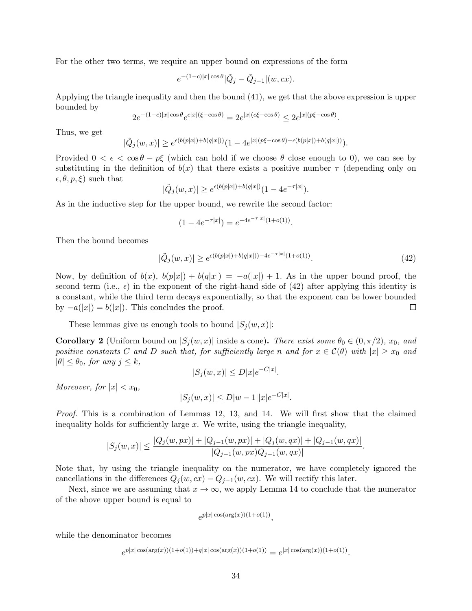For the other two terms, we require an upper bound on expressions of the form

$$
e^{-(1-c)|x|\cos\theta}|\tilde{Q}_j-\tilde{Q}_{j-1}|(w, cx).
$$

Applying the triangle inequality and then the bound (41), we get that the above expression is upper bounded by

$$
2e^{-(1-c)|x|\cos\theta}e^{c|x|(\xi-\cos\theta)} = 2e^{|x|(c\xi-\cos\theta)} \leq 2e^{|x|(p\xi-\cos\theta)}.
$$

Thus, we get

$$
|\tilde{Q}_j(w,x)| \geq e^{\epsilon(b(p|x|)+b(q|x|))} (1-4e^{|x|(p\xi-\cos\theta)-\epsilon(b(p|x|)+b(q|x|))}).
$$

Provided  $0 < \epsilon < \cos \theta - p\xi$  (which can hold if we choose  $\theta$  close enough to 0), we can see by substituting in the definition of  $b(x)$  that there exists a positive number  $\tau$  (depending only on  $\epsilon, \theta, p, \xi$  such that

$$
|\tilde{Q}_j(w,x)| \ge e^{\epsilon (b(p|x|) + b(q|x|)} (1 - 4e^{-\tau|x|}).
$$

As in the inductive step for the upper bound, we rewrite the second factor:

$$
(1 - 4e^{-\tau|x|}) = e^{-4e^{-\tau|x|}(1 + o(1))}.
$$

Then the bound becomes

$$
|\tilde{Q}_j(w,x)| \ge e^{\epsilon(b(p|x|) + b(q|x|)) - 4e^{-\tau|x|}(1 + o(1))}.
$$
\n(42)

Now, by definition of  $b(x)$ ,  $b(p|x|) + b(q|x|) = -a(|x|) + 1$ . As in the upper bound proof, the second term (i.e.,  $\epsilon$ ) in the exponent of the right-hand side of (42) after applying this identity is a constant, while the third term decays exponentially, so that the exponent can be lower bounded by  $-a(|x|) = b(|x|)$ . This concludes the proof.  $\Box$ 

These lemmas give us enough tools to bound  $|S_j(w, x)|$ :

**Corollary 2** (Uniform bound on  $|S_i(w, x)|$  inside a cone). There exist some  $\theta_0 \in (0, \pi/2)$ ,  $x_0$ , and positive constants C and D such that, for sufficiently large n and for  $x \in C(\theta)$  with  $|x| \geq x_0$  and  $|\theta| \leq \theta_0$ , for any  $j \leq k$ ,

$$
|S_j(w, x)| \le D|x|e^{-C|x|}.
$$

Moreover, for  $|x| < x_0$ ,

$$
|S_j(w, x)| \le D|w - 1||x|e^{-C|x|}.
$$

Proof. This is a combination of Lemmas 12, 13, and 14. We will first show that the claimed inequality holds for sufficiently large  $x$ . We write, using the triangle inequality,

$$
|S_j(w,x)| \leq \frac{|Q_j(w,px)| + |Q_{j-1}(w,px)| + |Q_j(w,qx)| + |Q_{j-1}(w,qx)|}{|Q_{j-1}(w,px)Q_{j-1}(w,qx)|}.
$$

Note that, by using the triangle inequality on the numerator, we have completely ignored the cancellations in the differences  $Q_j(w, cx) - Q_{j-1}(w, cx)$ . We will rectify this later.

Next, since we are assuming that  $x \to \infty$ , we apply Lemma 14 to conclude that the numerator of the above upper bound is equal to

$$
e^{p|x|\cos(\arg(x))(1+o(1))},
$$

while the denominator becomes

$$
e^{p|x|\cos(\arg(x))(1+o(1))+q|x|\cos(\arg(x))(1+o(1))} = e^{|x|\cos(\arg(x))(1+o(1))}.
$$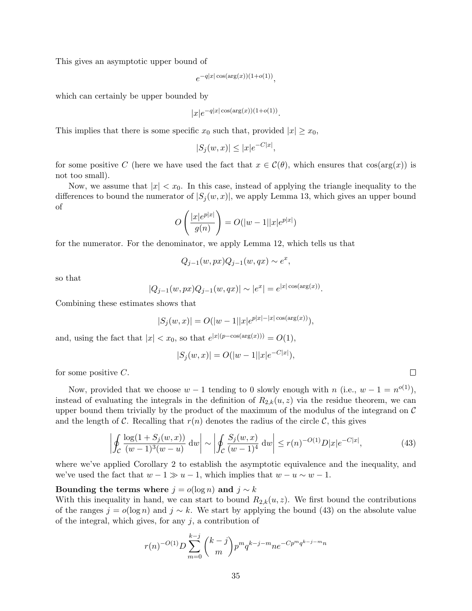This gives an asymptotic upper bound of

$$
e^{-q|x|\cos(\arg(x))(1+o(1))},
$$

which can certainly be upper bounded by

$$
|x|e^{-q|x|\cos(\arg(x))(1+o(1))}.
$$

This implies that there is some specific  $x_0$  such that, provided  $|x| \geq x_0$ ,

$$
|S_j(w, x)| \le |x|e^{-C|x|},
$$

for some positive C (here we have used the fact that  $x \in C(\theta)$ , which ensures that  $\cos(\arg(x))$  is not too small).

Now, we assume that  $|x| < x_0$ . In this case, instead of applying the triangle inequality to the differences to bound the numerator of  $|S_i(w, x)|$ , we apply Lemma 13, which gives an upper bound of

$$
O\left(\frac{|x|e^{p|x|}}{g(n)}\right) = O(|w-1||x|e^{p|x|})
$$

for the numerator. For the denominator, we apply Lemma 12, which tells us that

 $Q_{j-1}(w, px)Q_{j-1}(w, qx) \sim e^x,$ 

so that

$$
|Q_{j-1}(w, px)Q_{j-1}(w, qx)| \sim |e^x| = e^{|x| \cos(\arg(x))}.
$$

Combining these estimates shows that

$$
|S_j(w, x)| = O(|w - 1||x|e^{p|x| - |x|\cos(\arg(x)))},
$$

and, using the fact that  $|x| < x_0$ , so that  $e^{|x|(p-\cos(\arg(x)))} = O(1)$ ,

$$
|S_j(w, x)| = O(|w - 1||x|e^{-C|x|}),
$$

for some positive  $C$ .

Now, provided that we choose  $w-1$  tending to 0 slowly enough with n (i.e.,  $w-1 = n^{o(1)}$ ), instead of evaluating the integrals in the definition of  $R_{2,k}(u, z)$  via the residue theorem, we can upper bound them trivially by the product of the maximum of the modulus of the integrand on  $\mathcal C$ and the length of C. Recalling that  $r(n)$  denotes the radius of the circle C, this gives

$$
\left| \oint_C \frac{\log(1 + S_j(w, x))}{(w - 1)^3 (w - u)} dw \right| \sim \left| \oint_C \frac{S_j(w, x)}{(w - 1)^4} dw \right| \le r(n)^{-O(1)} D|x| e^{-C|x|},\tag{43}
$$

where we've applied Corollary 2 to establish the asymptotic equivalence and the inequality, and we've used the fact that  $w - 1 \gg u - 1$ , which implies that  $w - u \sim w - 1$ .

#### Bounding the terms where  $j = o(\log n)$  and  $j \sim k$

With this inequality in hand, we can start to bound  $R_{2,k}(u, z)$ . We first bound the contributions of the ranges  $j = o(\log n)$  and  $j \sim k$ . We start by applying the bound (43) on the absolute value of the integral, which gives, for any  $j$ , a contribution of

$$
r(n)^{-O(1)}D\sum_{m=0}^{k-j} {k-j \choose m} p^m q^{k-j-m} n e^{-C p^m q^{k-j-m} n}
$$

 $\Box$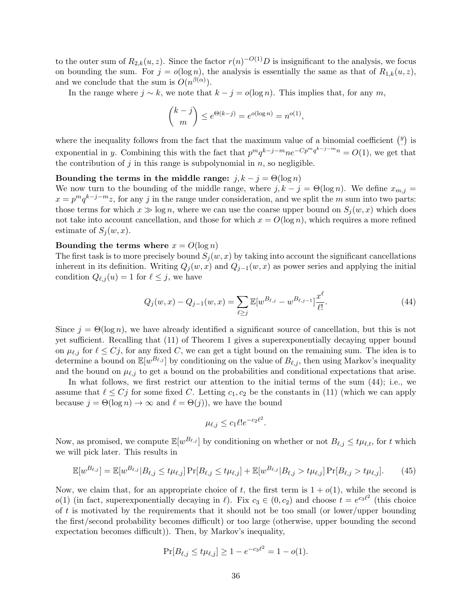to the outer sum of  $R_{2,k}(u, z)$ . Since the factor  $r(n)^{-O(1)}D$  is insignificant to the analysis, we focus on bounding the sum. For  $j = o(\log n)$ , the analysis is essentially the same as that of  $R_{1,k}(u, z)$ , and we conclude that the sum is  $O(n^{\beta(\alpha)})$ .

In the range where  $j \sim k$ , we note that  $k - j = o(\log n)$ . This implies that, for any m,

$$
\binom{k-j}{m} \le e^{\Theta(k-j)} = e^{o(\log n)} = n^{o(1)},
$$

where the inequality follows from the fact that the maximum value of a binomial coefficient  $\binom{y}{y}$  $\binom{y}{\cdot}$  is exponential in y. Combining this with the fact that  $p^m q^{k-j-m} n e^{-Cp^m q^{k-j-m} n} = O(1)$ , we get that the contribution of  $j$  in this range is subpolynomial in  $n$ , so negligible.

Bounding the terms in the middle range:  $j, k - j = \Theta(\log n)$ 

We now turn to the bounding of the middle range, where  $j, k - j = \Theta(\log n)$ . We define  $x_{m,j} =$  $x = p^m q^{k-j-m} z$ , for any j in the range under consideration, and we split the m sum into two parts: those terms for which  $x \gg \log n$ , where we can use the coarse upper bound on  $S_j(w, x)$  which does not take into account cancellation, and those for which  $x = O(\log n)$ , which requires a more refined estimate of  $S_i(w, x)$ .

#### Bounding the terms where  $x = O(\log n)$

The first task is to more precisely bound  $S_i(w, x)$  by taking into account the significant cancellations inherent in its definition. Writing  $Q_j(w, x)$  and  $Q_{j-1}(w, x)$  as power series and applying the initial condition  $Q_{\ell,j}(u) = 1$  for  $\ell \leq j$ , we have

$$
Q_j(w, x) - Q_{j-1}(w, x) = \sum_{\ell \ge j} \mathbb{E}[w^{B_{\ell, j}} - w^{B_{\ell, j-1}}] \frac{x^{\ell}}{\ell!}.
$$
\n(44)

Since  $j = \Theta(\log n)$ , we have already identified a significant source of cancellation, but this is not yet sufficient. Recalling that (11) of Theorem 1 gives a superexponentially decaying upper bound on  $\mu_{\ell,j}$  for  $\ell \leq C_j$ , for any fixed C, we can get a tight bound on the remaining sum. The idea is to determine a bound on  $\mathbb{E}[w^{B_{\ell,j}}]$  by conditioning on the value of  $B_{\ell,j}$ , then using Markov's inequality and the bound on  $\mu_{\ell,j}$  to get a bound on the probabilities and conditional expectations that arise.

In what follows, we first restrict our attention to the initial terms of the sum (44); i.e., we assume that  $\ell \leq C_j$  for some fixed C. Letting  $c_1, c_2$  be the constants in (11) (which we can apply because  $j = \Theta(\log n) \to \infty$  and  $\ell = \Theta(j)$ , we have the bound

$$
\mu_{\ell,j} \le c_1 \ell! e^{-c_2 \ell^2}.
$$

Now, as promised, we compute  $\mathbb{E}[w^{B_{\ell,j}}]$  by conditioning on whether or not  $B_{\ell,j} \leq t\mu_{\ell,t}$ , for t which we will pick later. This results in

$$
\mathbb{E}[w^{B_{\ell,j}}] = \mathbb{E}[w^{B_{\ell,j}}|B_{\ell,j} \le t\mu_{\ell,j}] \Pr[B_{\ell,j} \le t\mu_{\ell,j}] + \mathbb{E}[w^{B_{\ell,j}}|B_{\ell,j} > t\mu_{\ell,j}] \Pr[B_{\ell,j} > t\mu_{\ell,j}]. \tag{45}
$$

Now, we claim that, for an appropriate choice of t, the first term is  $1 + o(1)$ , while the second is  $o(1)$  (in fact, superexponentially decaying in  $\ell$ ). Fix  $c_3 \in (0, c_2)$  and choose  $t = e^{c_3 \ell^2}$  (this choice of  $t$  is motivated by the requirements that it should not be too small (or lower/upper bounding the first/second probability becomes difficult) or too large (otherwise, upper bounding the second expectation becomes difficult)). Then, by Markov's inequality,

$$
\Pr[B_{\ell,j} \le t\mu_{\ell,j}] \ge 1 - e^{-c_3\ell^2} = 1 - o(1).
$$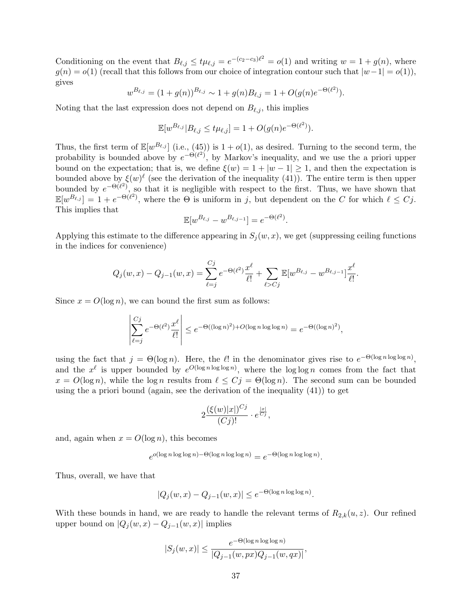Conditioning on the event that  $B_{\ell,j} \leq t \mu_{\ell,j} = e^{-(c_2-c_3)\ell^2} = o(1)$  and writing  $w = 1 + g(n)$ , where  $g(n) = o(1)$  (recall that this follows from our choice of integration contour such that  $|w-1| = o(1)$ ), gives

$$
w^{B_{\ell,j}} = (1+g(n))^{B_{\ell,j}} \sim 1+g(n)B_{\ell,j} = 1+O(g(n)e^{-\Theta(\ell^2)}).
$$

Noting that the last expression does not depend on  $B_{\ell,j}$ , this implies

$$
\mathbb{E}[w^{B_{\ell,j}}|B_{\ell,j} \leq t\mu_{\ell,j}] = 1 + O(g(n)e^{-\Theta(\ell^2)}).
$$

Thus, the first term of  $\mathbb{E}[w^{B_{\ell,j}}]$  (i.e., (45)) is  $1 + o(1)$ , as desired. Turning to the second term, the probability is bounded above by  $e^{-\Theta(\ell^2)}$ , by Markov's inequality, and we use the a priori upper bound on the expectation; that is, we define  $\xi(w) = 1 + |w - 1| \ge 1$ , and then the expectation is bounded above by  $\xi(w)^\ell$  (see the derivation of the inequality (41)). The entire term is then upper bounded by  $e^{-\Theta(\ell^2)}$ , so that it is negligible with respect to the first. Thus, we have shown that  $\mathbb{E}[w^{B_{\ell,j}}] = 1 + e^{-\Theta(\ell^2)}$ , where the  $\Theta$  is uniform in j, but dependent on the C for which  $\ell \leq C_j$ . This implies that

$$
\mathbb{E}[w^{B_{\ell,j}} - w^{B_{\ell,j-1}}] = e^{-\Theta(\ell^2)}.
$$

Applying this estimate to the difference appearing in  $S_i(w, x)$ , we get (suppressing ceiling functions in the indices for convenience)

$$
Q_j(w, x) - Q_{j-1}(w, x) = \sum_{\ell=j}^{Cj} e^{-\Theta(\ell^2)} \frac{x^{\ell}}{\ell!} + \sum_{\ell > Cj} \mathbb{E}[w^{B_{\ell, j}} - w^{B_{\ell, j-1}}] \frac{x^{\ell}}{\ell!}.
$$

Since  $x = O(\log n)$ , we can bound the first sum as follows:

$$
\left|\sum_{\ell=j}^{Cj} e^{-\Theta(\ell^2)} \frac{x^{\ell}}{\ell!} \right| \le e^{-\Theta((\log n)^2) + O(\log n \log \log n)} = e^{-\Theta((\log n)^2)},
$$

using the fact that  $j = \Theta(\log n)$ . Here, the  $\ell!$  in the denominator gives rise to  $e^{-\Theta(\log n \log \log n)}$ , and the  $x^{\ell}$  is upper bounded by  $e^{O(\log n \log \log n)}$ , where the  $\log \log n$  comes from the fact that  $x = O(\log n)$ , while the  $\log n$  results from  $\ell \leq C_j = \Theta(\log n)$ . The second sum can be bounded using the a priori bound (again, see the derivation of the inequality  $(41)$ ) to get

$$
2 \frac{(\xi(w)|x|)^{Cj}}{(Cj)!} \cdot e^{\frac{|x|}{Cj}},
$$

and, again when  $x = O(\log n)$ , this becomes

$$
e^{o(\log n \log \log n) - \Theta(\log n \log \log n)} = e^{-\Theta(\log n \log \log n)}
$$

.

Thus, overall, we have that

$$
|Q_j(w, x) - Q_{j-1}(w, x)| \le e^{-\Theta(\log n \log \log n)}.
$$

With these bounds in hand, we are ready to handle the relevant terms of  $R_{2,k}(u, z)$ . Our refined upper bound on  $|Q_j(w, x) - Q_{j-1}(w, x)|$  implies

$$
|S_j(w,x)| \leq \frac{e^{-\Theta(\log n \log \log n)}}{|Q_{j-1}(w, px)Q_{j-1}(w,qx)|},
$$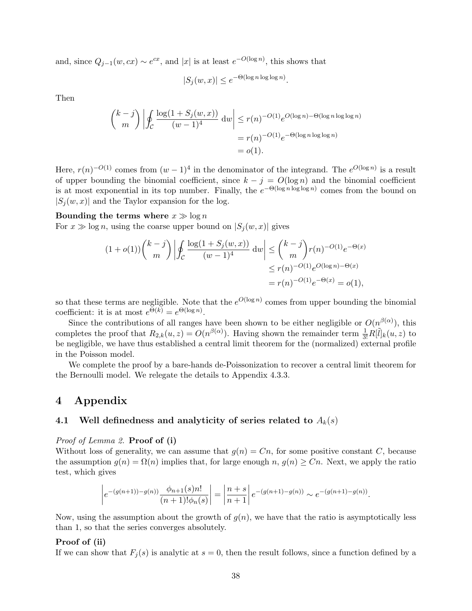and, since  $Q_{j-1}(w, cx) \sim e^{cx}$ , and |x| is at least  $e^{-O(\log n)}$ , this shows that

$$
|S_j(w, x)| \le e^{-\Theta(\log n \log \log n)}.
$$

Then

$$
\binom{k-j}{m} \left| \oint_C \frac{\log(1+S_j(w,x))}{(w-1)^4} dw \right| \le r(n)^{-O(1)} e^{O(\log n) - \Theta(\log n \log \log n)}
$$

$$
= r(n)^{-O(1)} e^{-\Theta(\log n \log \log n)}
$$

$$
= o(1).
$$

Here,  $r(n)^{-O(1)}$  comes from  $(w-1)^4$  in the denominator of the integrand. The  $e^{O(\log n)}$  is a result of upper bounding the binomial coefficient, since  $k - j = O(\log n)$  and the binomial coefficient is at most exponential in its top number. Finally, the  $e^{-\Theta(\log n \log \log n)}$  comes from the bound on  $|S_i(w, x)|$  and the Taylor expansion for the log.

## Bounding the terms where  $x \gg \log n$

For  $x \gg \log n$ , using the coarse upper bound on  $|S_i (w, x)|$  gives

$$
(1+o(1))\binom{k-j}{m}\left| \oint_C \frac{\log(1+S_j(w,x))}{(w-1)^4} dw \right| \leq \binom{k-j}{m} r(n)^{-O(1)} e^{-\Theta(x)}
$$
  

$$
\leq r(n)^{-O(1)} e^{O(\log n) - \Theta(x)}
$$
  

$$
= r(n)^{-O(1)} e^{-\Theta(x)} = o(1),
$$

so that these terms are negligible. Note that the  $e^{O(\log n)}$  comes from upper bounding the binomial coefficient: it is at most  $e^{\Theta(k)} = e^{\Theta(\log n)}$ .

Since the contributions of all ranges have been shown to be either negligible or  $O(n^{\beta(\alpha)})$ , this completes the proof that  $R_{2,k}(u, z) = O(n^{\beta(\alpha)})$ . Having shown the remainder term  $\frac{1}{3!}R[\tilde{l}]_k(u, z)$  to be negligible, we have thus established a central limit theorem for the (normalized) external profile in the Poisson model.

We complete the proof by a bare-hands de-Poissonization to recover a central limit theorem for the Bernoulli model. We relegate the details to Appendix 4.3.3.

## 4 Appendix

## 4.1 Well definedness and analyticity of series related to  $A_k(s)$

Proof of Lemma 2. Proof of (i)

Without loss of generality, we can assume that  $g(n) = C_n$ , for some positive constant C, because the assumption  $g(n) = \Omega(n)$  implies that, for large enough  $n, g(n) \geq C_n$ . Next, we apply the ratio test, which gives

$$
\left| e^{-(g(n+1))-g(n))} \frac{\phi_{n+1}(s)n!}{(n+1)!\phi_n(s)} \right| = \left| \frac{n+s}{n+1} \right| e^{-(g(n+1)-g(n))} \sim e^{-(g(n+1)-g(n))}.
$$

Now, using the assumption about the growth of  $q(n)$ , we have that the ratio is asymptotically less than 1, so that the series converges absolutely.

## Proof of (ii)

If we can show that  $F_i(s)$  is analytic at  $s = 0$ , then the result follows, since a function defined by a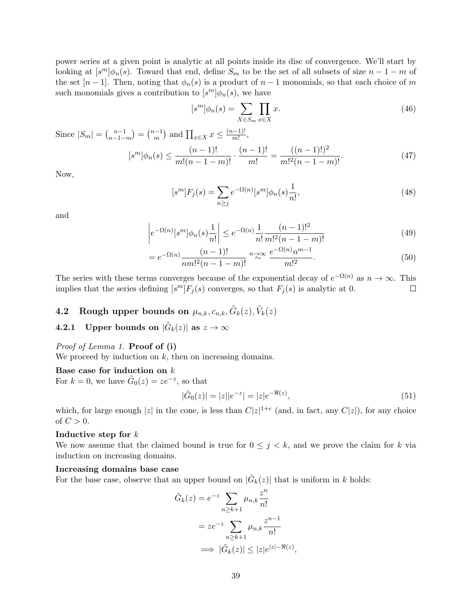power series at a given point is analytic at all points inside its disc of convergence. We'll start by looking at  $[s^m]\phi_n(s)$ . Toward that end, define  $S_m$  to be the set of all subsets of size  $n-1-m$  of the set  $[n-1]$ . Then, noting that  $\phi_n(s)$  is a product of  $n-1$  monomials, so that each choice of m such monomials gives a contribution to  $[s^m] \phi_n(s)$ , we have

$$
[s^m]\phi_n(s) = \sum_{X \in S_m} \prod_{x \in X} x.
$$
\n(46)

Since  $|S_m| = \binom{n-1}{n-1}$  $\binom{n-1}{n-1-m} = \binom{n-1}{m}$  $\binom{n-1}{m}$  and  $\prod_{x \in X} x \leq \frac{(n-1)!}{m!}$  $\frac{(n-1)!}{m!},$ 

$$
[s^m]\phi_n(s) \le \frac{(n-1)!}{m!(n-1-m)!} \cdot \frac{(n-1)!}{m!} = \frac{((n-1)!)^2}{m!^2(n-1-m)!}.
$$
 (47)

Now,

$$
[s^m]F_j(s) = \sum_{n \ge j} e^{-\Omega(n)} [s^m] \phi_n(s) \frac{1}{n!},\tag{48}
$$

and

$$
\left| e^{-\Omega(n)}[s^m] \phi_n(s) \frac{1}{n!} \right| \le e^{-\Omega(n)} \frac{1}{n!} \frac{(n-1)!^2}{m!^2 (n-1-m)!} \tag{49}
$$

$$
= e^{-\Omega(n)} \frac{(n-1)!}{nm!^2(n-1-m)!} \stackrel{n \to \infty}{\sim} \frac{e^{-\Omega(n)} n^{m-1}}{m!^2}.
$$
 (50)

The series with these terms converges because of the exponential decay of  $e^{-\Omega(n)}$  as  $n \to \infty$ . This implies that the series defining  $[s^m]F_j(s)$  converges, so that  $F_j(s)$  is analytic at 0.  $\Box$ 

# **4.2** Rough upper bounds on  $\mu_{n,k}, c_{n,k}, \tilde{G}_k(z), \tilde{V}_k(z)$

4.2.1 Upper bounds on  $|\tilde{G}_k(z)|$  as  $z\to\infty$ 

## Proof of Lemma 1. Proof of (i)

We proceed by induction on  $k$ , then on increasing domains.

## Base case for induction on k

For  $k = 0$ , we have  $\tilde{G}_0(z) = ze^{-z}$ , so that

$$
|\tilde{G}_0(z)| = |z||e^{-z}| = |z|e^{-\Re(z)},\tag{51}
$$

which, for large enough |z| in the cone, is less than  $C|z|^{1+\epsilon}$  (and, in fact, any  $C|z|$ ), for any choice of  $C > 0$ .

#### Inductive step for k

We now assume that the claimed bound is true for  $0 \leq j \leq k$ , and we prove the claim for k via induction on increasing domains.

#### Increasing domains base case

For the base case, observe that an upper bound on  $|\tilde{G}_k(z)|$  that is uniform in k holds:

$$
\tilde{G}_k(z) = e^{-z} \sum_{n \ge k+1} \mu_{n,k} \frac{z^n}{n!}
$$

$$
= z e^{-z} \sum_{n \ge k+1} \mu_{n,k} \frac{z^{n-1}}{n!}
$$

$$
\implies |\tilde{G}_k(z)| \le |z| e^{|z| - \Re(z)},
$$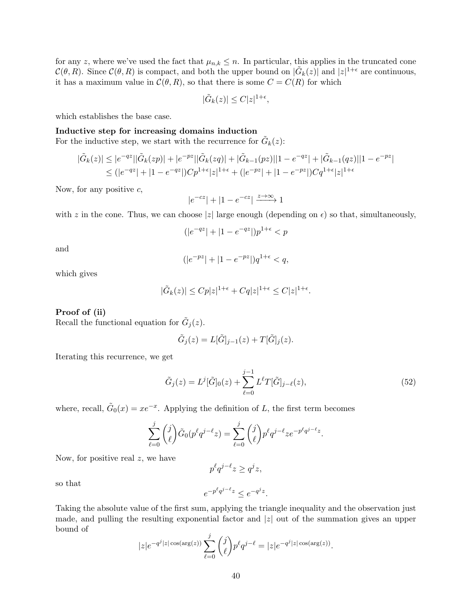for any z, where we've used the fact that  $\mu_{n,k} \leq n$ . In particular, this applies in the truncated cone  $\mathcal{C}(\theta, R)$ . Since  $\mathcal{C}(\theta, R)$  is compact, and both the upper bound on  $|\tilde{G}_k(z)|$  and  $|z|^{1+\epsilon}$  are continuous, it has a maximum value in  $\mathcal{C}(\theta, R)$ , so that there is some  $C = C(R)$  for which

$$
|\tilde{G}_k(z)| \le C|z|^{1+\epsilon},
$$

which establishes the base case.

## Inductive step for increasing domains induction

For the inductive step, we start with the recurrence for  $\tilde{G}_k(z)$ :

$$
|\tilde{G}_k(z)| \le |e^{-qz}||\tilde{G}_k(zp)| + |e^{-pz}||\tilde{G}_k(zq)| + |\tilde{G}_{k-1}(pz)||1 - e^{-qz}| + |\tilde{G}_{k-1}(qz)||1 - e^{-pz}|
$$
  

$$
\le (|e^{-qz}| + |1 - e^{-qz}|)Cp^{1+\epsilon}|z|^{1+\epsilon} + (|e^{-pz}| + |1 - e^{-pz}|)Cq^{1+\epsilon}|z|^{1+\epsilon}
$$

Now, for any positive  $c$ ,

$$
|e^{-cz}|+|1-e^{-cz}| \xrightarrow{z \to \infty} 1
$$

with z in the cone. Thus, we can choose |z| large enough (depending on  $\epsilon$ ) so that, simultaneously,

$$
(|e^{-qz}|+|1-e^{-qz}|)p^{1+\epsilon}
$$

and

$$
(|e^{-pz}| + |1 - e^{-pz}|)q^{1+\epsilon} < q,
$$

which gives

$$
|\tilde{G}_k(z)| \leq C p |z|^{1+\epsilon} + C q |z|^{1+\epsilon} \leq C |z|^{1+\epsilon}.
$$

#### Proof of (ii)

Recall the functional equation for  $\tilde{G}_j(z)$ .

$$
\tilde{G}_j(z) = L[\tilde{G}]_{j-1}(z) + T[\tilde{G}]_j(z).
$$

Iterating this recurrence, we get

$$
\tilde{G}_j(z) = L^j[\tilde{G}]_0(z) + \sum_{\ell=0}^{j-1} L^{\ell} T[\tilde{G}]_{j-\ell}(z),\tag{52}
$$

.

where, recall,  $\tilde{G}_0(x) = xe^{-x}$ . Applying the definition of L, the first term becomes

$$
\sum_{\ell=0}^{j} {j \choose \ell} \tilde{G}_0(p^{\ell}q^{j-\ell}z) = \sum_{\ell=0}^{j} {j \choose \ell} p^{\ell}q^{j-\ell}ze^{-p^{\ell}q^{j-\ell}z}
$$

Now, for positive real  $z$ , we have

so that

Taking the absolute value of the first sum, applying the triangle inequality and the observation just made, and pulling the resulting exponential factor and 
$$
|z|
$$
 out of the summation gives an upper bound of

$$
|z|e^{-q^j|z|\cos(\arg(z))}\sum_{\ell=0}^j \binom{j}{\ell} p^\ell q^{j-\ell} = |z|e^{-q^j|z|\cos(\arg(z))}.
$$

 $e^{-p^{\ell}q^{j-\ell}z} \leq e^{-q^{j}z}.$ 

 $p^{\ell}q^{j-\ell}z \geq q^jz,$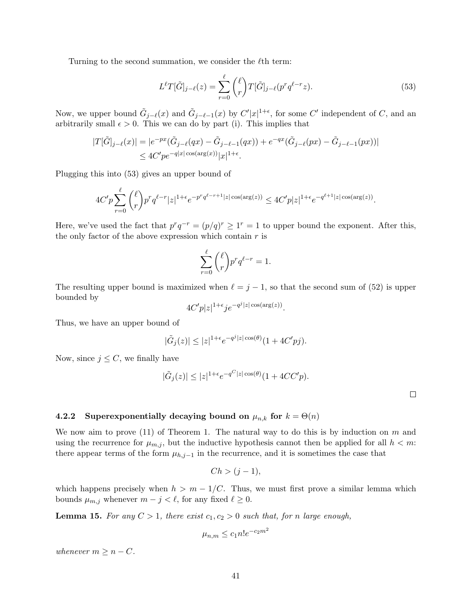Turning to the second summation, we consider the  $\ell$ <sup>th</sup> term:

$$
L^{\ell}T[\tilde{G}]_{j-\ell}(z) = \sum_{r=0}^{\ell} {\ell \choose r} T[\tilde{G}]_{j-\ell}(p^r q^{\ell-r} z). \tag{53}
$$

Now, we upper bound  $\tilde{G}_{j-\ell}(x)$  and  $\tilde{G}_{j-\ell-1}(x)$  by  $C'|x|^{1+\epsilon}$ , for some  $C'$  independent of C, and an arbitrarily small  $\epsilon > 0$ . This we can do by part (i). This implies that

$$
|T[\tilde{G}]_{j-\ell}(x)| = |e^{-px}(\tilde{G}_{j-\ell}(qx) - \tilde{G}_{j-\ell-1}(qx)) + e^{-qx}(\tilde{G}_{j-\ell}(px) - \tilde{G}_{j-\ell-1}(px))|
$$
  
 
$$
\leq 4C'pe^{-q|x|\cos(\arg(x))}|x|^{1+\epsilon}.
$$

Plugging this into (53) gives an upper bound of

$$
4C'p\sum_{r=0}^{\ell} {\ell \choose r} p^r q^{\ell-r} |z|^{1+\epsilon} e^{-p^r q^{\ell-r+1} |z| \cos(\arg(z))} \le 4C' p |z|^{1+\epsilon} e^{-q^{\ell+1} |z| \cos(\arg(z))}.
$$

Here, we've used the fact that  $p^r q^{-r} = (p/q)^r \ge 1^r = 1$  to upper bound the exponent. After this, the only factor of the above expression which contain  $r$  is

$$
\sum_{r=0}^{\ell} {\ell \choose r} p^r q^{\ell-r} = 1.
$$

The resulting upper bound is maximized when  $\ell = j - 1$ , so that the second sum of (52) is upper bounded by

$$
4C'p|z|^{1+\epsilon}je^{-q^j|z|\cos(\arg(z))}.
$$

Thus, we have an upper bound of

$$
|\tilde{G}_j(z)| \le |z|^{1+\epsilon} e^{-q^j|z| \cos(\theta)} (1+4C'pj).
$$

Now, since  $j \leq C$ , we finally have

$$
|\tilde{G}_j(z)| \le |z|^{1+\epsilon} e^{-q^C|z|\cos(\theta)} (1+4CC'p).
$$

 $\Box$ 

## 4.2.2 Superexponentially decaying bound on  $\mu_{n,k}$  for  $k = \Theta(n)$

We now aim to prove  $(11)$  of Theorem 1. The natural way to do this is by induction on m and using the recurrence for  $\mu_{m,j}$ , but the inductive hypothesis cannot then be applied for all  $h < m$ . there appear terms of the form  $\mu_{h,j-1}$  in the recurrence, and it is sometimes the case that

$$
Ch > (j-1),
$$

which happens precisely when  $h > m - 1/C$ . Thus, we must first prove a similar lemma which bounds  $\mu_{m,j}$  whenever  $m - j < \ell$ , for any fixed  $\ell \geq 0$ .

**Lemma 15.** For any  $C > 1$ , there exist  $c_1, c_2 > 0$  such that, for n large enough,

$$
\mu_{n,m} \le c_1 n! e^{-c_2 m^2}
$$

whenever  $m \geq n - C$ .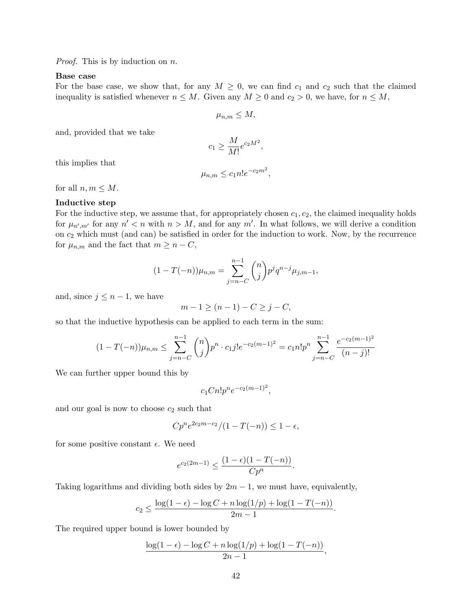*Proof.* This is by induction on  $n$ .

## Base case

For the base case, we show that, for any  $M \geq 0$ , we can find  $c_1$  and  $c_2$  such that the claimed inequality is satisfied whenever  $n \leq M$ . Given any  $M \geq 0$  and  $c_2 > 0$ , we have, for  $n \leq M$ ,

$$
\mu_{n,m}\leq M,
$$

and, provided that we take

$$
c_1 \ge \frac{M}{M!} e^{c_2 M^2},
$$

this implies that

$$
\mu_{n,m} \leq c_1 n! e^{-c_2 m^2},
$$

for all  $n, m \leq M$ .

## Inductive step

For the inductive step, we assume that, for appropriately chosen  $c_1, c_2$ , the claimed inequality holds for  $\mu_{n',m'}$  for any  $n' < n$  with  $n > M$ , and for any m'. In what follows, we will derive a condition on  $c_2$  which must (and can) be satisfied in order for the induction to work. Now, by the recurrence for  $\mu_{n,m}$  and the fact that  $m \geq n - C$ ,

$$
(1 - T(-n))\mu_{n,m} = \sum_{j=n-C}^{n-1} {n \choose j} p^j q^{n-j} \mu_{j,m-1},
$$

and, since  $j \leq n-1$ , we have

$$
m-1\geq (n-1)-C\geq j-C,
$$

so that the inductive hypothesis can be applied to each term in the sum:

$$
(1 - T(-n))\mu_{n,m} \le \sum_{j=n-C}^{n-1} {n \choose j} p^n \cdot c_1 j! e^{-c_2(m-1)^2} = c_1 n! p^n \sum_{j=n-C}^{n-1} \frac{e^{-c_2(m-1)^2}}{(n-j)!}
$$

We can further upper bound this by

$$
c_1Cn!p^n e^{-c_2(m-1)^2},
$$

and our goal is now to choose  $c_2$  such that

$$
Cp^{n}e^{2c_{2}m-c_{2}}/(1-T(-n)) \leq 1-\epsilon,
$$

for some positive constant  $\epsilon$ . We need

$$
e^{c_2(2m-1)} \le \frac{(1-\epsilon)(1-T(-n))}{Cp^n}.
$$

Taking logarithms and dividing both sides by  $2m - 1$ , we must have, equivalently,

$$
c_2 \le \frac{\log(1-\epsilon) - \log C + n \log(1/p) + \log(1 - T(-n))}{2m - 1}.
$$

The required upper bound is lower bounded by

$$
\frac{\log(1-\epsilon) - \log C + n \log(1/p) + \log(1 - T(-n))}{2n - 1},
$$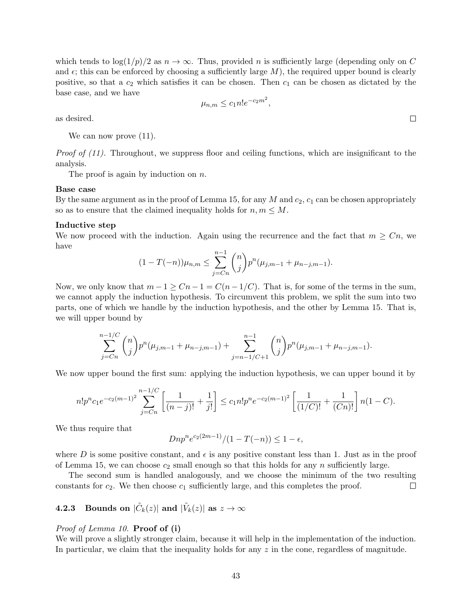which tends to  $\log(1/p)/2$  as  $n \to \infty$ . Thus, provided n is sufficiently large (depending only on C and  $\epsilon$ ; this can be enforced by choosing a sufficiently large M), the required upper bound is clearly positive, so that a  $c_2$  which satisfies it can be chosen. Then  $c_1$  can be chosen as dictated by the base case, and we have

$$
\mu_{n,m} \le c_1 n! e^{-c_2 m^2},
$$

as desired.

We can now prove  $(11)$ .

Proof of (11). Throughout, we suppress floor and ceiling functions, which are insignificant to the analysis.

The proof is again by induction on  $n$ .

#### Base case

By the same argument as in the proof of Lemma 15, for any M and  $c_2$ ,  $c_1$  can be chosen appropriately so as to ensure that the claimed inequality holds for  $n, m \leq M$ .

#### Inductive step

We now proceed with the induction. Again using the recurrence and the fact that  $m \geq C_n$ , we have

$$
(1 - T(-n))\mu_{n,m} \leq \sum_{j=C}^{n-1} {n \choose j} p^n (\mu_{j,m-1} + \mu_{n-j,m-1}).
$$

Now, we only know that  $m-1 \geq Cn-1 = C(n-1/C)$ . That is, for some of the terms in the sum, we cannot apply the induction hypothesis. To circumvent this problem, we split the sum into two parts, one of which we handle by the induction hypothesis, and the other by Lemma 15. That is, we will upper bound by

$$
\sum_{j=Cn}^{n-1/C} \binom{n}{j} p^n (\mu_{j,m-1} + \mu_{n-j,m-1}) + \sum_{j=n-1/C+1}^{n-1} \binom{n}{j} p^n (\mu_{j,m-1} + \mu_{n-j,m-1}).
$$

We now upper bound the first sum: applying the induction hypothesis, we can upper bound it by

$$
n!p^n c_1 e^{-c_2(m-1)^2} \sum_{j=Cn}^{n-1/C} \left[ \frac{1}{(n-j)!} + \frac{1}{j!} \right] \le c_1 n!p^n e^{-c_2(m-1)^2} \left[ \frac{1}{(1/C)!} + \frac{1}{(Cn)!} \right] n(1-C).
$$

We thus require that

$$
Dnp^{n}e^{c_2(2m-1)}/(1-T(-n)) \leq 1-\epsilon,
$$

where D is some positive constant, and  $\epsilon$  is any positive constant less than 1. Just as in the proof of Lemma 15, we can choose  $c_2$  small enough so that this holds for any n sufficiently large.

The second sum is handled analogously, and we choose the minimum of the two resulting constants for  $c_2$ . We then choose  $c_1$  sufficiently large, and this completes the proof.  $\Box$ 

# 4.2.3 Bounds on  $|\tilde{C}_k(z)|$  and  $|\tilde{V}_k(z)|$  as  $z\rightarrow\infty$

#### Proof of Lemma 10. Proof of (i)

We will prove a slightly stronger claim, because it will help in the implementation of the induction. In particular, we claim that the inequality holds for any z in the cone, regardless of magnitude.

 $\Box$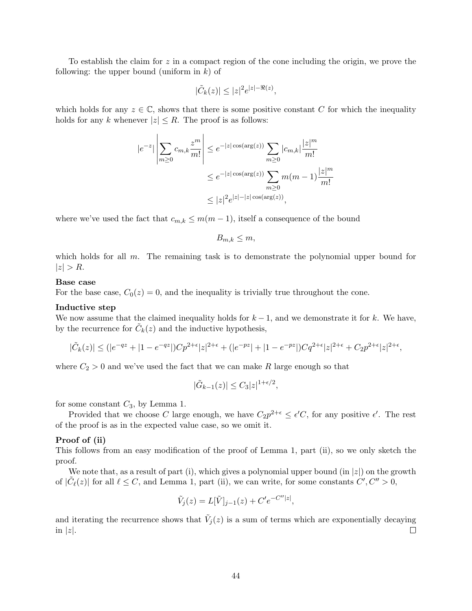To establish the claim for z in a compact region of the cone including the origin, we prove the following: the upper bound (uniform in  $k$ ) of

$$
|\tilde{C}_k(z)| \le |z|^2 e^{|z| - \Re(z)},
$$

which holds for any  $z \in \mathbb{C}$ , shows that there is some positive constant C for which the inequality holds for any k whenever  $|z| \leq R$ . The proof is as follows:

$$
|e^{-z}| \left| \sum_{m \ge 0} c_{m,k} \frac{z^m}{m!} \right| \le e^{-|z| \cos(\arg(z))} \sum_{m \ge 0} |c_{m,k}| \frac{|z|^m}{m!}
$$
  

$$
\le e^{-|z| \cos(\arg(z))} \sum_{m \ge 0} m(m-1) \frac{|z|^m}{m!}
$$
  

$$
\le |z|^2 e^{|z| - |z| \cos(\arg(z))},
$$

where we've used the fact that  $c_{m,k} \leq m(m-1)$ , itself a consequence of the bound

 $B_{m,k} \leq m$ ,

which holds for all  $m$ . The remaining task is to demonstrate the polynomial upper bound for  $|z| > R$ .

#### Base case

For the base case,  $C_0(z) = 0$ , and the inequality is trivially true throughout the cone.

#### Inductive step

We now assume that the claimed inequality holds for  $k-1$ , and we demonstrate it for k. We have, by the recurrence for  $\tilde{C}_k(z)$  and the inductive hypothesis,

$$
|\tilde{C}_k(z)| \le (|e^{-qz} + |1 - e^{-qz}|)Cp^{2+\epsilon}|z|^{2+\epsilon} + (|e^{-pz}| + |1 - e^{-pz}|)Cq^{2+\epsilon}|z|^{2+\epsilon} + C_2p^{2+\epsilon}|z|^{2+\epsilon},
$$

where  $C_2 > 0$  and we've used the fact that we can make R large enough so that

$$
|\tilde{G}_{k-1}(z)| \leq C_3 |z|^{1+\epsilon/2},
$$

for some constant  $C_3$ , by Lemma 1.

Provided that we choose C large enough, we have  $C_2 p^{2+\epsilon} \leq \epsilon' C$ , for any positive  $\epsilon'$ . The rest of the proof is as in the expected value case, so we omit it.

#### Proof of (ii)

This follows from an easy modification of the proof of Lemma 1, part (ii), so we only sketch the proof.

We note that, as a result of part (i), which gives a polynomial upper bound (in  $|z|$ ) on the growth of  $|\tilde{C}_{\ell}(z)|$  for all  $\ell \leq C$ , and Lemma 1, part (ii), we can write, for some constants  $C', C'' > 0$ ,

$$
\tilde{V}_j(z) = L[\tilde{V}]_{j-1}(z) + C' e^{-C''|z|},
$$

and iterating the recurrence shows that  $\tilde{V}_j(z)$  is a sum of terms which are exponentially decaying in  $|z|$ .  $\Box$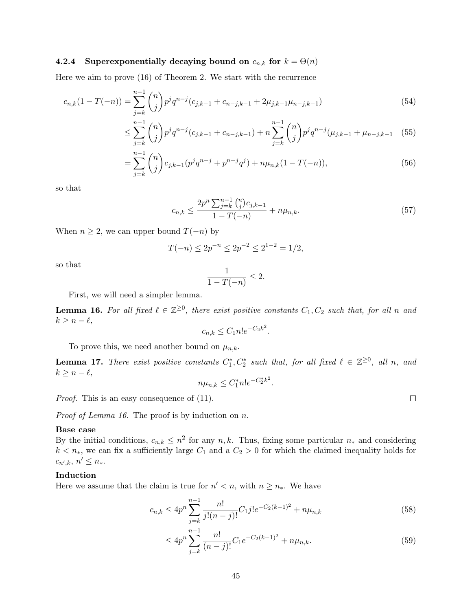## 4.2.4 Superexponentially decaying bound on  $c_{n,k}$  for  $k = \Theta(n)$

Here we aim to prove (16) of Theorem 2. We start with the recurrence

$$
c_{n,k}(1 - T(-n)) = \sum_{j=k}^{n-1} \binom{n}{j} p^j q^{n-j} (c_{j,k-1} + c_{n-j,k-1} + 2\mu_{j,k-1}\mu_{n-j,k-1})
$$
\n(54)

$$
\leq \sum_{j=k}^{n-1} \binom{n}{j} p^j q^{n-j} (c_{j,k-1} + c_{n-j,k-1}) + n \sum_{j=k}^{n-1} \binom{n}{j} p^j q^{n-j} (\mu_{j,k-1} + \mu_{n-j,k-1} \quad (55)
$$

$$
= \sum_{j=k}^{n-1} \binom{n}{j} c_{j,k-1} (p^j q^{n-j} + p^{n-j} q^j) + n \mu_{n,k} (1 - T(-n)), \tag{56}
$$

.

so that

$$
c_{n,k} \le \frac{2p^n \sum_{j=k}^{n-1} {n \choose j} c_{j,k-1}}{1 - T(-n)} + n\mu_{n,k}.
$$
\n(57)

When  $n \geq 2$ , we can upper bound  $T(-n)$  by

$$
T(-n) \le 2p^{-n} \le 2p^{-2} \le 2^{1-2} = 1/2,
$$

so that

$$
\frac{1}{1 - T(-n)} \le 2.
$$

First, we will need a simpler lemma.

**Lemma 16.** For all fixed  $\ell \in \mathbb{Z}^{\geq 0}$ , there exist positive constants  $C_1, C_2$  such that, for all n and  $k \geq n - \ell,$ 

$$
c_{n,k} \le C_1 n! e^{-C_2 k^2}
$$

To prove this, we need another bound on  $\mu_{n,k}$ .

**Lemma 17.** There exist positive constants  $C_1^*, C_2^*$  such that, for all fixed  $\ell \in \mathbb{Z}^{\geq 0}$ , all n, and  $k \geq n - \ell,$ 

$$
n\mu_{n,k} \le C_1^* n! e^{-C_2^* k^2}.
$$

Proof. This is an easy consequence of  $(11)$ .

Proof of Lemma 16. The proof is by induction on n.

#### Base case

By the initial conditions,  $c_{n,k} \leq n^2$  for any  $n, k$ . Thus, fixing some particular  $n_*$  and considering  $k < n<sub>*</sub>$ , we can fix a sufficiently large  $C_1$  and a  $C_2 > 0$  for which the claimed inequality holds for  $c_{n',k}, n' \leq n_*$ .

## Induction

Here we assume that the claim is true for  $n' < n$ , with  $n \geq n_*$ . We have

$$
c_{n,k} \le 4p^n \sum_{j=k}^{n-1} \frac{n!}{j!(n-j)!} C_{1}j! e^{-C_2(k-1)^2} + n\mu_{n,k}
$$
\n(58)

$$
\leq 4p^n \sum_{j=k}^{n-1} \frac{n!}{(n-j)!} C_1 e^{-C_2(k-1)^2} + n\mu_{n,k}.
$$
\n(59)

 $\Box$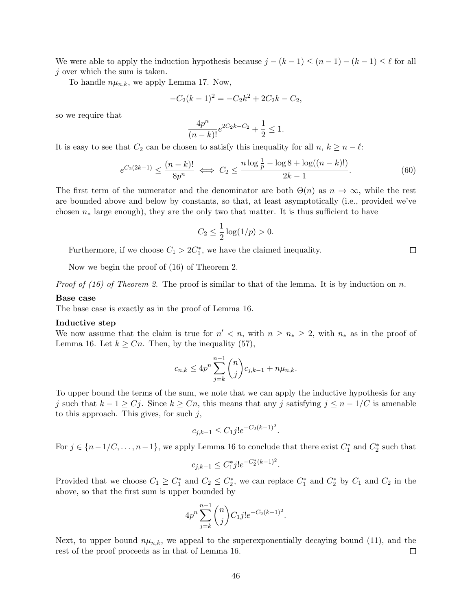We were able to apply the induction hypothesis because  $j - (k - 1) \leq (n - 1) - (k - 1) \leq \ell$  for all  $j$  over which the sum is taken.

To handle  $n\mu_{n,k}$ , we apply Lemma 17. Now,

$$
-C_2(k-1)^2 = -C_2k^2 + 2C_2k - C_2,
$$

so we require that

$$
\frac{4p^n}{(n-k)!}e^{2C_2k-C_2} + \frac{1}{2} \le 1.
$$

It is easy to see that  $C_2$  can be chosen to satisfy this inequality for all  $n, k \geq n - \ell$ :

$$
e^{C_2(2k-1)} \le \frac{(n-k)!}{8p^n} \iff C_2 \le \frac{n\log\frac{1}{p} - \log 8 + \log((n-k)!)}{2k-1}.\tag{60}
$$

 $\Box$ 

The first term of the numerator and the denominator are both  $\Theta(n)$  as  $n \to \infty$ , while the rest are bounded above and below by constants, so that, at least asymptotically (i.e., provided we've chosen  $n_*$  large enough), they are the only two that matter. It is thus sufficient to have

$$
C_2 \leq \frac{1}{2} \log(1/p) > 0.
$$

Furthermore, if we choose  $C_1 > 2C_1^*$ , we have the claimed inequality.

Now we begin the proof of (16) of Theorem 2.

*Proof of (16) of Theorem 2.* The proof is similar to that of the lemma. It is by induction on n.

### Base case

The base case is exactly as in the proof of Lemma 16.

#### Inductive step

We now assume that the claim is true for  $n' < n$ , with  $n \geq n_* \geq 2$ , with  $n_*$  as in the proof of Lemma 16. Let  $k \geq Cn$ . Then, by the inequality (57),

$$
c_{n,k} \le 4p^n \sum_{j=k}^{n-1} {n \choose j} c_{j,k-1} + n\mu_{n,k}.
$$

To upper bound the terms of the sum, we note that we can apply the inductive hypothesis for any j such that  $k - 1 \ge C_j$ . Since  $k \ge C_n$ , this means that any j satisfying  $j \le n - 1/C$  is amenable to this approach. This gives, for such  $j$ ,

$$
c_{j,k-1} \le C_1 j! e^{-C_2(k-1)^2}.
$$

For  $j \in \{n-1/C, \ldots, n-1\}$ , we apply Lemma 16 to conclude that there exist  $C_1^*$  and  $C_2^*$  such that

$$
c_{j,k-1} \le C_1^* j! e^{-C_2^*(k-1)^2}
$$

.

Provided that we choose  $C_1 \geq C_1^*$  and  $C_2 \leq C_2^*$ , we can replace  $C_1^*$  and  $C_2^*$  by  $C_1$  and  $C_2$  in the above, so that the first sum is upper bounded by

$$
4p^n\sum_{j=k}^{n-1} \binom{n}{j} C_1 j!e^{-C_2(k-1)^2}.
$$

Next, to upper bound  $n\mu_{n,k}$ , we appeal to the superexponentially decaying bound (11), and the rest of the proof proceeds as in that of Lemma 16.  $\Box$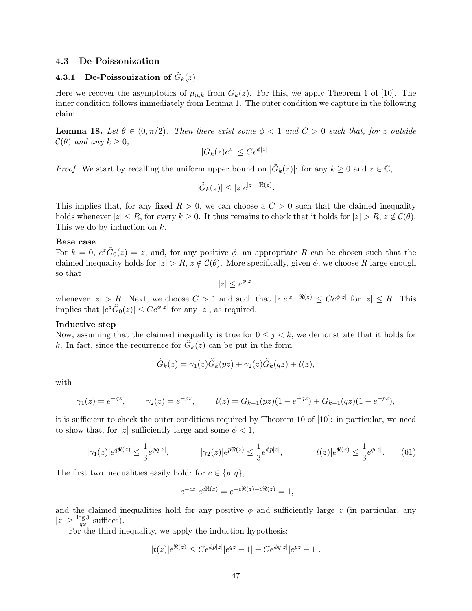#### 4.3 De-Poissonization

# 4.3.1 De-Poissonization of  $\tilde{G}_k(z)$

Here we recover the asymptotics of  $\mu_{n,k}$  from  $\tilde{G}_k(z)$ . For this, we apply Theorem 1 of [10]. The inner condition follows immediately from Lemma 1. The outer condition we capture in the following claim.

**Lemma 18.** Let  $\theta \in (0, \pi/2)$ . Then there exist some  $\phi < 1$  and  $C > 0$  such that, for z outside  $\mathcal{C}(\theta)$  and any  $k \geq 0$ ,

$$
|\tilde{G}_k(z)e^z| \le Ce^{\phi|z|}.
$$

*Proof.* We start by recalling the uniform upper bound on  $|\tilde{G}_k(z)|$ : for any  $k \geq 0$  and  $z \in \mathbb{C}$ ,

$$
|\tilde{G}_k(z)| \le |z|e^{|z| - \Re(z)}.
$$

This implies that, for any fixed  $R > 0$ , we can choose a  $C > 0$  such that the claimed inequality holds whenever  $|z| \leq R$ , for every  $k \geq 0$ . It thus remains to check that it holds for  $|z| > R$ ,  $z \notin C(\theta)$ . This we do by induction on  $k$ .

#### Base case

For  $k = 0$ ,  $e^{z} \tilde{G}_0(z) = z$ , and, for any positive  $\phi$ , an appropriate R can be chosen such that the claimed inequality holds for  $|z| > R$ ,  $z \notin C(\theta)$ . More specifically, given  $\phi$ , we choose R large enough so that

 $|z| \leq e^{\phi |z|}$ 

whenever  $|z| > R$ . Next, we choose  $C > 1$  and such that  $|z|e^{|z| - \Re(z)} \le Ce^{\phi|z|}$  for  $|z| \le R$ . This implies that  $|e^z \tilde{G}_0(z)| \leq Ce^{\phi |z|}$  for any  $|z|$ , as required.

### Inductive step

Now, assuming that the claimed inequality is true for  $0 \leq j \leq k$ , we demonstrate that it holds for k. In fact, since the recurrence for  $\tilde{G}_k(z)$  can be put in the form

$$
\tilde{G}_k(z) = \gamma_1(z)\tilde{G}_k(pz) + \gamma_2(z)\tilde{G}_k(qz) + t(z),
$$

with

$$
\gamma_1(z) = e^{-qz}, \qquad \gamma_2(z) = e^{-pz}, \qquad t(z) = \tilde{G}_{k-1}(pz)(1 - e^{-qz}) + \tilde{G}_{k-1}(qz)(1 - e^{-pz}),
$$

it is sufficient to check the outer conditions required by Theorem 10 of [10]: in particular, we need to show that, for |z| sufficiently large and some  $\phi < 1$ ,

$$
|\gamma_1(z)|e^{q\Re(z)} \le \frac{1}{3}e^{\phi q|z|}, \qquad |\gamma_2(z)|e^{p\Re(z)} \le \frac{1}{3}e^{\phi p|z|}, \qquad |t(z)|e^{\Re(z)} \le \frac{1}{3}e^{\phi|z|}. \tag{61}
$$

The first two inequalities easily hold: for  $c \in \{p, q\},\$ 

$$
|e^{-cz}|e^{c\Re(z)} = e^{-c\Re(z) + c\Re(z)} = 1,
$$

and the claimed inequalities hold for any positive  $\phi$  and sufficiently large z (in particular, any  $|z| \geq \frac{\log 3}{q\phi}$  suffices).

For the third inequality, we apply the induction hypothesis:

$$
|t(z)|e^{\Re(z)} \le Ce^{\phi p|z|} |e^{qz} - 1| + Ce^{\phi q|z|} |e^{pz} - 1|.
$$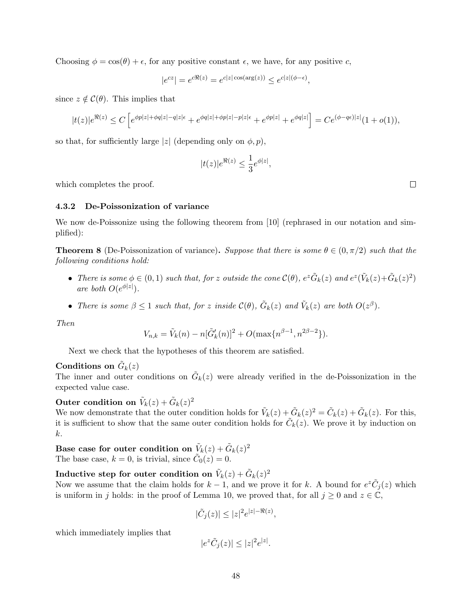Choosing  $\phi = \cos(\theta) + \epsilon$ , for any positive constant  $\epsilon$ , we have, for any positive c,

$$
|e^{cz}| = e^{c\Re(z)} = e^{c|z| \cos(\arg(z))} \le e^{c|z|(\phi - \epsilon)},
$$

since  $z \notin \mathcal{C}(\theta)$ . This implies that

$$
|t(z)|e^{\Re(z)} \leq C\left[e^{\phi p|z| + \phi q|z| - q|z|\epsilon} + e^{\phi q|z| + \phi p|z| - p|z|\epsilon} + e^{\phi p|z|} + e^{\phi q|z|}\right] = Ce^{(\phi - q\epsilon)|z|}(1 + o(1)),
$$

so that, for sufficiently large |z| (depending only on  $\phi$ , p),

$$
|t(z)|e^{\Re(z)} \le \frac{1}{3}e^{\phi|z|},
$$

which completes the proof.

## 4.3.2 De-Poissonization of variance

We now de-Poissonize using the following theorem from [10] (rephrased in our notation and simplified):

**Theorem 8** (De-Poissonization of variance). Suppose that there is some  $\theta \in (0, \pi/2)$  such that the following conditions hold:

- There is some  $\phi \in (0,1)$  such that, for z outside the cone  $\mathcal{C}(\theta)$ ,  $e^z \tilde{G}_k(z)$  and  $e^z(\tilde{V}_k(z)+\tilde{G}_k(z)^2)$ are both  $O(e^{\phi|z|})$ .
- There is some  $\beta \leq 1$  such that, for z inside  $\mathcal{C}(\theta)$ ,  $\tilde{G}_k(z)$  and  $\tilde{V}_k(z)$  are both  $O(z^{\beta})$ .

Then

$$
V_{n,k} = \tilde{V}_k(n) - n[\tilde{G}'_k(n)]^2 + O(\max\{n^{\beta-1}, n^{2\beta-2}\}).
$$

Next we check that the hypotheses of this theorem are satisfied.

# Conditions on  $\tilde{G}_k(z)$

The inner and outer conditions on  $\tilde{G}_k(z)$  were already verified in the de-Poissonization in the expected value case.

Outer condition on  $\tilde{V}_k(z)+\tilde{G}_k(z)^2$ 

We now demonstrate that the outer condition holds for  $\tilde{V}_k(z) + \tilde{G}_k(z)^2 = \tilde{C}_k(z) + \tilde{G}_k(z)$ . For this, it is sufficient to show that the same outer condition holds for  $\tilde{C}_k(z)$ . We prove it by induction on k.

Base case for outer condition on  $\tilde{V}_k(z)+\tilde{G}_k(z)^2$ The base case,  $k = 0$ , is trivial, since  $\tilde{C}_0(z) = 0$ .

Inductive step for outer condition on  $\tilde{V}_k(z)+\tilde{G}_k(z)^2$ Now we assume that the claim holds for  $k-1$ , and we prove it for k. A bound for  $e^z \tilde{C}_j(z)$  which is uniform in j holds: in the proof of Lemma 10, we proved that, for all  $j \geq 0$  and  $z \in \mathbb{C}$ ,

$$
|\tilde{C}_j(z)| \le |z|^2 e^{|z| - \Re(z)},
$$

which immediately implies that

$$
|e^z \tilde{C}_j(z)| \le |z|^2 e^{|z|}.
$$

 $\Box$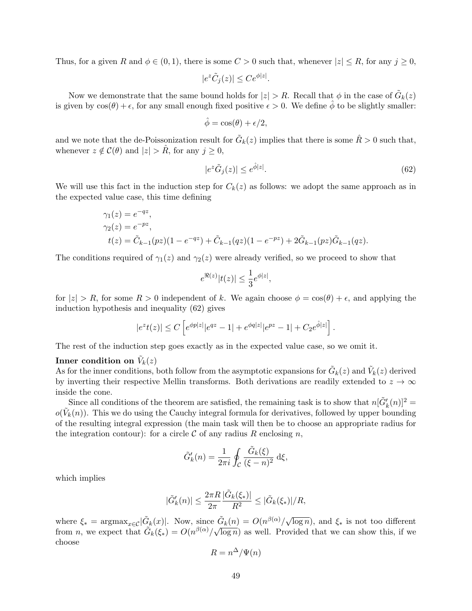Thus, for a given R and  $\phi \in (0,1)$ , there is some  $C > 0$  such that, whenever  $|z| \leq R$ , for any  $j \geq 0$ ,

$$
|e^z \tilde{C}_j(z)| \leq Ce^{\phi|z|}.
$$

Now we demonstrate that the same bound holds for  $|z| > R$ . Recall that  $\phi$  in the case of  $\tilde{G}_k(z)$ is given by  $cos(\theta) + \epsilon$ , for any small enough fixed positive  $\epsilon > 0$ . We define  $\phi$  to be slightly smaller:

$$
\hat{\phi} = \cos(\theta) + \epsilon/2,
$$

and we note that the de-Poissonization result for  $\tilde{G}_k(z)$  implies that there is some  $\hat{R} > 0$  such that, whenever  $z \notin \mathcal{C}(\theta)$  and  $|z| > R$ , for any  $j \geq 0$ ,

$$
|e^z \tilde{G}_j(z)| \le e^{\hat{\phi}|z|}.\tag{62}
$$

We will use this fact in the induction step for  $C_k(z)$  as follows: we adopt the same approach as in the expected value case, this time defining

$$
\gamma_1(z) = e^{-qz},
$$
  
\n
$$
\gamma_2(z) = e^{-pz},
$$
  
\n
$$
t(z) = \tilde{C}_{k-1}(pz)(1 - e^{-qz}) + \tilde{C}_{k-1}(qz)(1 - e^{-pz}) + 2\tilde{G}_{k-1}(pz)\tilde{G}_{k-1}(qz).
$$

The conditions required of  $\gamma_1(z)$  and  $\gamma_2(z)$  were already verified, so we proceed to show that

$$
e^{\Re(z)}|t(z)| \leq \frac{1}{3}e^{\phi|z|},
$$

for  $|z| > R$ , for some  $R > 0$  independent of k. We again choose  $\phi = \cos(\theta) + \epsilon$ , and applying the induction hypothesis and inequality (62) gives

$$
|e^{z}t(z)| \leq C \left[ e^{\phi p|z|} |e^{qz} - 1| + e^{\phi q|z|} |e^{pz} - 1| + C_2 e^{\hat{\phi}|z|} \right].
$$

The rest of the induction step goes exactly as in the expected value case, so we omit it.

# Inner condition on  $\tilde{V}_k(z)$

As for the inner conditions, both follow from the asymptotic expansions for  $\tilde{G}_k(z)$  and  $\tilde{V}_k(z)$  derived by inverting their respective Mellin transforms. Both derivations are readily extended to  $z \to \infty$ inside the cone.

Since all conditions of the theorem are satisfied, the remaining task is to show that  $n[\tilde{G}'_k(n)]^2 =$  $o(\tilde{V}_k(n))$ . This we do using the Cauchy integral formula for derivatives, followed by upper bounding of the resulting integral expression (the main task will then be to choose an appropriate radius for the integration contour): for a circle  $\mathcal C$  of any radius R enclosing n,

$$
\tilde{G}'_k(n) = \frac{1}{2\pi i} \oint_C \frac{\tilde{G}_k(\xi)}{(\xi - n)^2} d\xi,
$$

which implies

$$
|\tilde{G}'_k(n)| \leq \frac{2\pi R}{2\pi} \frac{|\tilde{G}_k(\xi_*)|}{R^2} \leq |\tilde{G}_k(\xi_*)|/R,
$$

where  $\xi_* = \text{argmax}_{x \in \mathcal{C}} |\tilde{G}_k(x)|$ . Now, since  $\tilde{G}_k(n) = O(n^{\beta(\alpha)}/\sqrt{\alpha})$  $\mathcal{L}(G_k(n)) = O(n^{\beta(\alpha)}/\sqrt{\log n}),$  and  $\xi_*$  is not too different from *n*, we expect that  $\tilde{G}_k(\xi_*) = O(n^{\beta(\alpha)}/\sqrt{\log n})$  as well. Provided that we can show this, if we choose

$$
R = n^{\Delta}/\Psi(n)
$$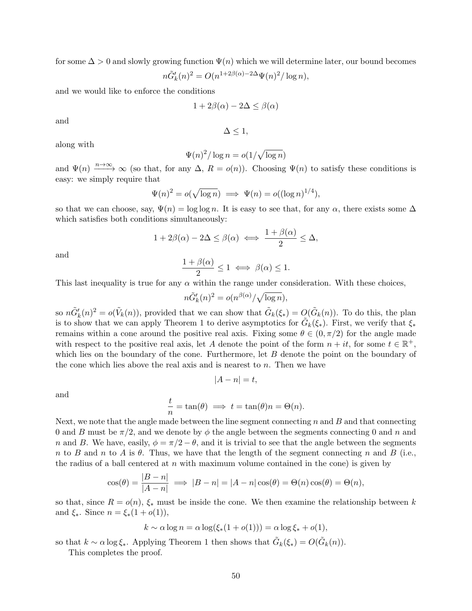for some  $\Delta > 0$  and slowly growing function  $\Psi(n)$  which we will determine later, our bound becomes

$$
n\tilde{G}'_k(n)^2 = O(n^{1+2\beta(\alpha)-2\Delta}\Psi(n)^2/\log n),
$$

and we would like to enforce the conditions

$$
1 + 2\beta(\alpha) - 2\Delta \le \beta(\alpha)
$$

and

$$
\Delta\leq 1,
$$

along with

$$
\Psi(n)^2/\log n = o(1/\sqrt{\log n})
$$

and  $\Psi(n) \longrightarrow^{\infty} \infty$  (so that, for any  $\Delta$ ,  $R = o(n)$ ). Choosing  $\Psi(n)$  to satisfy these conditions is easy: we simply require that

$$
\Psi(n)^2 = o(\sqrt{\log n}) \implies \Psi(n) = o((\log n)^{1/4}),
$$

so that we can choose, say,  $\Psi(n) = \log \log n$ . It is easy to see that, for any  $\alpha$ , there exists some  $\Delta$ which satisfies both conditions simultaneously:

$$
1 + 2\beta(\alpha) - 2\Delta \le \beta(\alpha) \iff \frac{1 + \beta(\alpha)}{2} \le \Delta,
$$

and

$$
\frac{1+\beta(\alpha)}{2} \le 1 \iff \beta(\alpha) \le 1.
$$

This last inequality is true for any  $\alpha$  within the range under consideration. With these choices,

$$
n\tilde{G}'_k(n)^2 = o(n^{\beta(\alpha)}/\sqrt{\log n}),
$$

so  $n\tilde{G}'_k(n)^2 = o(\tilde{V}_k(n))$ , provided that we can show that  $\tilde{G}_k(\xi_*) = O(\tilde{G}_k(n))$ . To do this, the plan is to show that we can apply Theorem 1 to derive asymptotics for  $\tilde{G}_k(\xi_*)$ . First, we verify that  $\xi_*$ remains within a cone around the positive real axis. Fixing some  $\theta \in (0, \pi/2)$  for the angle made with respect to the positive real axis, let A denote the point of the form  $n + it$ , for some  $t \in \mathbb{R}^+$ , which lies on the boundary of the cone. Furthermore, let  $B$  denote the point on the boundary of the cone which lies above the real axis and is nearest to  $n$ . Then we have

$$
|A - n| = t,
$$

and

$$
\frac{t}{n} = \tan(\theta) \implies t = \tan(\theta)n = \Theta(n).
$$

Next, we note that the angle made between the line segment connecting  $n$  and  $B$  and that connecting 0 and B must be  $\pi/2$ , and we denote by  $\phi$  the angle between the segments connecting 0 and n and n and B. We have, easily,  $\phi = \pi/2 - \theta$ , and it is trivial to see that the angle between the segments n to B and n to A is  $\theta$ . Thus, we have that the length of the segment connecting n and B (i.e., the radius of a ball centered at n with maximum volume contained in the cone) is given by

$$
\cos(\theta) = \frac{|B - n|}{|A - n|} \implies |B - n| = |A - n| \cos(\theta) = \Theta(n) \cos(\theta) = \Theta(n),
$$

so that, since  $R = o(n)$ ,  $\xi_*$  must be inside the cone. We then examine the relationship between k and  $\xi_*$ . Since  $n = \xi_*(1 + o(1)),$ 

$$
k \sim \alpha \log n = \alpha \log(\xi_*(1 + o(1))) = \alpha \log \xi_* + o(1),
$$

so that  $k \sim \alpha \log \xi_*$ . Applying Theorem 1 then shows that  $\tilde{G}_k(\xi_*) = O(\tilde{G}_k(n))$ .

This completes the proof.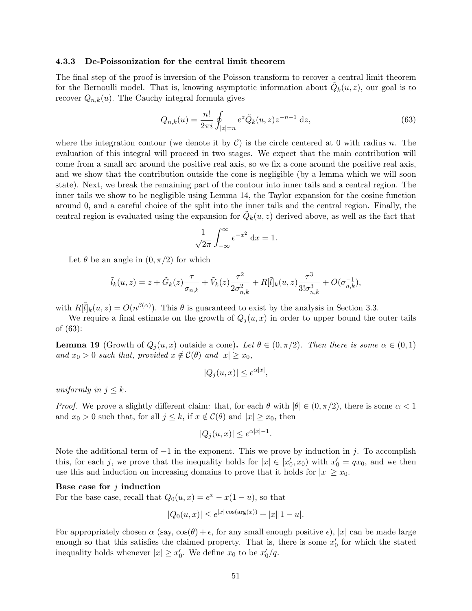#### 4.3.3 De-Poissonization for the central limit theorem

The final step of the proof is inversion of the Poisson transform to recover a central limit theorem for the Bernoulli model. That is, knowing asymptotic information about  $\tilde{Q}_k(u, z)$ , our goal is to recover  $Q_{n,k}(u)$ . The Cauchy integral formula gives

$$
Q_{n,k}(u) = \frac{n!}{2\pi i} \oint_{|z|=n} e^z \tilde{Q}_k(u,z) z^{-n-1} dz,
$$
\n(63)

where the integration contour (we denote it by  $C$ ) is the circle centered at 0 with radius n. The evaluation of this integral will proceed in two stages. We expect that the main contribution will come from a small arc around the positive real axis, so we fix a cone around the positive real axis, and we show that the contribution outside the cone is negligible (by a lemma which we will soon state). Next, we break the remaining part of the contour into inner tails and a central region. The inner tails we show to be negligible using Lemma 14, the Taylor expansion for the cosine function around 0, and a careful choice of the split into the inner tails and the central region. Finally, the central region is evaluated using the expansion for  $\tilde{Q}_k(u, z)$  derived above, as well as the fact that

$$
\frac{1}{\sqrt{2\pi}} \int_{-\infty}^{\infty} e^{-x^2} dx = 1.
$$

Let  $\theta$  be an angle in  $(0, \pi/2)$  for which

$$
\tilde{l}_{k}(u, z) = z + \tilde{G}_{k}(z) \frac{\tau}{\sigma_{n,k}} + \tilde{V}_{k}(z) \frac{\tau^{2}}{2\sigma_{n,k}^{2}} + R[\tilde{l}]_{k}(u, z) \frac{\tau^{3}}{3!\sigma_{n,k}^{3}} + O(\sigma_{n,k}^{-1}),
$$

with  $R[\tilde{l}]_k(u, z) = O(n^{\beta(\alpha)})$ . This  $\theta$  is guaranteed to exist by the analysis in Section 3.3.

We require a final estimate on the growth of  $Q_i(u, x)$  in order to upper bound the outer tails of (63):

**Lemma 19** (Growth of  $Q_i(u, x)$  outside a cone). Let  $\theta \in (0, \pi/2)$ . Then there is some  $\alpha \in (0, 1)$ and  $x_0 > 0$  such that, provided  $x \notin C(\theta)$  and  $|x| \geq x_0$ ,

$$
|Q_j(u, x)| \le e^{\alpha |x|},
$$

uniformly in  $j \leq k$ .

*Proof.* We prove a slightly different claim: that, for each  $\theta$  with  $|\theta| \in (0, \pi/2)$ , there is some  $\alpha < 1$ and  $x_0 > 0$  such that, for all  $j \leq k$ , if  $x \notin \mathcal{C}(\theta)$  and  $|x| \geq x_0$ , then

$$
|Q_j(u, x)| \le e^{\alpha |x| - 1}.
$$

Note the additional term of  $-1$  in the exponent. This we prove by induction in j. To accomplish this, for each j, we prove that the inequality holds for  $|x| \in [x'_0, x_0)$  with  $x'_0 = qx_0$ , and we then use this and induction on increasing domains to prove that it holds for  $|x| \geq x_0$ .

#### Base case for  $j$  induction

For the base case, recall that  $Q_0(u, x) = e^x - x(1 - u)$ , so that

$$
|Q_0(u, x)| \le e^{|x| \cos(\arg(x))} + |x||1 - u|.
$$

For appropriately chosen  $\alpha$  (say,  $\cos(\theta) + \epsilon$ , for any small enough positive  $\epsilon$ ), |x| can be made large enough so that this satisfies the claimed property. That is, there is some  $x_0'$  for which the stated inequality holds whenever  $|x| \ge x'_0$ . We define  $x_0$  to be  $x'_0/q$ .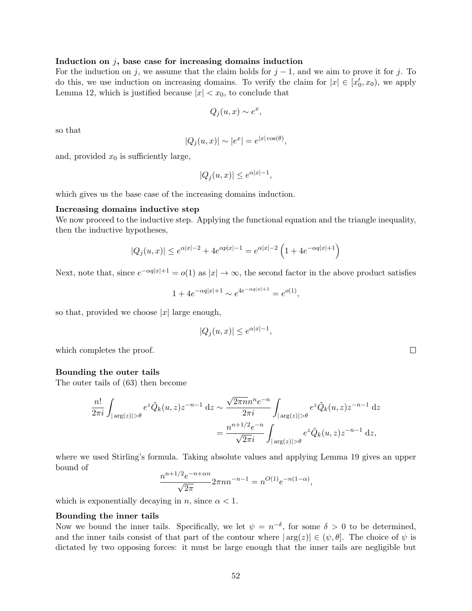#### Induction on  $j$ , base case for increasing domains induction

For the induction on j, we assume that the claim holds for  $j - 1$ , and we aim to prove it for j. To do this, we use induction on increasing domains. To verify the claim for  $|x| \in [x_0', x_0)$ , we apply Lemma 12, which is justified because  $|x| < x_0$ , to conclude that

$$
Q_j(u, x) \sim e^x,
$$

so that

$$
|Q_j(u, x)| \sim |e^x| = e^{|x| \cos(\theta)},
$$

and, provided  $x_0$  is sufficiently large,

$$
|Q_j(u, x)| \le e^{\alpha |x| - 1},
$$

which gives us the base case of the increasing domains induction.

#### Increasing domains inductive step

We now proceed to the inductive step. Applying the functional equation and the triangle inequality, then the inductive hypotheses,

$$
|Q_j(u, x)| \le e^{\alpha |x| - 2} + 4e^{\alpha p|x| - 1} = e^{\alpha |x| - 2} \left( 1 + 4e^{-\alpha q|x| + 1} \right)
$$

Next, note that, since  $e^{-\alpha q|x|+1} = o(1)$  as  $|x| \to \infty$ , the second factor in the above product satisfies

$$
1 + 4e^{-\alpha q|x|+1} \sim e^{4e^{-\alpha q|x|+1}} = e^{o(1)},
$$

so that, provided we choose  $|x|$  large enough,

$$
|Q_j(u, x)| \le e^{\alpha |x| - 1},
$$

which completes the proof.

#### Bounding the outer tails

The outer tails of (63) then become

$$
\frac{n!}{2\pi i} \int_{|\arg(z)|>\theta} e^{z} \tilde{Q}_k(u,z) z^{-n-1} dz \sim \frac{\sqrt{2\pi n} n^n e^{-n}}{2\pi i} \int_{|\arg(z)|>\theta} e^{z} \tilde{Q}_k(u,z) z^{-n-1} dz
$$

$$
= \frac{n^{n+1/2} e^{-n}}{\sqrt{2\pi i}} \int_{|\arg(z)|>\theta} e^{z} \tilde{Q}_k(u,z) z^{-n-1} dz,
$$

where we used Stirling's formula. Taking absolute values and applying Lemma 19 gives an upper bound of

$$
\frac{n^{n+1/2}e^{-n+\alpha n}}{\sqrt{2\pi}} 2\pi n n^{-n-1} = n^{O(1)}e^{-n(1-\alpha)},
$$

which is exponentially decaying in n, since  $\alpha < 1$ .

#### Bounding the inner tails

Now we bound the inner tails. Specifically, we let  $\psi = n^{-\delta}$ , for some  $\delta > 0$  to be determined, and the inner tails consist of that part of the contour where  $|\arg(z)| \in (\psi, \theta]$ . The choice of  $\psi$  is dictated by two opposing forces: it must be large enough that the inner tails are negligible but

 $\Box$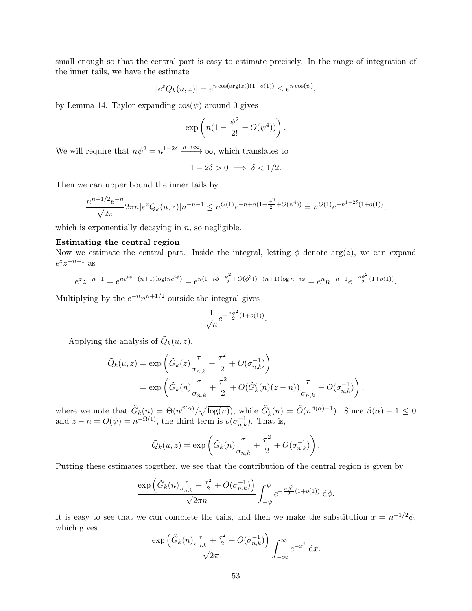small enough so that the central part is easy to estimate precisely. In the range of integration of the inner tails, we have the estimate

$$
|e^z \tilde{Q}_k(u,z)| = e^{n \cos(\arg(z))(1+o(1))} \le e^{n \cos(\psi)},
$$

by Lemma 14. Taylor expanding  $cos(\psi)$  around 0 gives

$$
\exp\left(n(1-\frac{\psi^2}{2!}+O(\psi^4))\right).
$$

We will require that  $n\psi^2 = n^{1-2\delta} \xrightarrow{n \to \infty} \infty$ , which translates to

$$
1 - 2\delta > 0 \implies \delta < 1/2.
$$

Then we can upper bound the inner tails by

$$
\frac{n^{n+1/2}e^{-n}}{\sqrt{2\pi}} 2\pi n |e^{z} \tilde{Q}_k(u,z)| n^{-n-1} \le n^{O(1)} e^{-n+n(1-\frac{\psi^2}{2!}+O(\psi^4))} = n^{O(1)} e^{-n^{1-2\delta}(1+o(1))},
$$

which is exponentially decaying in  $n$ , so negligible.

## Estimating the central region

Now we estimate the central part. Inside the integral, letting  $\phi$  denote arg(z), we can expand  $e^z z^{-n-1}$  as

$$
e^{z}z^{-n-1} = e^{ne^{i\phi}-(n+1)\log(ne^{i\phi})} = e^{n(1+i\phi-\frac{\phi^{2}}{2}+O(\phi^{3}))-(n+1)\log n - i\phi} = e^{n}n^{-n-1}e^{-\frac{n\phi^{2}}{2}(1+o(1))}.
$$

Multiplying by the  $e^{-n}n^{n+1/2}$  outside the integral gives

$$
\frac{1}{\sqrt{n}}e^{-\frac{n\phi^2}{2}(1+o(1))}.
$$

Applying the analysis of  $\tilde{Q}_k(u, z)$ ,

$$
\tilde{Q}_k(u, z) = \exp\left(\tilde{G}_k(z)\frac{\tau}{\sigma_{n,k}} + \frac{\tau^2}{2} + O(\sigma_{n,k}^{-1})\right)
$$
  
= 
$$
\exp\left(\tilde{G}_k(n)\frac{\tau}{\sigma_{n,k}} + \frac{\tau^2}{2} + O(\tilde{G}'_k(n)(z - n))\frac{\tau}{\sigma_{n,k}} + O(\sigma_{n,k}^{-1})\right),
$$

where we note that  $\tilde{G}_k(n) = \Theta(n^{\beta(\alpha)}/\sqrt{\log(n)})$ , while  $\tilde{G}'_k(n) = \tilde{O}(n^{\beta(\alpha)-1})$ . Since  $\beta(\alpha) - 1 \leq 0$ and  $z - n = O(\psi) = n^{-\Omega(1)}$ , the third term is  $o(\sigma_{n,k}^{-1})$ . That is,

$$
\tilde{Q}_k(u, z) = \exp\left(\tilde{G}_k(n)\frac{\tau}{\sigma_{n,k}} + \frac{\tau^2}{2} + O(\sigma_{n,k}^{-1})\right).
$$

Putting these estimates together, we see that the contribution of the central region is given by

$$
\frac{\exp\left(\tilde{G}_k(n)\frac{\tau}{\sigma_{n,k}}+\frac{\tau^2}{2}+O(\sigma_{n,k}^{-1})\right)}{\sqrt{2\pi n}}\int_{-\psi}^{\psi}e^{-\frac{n\phi^2}{2}(1+o(1))}\,\mathrm{d}\phi.
$$

It is easy to see that we can complete the tails, and then we make the substitution  $x = n^{-1/2}\phi$ , which gives

$$
\frac{\exp\left(\tilde{G}_k(n)\frac{\tau}{\sigma_{n,k}} + \frac{\tau^2}{2} + O(\sigma_{n,k}^{-1})\right)}{\sqrt{2\pi}} \int_{-\infty}^{\infty} e^{-x^2} dx.
$$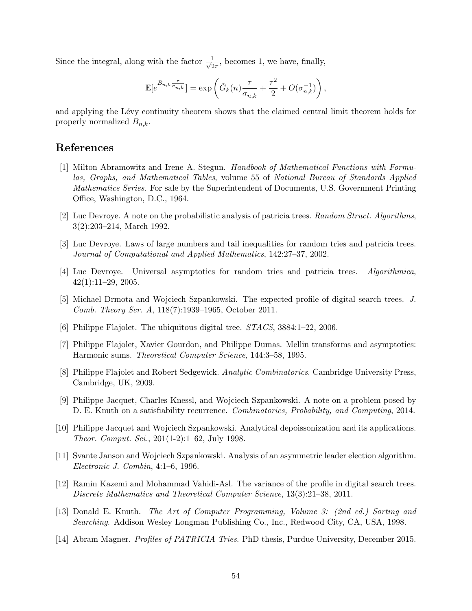Since the integral, along with the factor  $\frac{1}{\sqrt{2}}$  $\frac{1}{2\pi}$ , becomes 1, we have, finally,

$$
\mathbb{E}[e^{B_{n,k}\frac{\tau}{\sigma_{n,k}}}] = \exp\left(\tilde{G}_k(n)\frac{\tau}{\sigma_{n,k}} + \frac{\tau^2}{2} + O(\sigma_{n,k}^{-1})\right),\,
$$

and applying the Lévy continuity theorem shows that the claimed central limit theorem holds for properly normalized  $B_{n,k}$ .

## References

- [1] Milton Abramowitz and Irene A. Stegun. Handbook of Mathematical Functions with Formulas, Graphs, and Mathematical Tables, volume 55 of National Bureau of Standards Applied Mathematics Series. For sale by the Superintendent of Documents, U.S. Government Printing Office, Washington, D.C., 1964.
- [2] Luc Devroye. A note on the probabilistic analysis of patricia trees. Random Struct. Algorithms, 3(2):203–214, March 1992.
- [3] Luc Devroye. Laws of large numbers and tail inequalities for random tries and patricia trees. Journal of Computational and Applied Mathematics, 142:27–37, 2002.
- [4] Luc Devroye. Universal asymptotics for random tries and patricia trees. Algorithmica,  $42(1):11-29$ , 2005.
- [5] Michael Drmota and Wojciech Szpankowski. The expected profile of digital search trees. J. Comb. Theory Ser. A, 118(7):1939–1965, October 2011.
- [6] Philippe Flajolet. The ubiquitous digital tree. STACS, 3884:1–22, 2006.
- [7] Philippe Flajolet, Xavier Gourdon, and Philippe Dumas. Mellin transforms and asymptotics: Harmonic sums. Theoretical Computer Science, 144:3–58, 1995.
- [8] Philippe Flajolet and Robert Sedgewick. Analytic Combinatorics. Cambridge University Press, Cambridge, UK, 2009.
- [9] Philippe Jacquet, Charles Knessl, and Wojciech Szpankowski. A note on a problem posed by D. E. Knuth on a satisfiability recurrence. Combinatorics, Probability, and Computing, 2014.
- [10] Philippe Jacquet and Wojciech Szpankowski. Analytical depoissonization and its applications. Theor. Comput. Sci., 201(1-2):1–62, July 1998.
- [11] Svante Janson and Wojciech Szpankowski. Analysis of an asymmetric leader election algorithm. Electronic J. Combin, 4:1–6, 1996.
- [12] Ramin Kazemi and Mohammad Vahidi-Asl. The variance of the profile in digital search trees. Discrete Mathematics and Theoretical Computer Science, 13(3):21–38, 2011.
- [13] Donald E. Knuth. The Art of Computer Programming, Volume 3: (2nd ed.) Sorting and Searching. Addison Wesley Longman Publishing Co., Inc., Redwood City, CA, USA, 1998.
- [14] Abram Magner. Profiles of PATRICIA Tries. PhD thesis, Purdue University, December 2015.